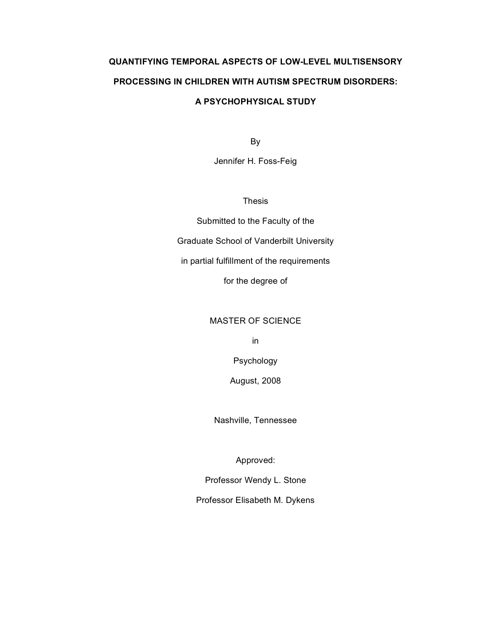# **QUANTIFYING TEMPORAL ASPECTS OF LOW-LEVEL MULTISENSORY PROCESSING IN CHILDREN WITH AUTISM SPECTRUM DISORDERS: A PSYCHOPHYSICAL STUDY**

By

Jennifer H. Foss-Feig

Thesis

Submitted to the Faculty of the Graduate School of Vanderbilt University in partial fulfillment of the requirements for the degree of

# MASTER OF SCIENCE

in

Psychology

August, 2008

Nashville, Tennessee

Approved:

Professor Wendy L. Stone

Professor Elisabeth M. Dykens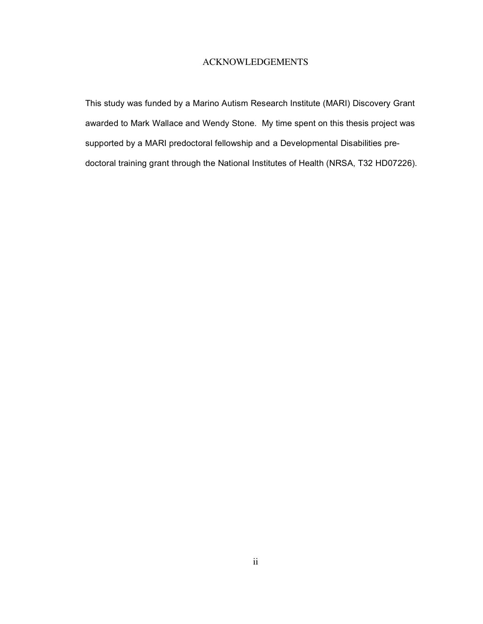# ACKNOWLEDGEMENTS

This study was funded by a Marino Autism Research Institute (MARI) Discovery Grant awarded to Mark Wallace and Wendy Stone. My time spent on this thesis project was supported by a MARI predoctoral fellowship and a Developmental Disabilities predoctoral training grant through the National Institutes of Health (NRSA, T32 HD07226).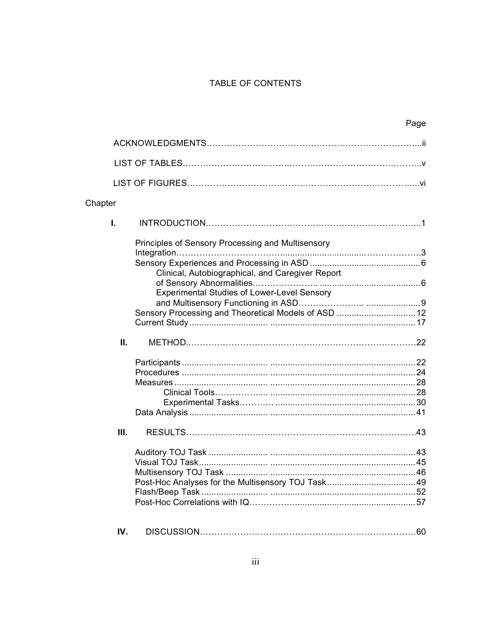# TABLE OF CONTENTS

|         | Page                                                                                                                                                        |
|---------|-------------------------------------------------------------------------------------------------------------------------------------------------------------|
|         |                                                                                                                                                             |
|         |                                                                                                                                                             |
|         |                                                                                                                                                             |
| Chapter |                                                                                                                                                             |
| I.      |                                                                                                                                                             |
|         | Principles of Sensory Processing and Multisensory<br>Clinical, Autobiographical, and Caregiver Report<br><b>Experimental Studies of Lower-Level Sensory</b> |
|         | Sensory Processing and Theoretical Models of ASD  12                                                                                                        |
| II.     |                                                                                                                                                             |
| Ш.      |                                                                                                                                                             |
| IV.     |                                                                                                                                                             |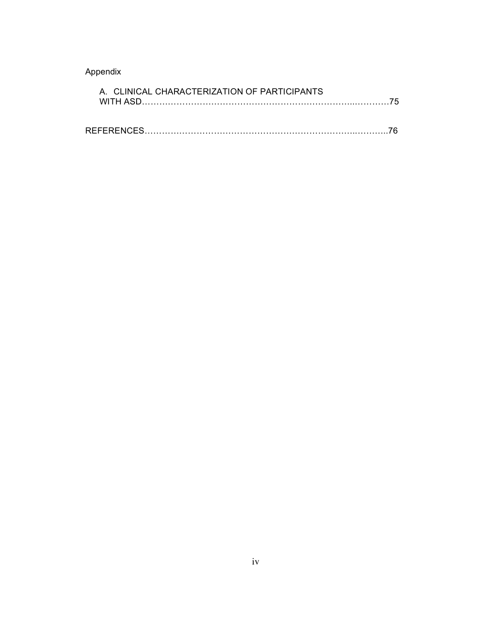# Appendix

| A CLINICAL CHARACTERIZATION OF PARTICIPANTS |
|---------------------------------------------|
|                                             |
|                                             |
|                                             |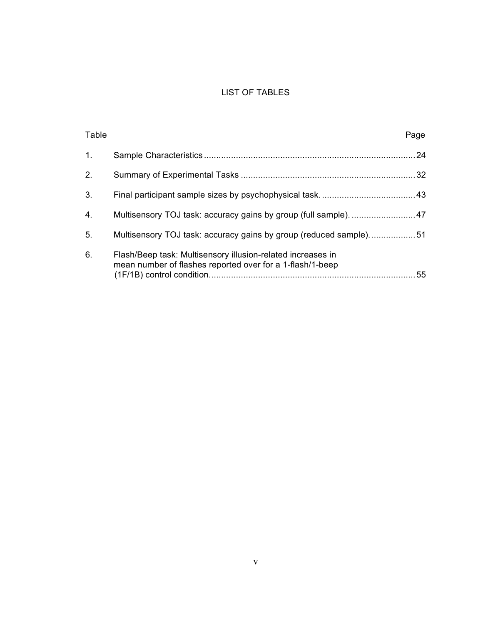# LIST OF TABLES

| Table |                                                                                                                          | Page |
|-------|--------------------------------------------------------------------------------------------------------------------------|------|
| 1.    |                                                                                                                          |      |
| 2.    |                                                                                                                          |      |
| 3.    |                                                                                                                          |      |
| 4.    |                                                                                                                          |      |
| 5.    | Multisensory TOJ task: accuracy gains by group (reduced sample)51                                                        |      |
| 6.    | Flash/Beep task: Multisensory illusion-related increases in<br>mean number of flashes reported over for a 1-flash/1-beep | 55   |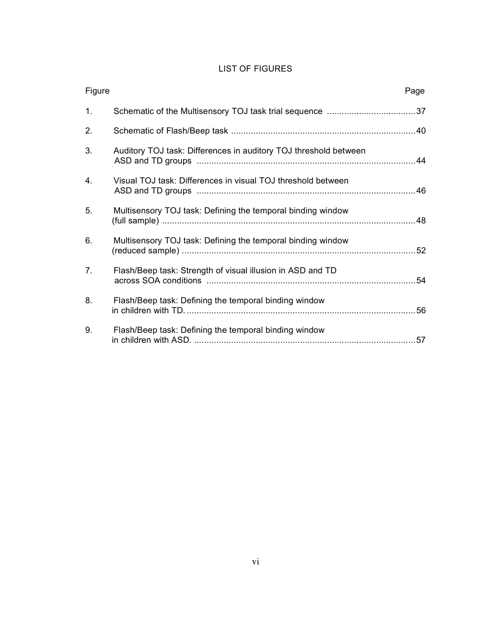# LIST OF FIGURES

| Figure |                                                                  | Page |
|--------|------------------------------------------------------------------|------|
| 1.     |                                                                  |      |
| 2.     |                                                                  |      |
| 3.     | Auditory TOJ task: Differences in auditory TOJ threshold between |      |
| 4.     | Visual TOJ task: Differences in visual TOJ threshold between     |      |
| 5.     | Multisensory TOJ task: Defining the temporal binding window      |      |
| 6.     | Multisensory TOJ task: Defining the temporal binding window      |      |
| 7.     | Flash/Beep task: Strength of visual illusion in ASD and TD       |      |
| 8.     | Flash/Beep task: Defining the temporal binding window            |      |
| 9.     | Flash/Beep task: Defining the temporal binding window            |      |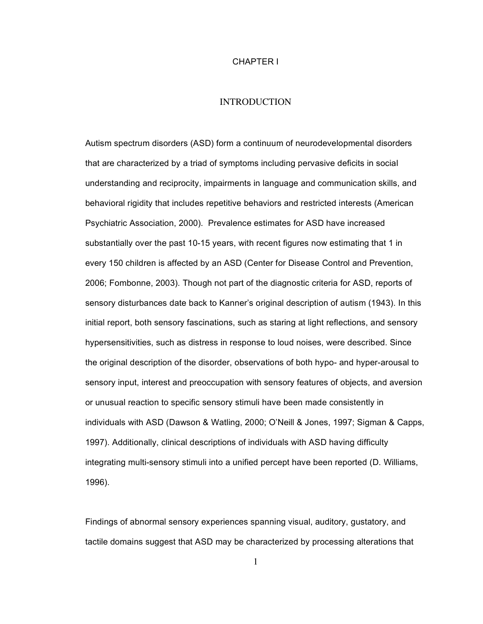## CHAPTER I

## INTRODUCTION

Autism spectrum disorders (ASD) form a continuum of neurodevelopmental disorders that are characterized by a triad of symptoms including pervasive deficits in social understanding and reciprocity, impairments in language and communication skills, and behavioral rigidity that includes repetitive behaviors and restricted interests (American Psychiatric Association, 2000). Prevalence estimates for ASD have increased substantially over the past 10-15 years, with recent figures now estimating that 1 in every 150 children is affected by an ASD (Center for Disease Control and Prevention, 2006; Fombonne, 2003). Though not part of the diagnostic criteria for ASD, reports of sensory disturbances date back to Kanner's original description of autism (1943). In this initial report, both sensory fascinations, such as staring at light reflections, and sensory hypersensitivities, such as distress in response to loud noises, were described. Since the original description of the disorder, observations of both hypo- and hyper-arousal to sensory input, interest and preoccupation with sensory features of objects, and aversion or unusual reaction to specific sensory stimuli have been made consistently in individuals with ASD (Dawson & Watling, 2000; O'Neill & Jones, 1997; Sigman & Capps, 1997). Additionally, clinical descriptions of individuals with ASD having difficulty integrating multi-sensory stimuli into a unified percept have been reported (D. Williams, 1996).

Findings of abnormal sensory experiences spanning visual, auditory, gustatory, and tactile domains suggest that ASD may be characterized by processing alterations that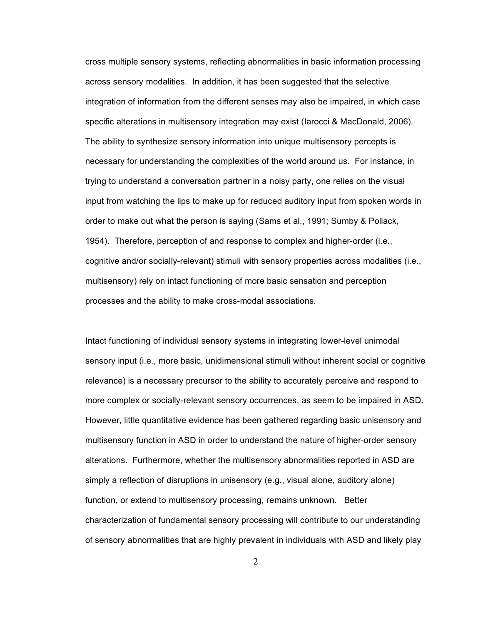cross multiple sensory systems, reflecting abnormalities in basic information processing across sensory modalities. In addition, it has been suggested that the selective integration of information from the different senses may also be impaired, in which case specific alterations in multisensory integration may exist (Iarocci & MacDonald, 2006). The ability to synthesize sensory information into unique multisensory percepts is necessary for understanding the complexities of the world around us. For instance, in trying to understand a conversation partner in a noisy party, one relies on the visual input from watching the lips to make up for reduced auditory input from spoken words in order to make out what the person is saying (Sams et al., 1991; Sumby & Pollack, 1954). Therefore, perception of and response to complex and higher-order (i.e., cognitive and/or socially-relevant) stimuli with sensory properties across modalities (i.e., multisensory) rely on intact functioning of more basic sensation and perception processes and the ability to make cross-modal associations.

Intact functioning of individual sensory systems in integrating lower-level unimodal sensory input (i.e., more basic, unidimensional stimuli without inherent social or cognitive relevance) is a necessary precursor to the ability to accurately perceive and respond to more complex or socially-relevant sensory occurrences, as seem to be impaired in ASD. However, little quantitative evidence has been gathered regarding basic unisensory and multisensory function in ASD in order to understand the nature of higher-order sensory alterations. Furthermore, whether the multisensory abnormalities reported in ASD are simply a reflection of disruptions in unisensory (e.g., visual alone, auditory alone) function, or extend to multisensory processing, remains unknown. Better characterization of fundamental sensory processing will contribute to our understanding of sensory abnormalities that are highly prevalent in individuals with ASD and likely play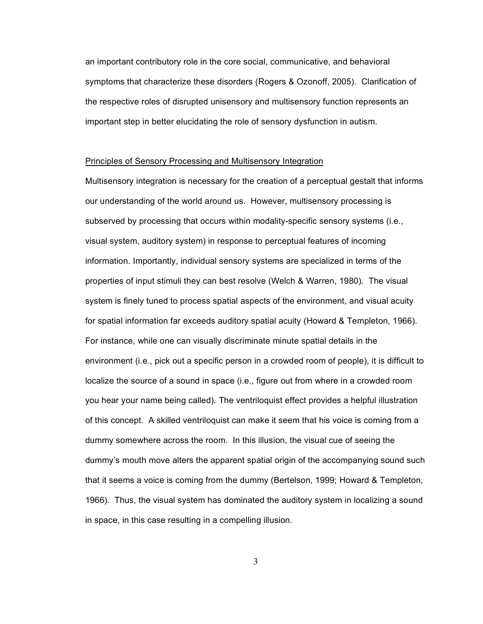an important contributory role in the core social, communicative, and behavioral symptoms that characterize these disorders (Rogers & Ozonoff, 2005). Clarification of the respective roles of disrupted unisensory and multisensory function represents an important step in better elucidating the role of sensory dysfunction in autism.

#### Principles of Sensory Processing and Multisensory Integration

Multisensory integration is necessary for the creation of a perceptual gestalt that informs our understanding of the world around us. However, multisensory processing is subserved by processing that occurs within modality-specific sensory systems (i.e., visual system, auditory system) in response to perceptual features of incoming information. Importantly, individual sensory systems are specialized in terms of the properties of input stimuli they can best resolve (Welch & Warren, 1980). The visual system is finely tuned to process spatial aspects of the environment, and visual acuity for spatial information far exceeds auditory spatial acuity (Howard & Templeton, 1966). For instance, while one can visually discriminate minute spatial details in the environment (i.e., pick out a specific person in a crowded room of people), it is difficult to localize the source of a sound in space (i.e., figure out from where in a crowded room you hear your name being called). The ventriloquist effect provides a helpful illustration of this concept. A skilled ventriloquist can make it seem that his voice is coming from a dummy somewhere across the room. In this illusion, the visual cue of seeing the dummy's mouth move alters the apparent spatial origin of the accompanying sound such that it seems a voice is coming from the dummy (Bertelson, 1999; Howard & Templeton, 1966). Thus, the visual system has dominated the auditory system in localizing a sound in space, in this case resulting in a compelling illusion.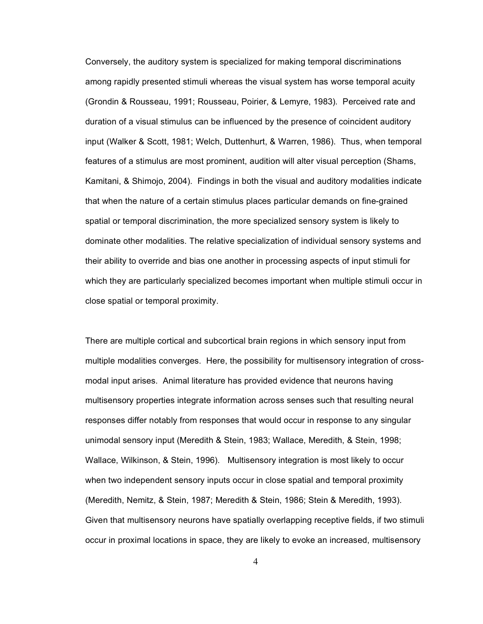Conversely, the auditory system is specialized for making temporal discriminations among rapidly presented stimuli whereas the visual system has worse temporal acuity (Grondin & Rousseau, 1991; Rousseau, Poirier, & Lemyre, 1983). Perceived rate and duration of a visual stimulus can be influenced by the presence of coincident auditory input (Walker & Scott, 1981; Welch, Duttenhurt, & Warren, 1986). Thus, when temporal features of a stimulus are most prominent, audition will alter visual perception (Shams, Kamitani, & Shimojo, 2004). Findings in both the visual and auditory modalities indicate that when the nature of a certain stimulus places particular demands on fine-grained spatial or temporal discrimination, the more specialized sensory system is likely to dominate other modalities. The relative specialization of individual sensory systems and their ability to override and bias one another in processing aspects of input stimuli for which they are particularly specialized becomes important when multiple stimuli occur in close spatial or temporal proximity.

There are multiple cortical and subcortical brain regions in which sensory input from multiple modalities converges. Here, the possibility for multisensory integration of crossmodal input arises. Animal literature has provided evidence that neurons having multisensory properties integrate information across senses such that resulting neural responses differ notably from responses that would occur in response to any singular unimodal sensory input (Meredith & Stein, 1983; Wallace, Meredith, & Stein, 1998; Wallace, Wilkinson, & Stein, 1996). Multisensory integration is most likely to occur when two independent sensory inputs occur in close spatial and temporal proximity (Meredith, Nemitz, & Stein, 1987; Meredith & Stein, 1986; Stein & Meredith, 1993). Given that multisensory neurons have spatially overlapping receptive fields, if two stimuli occur in proximal locations in space, they are likely to evoke an increased, multisensory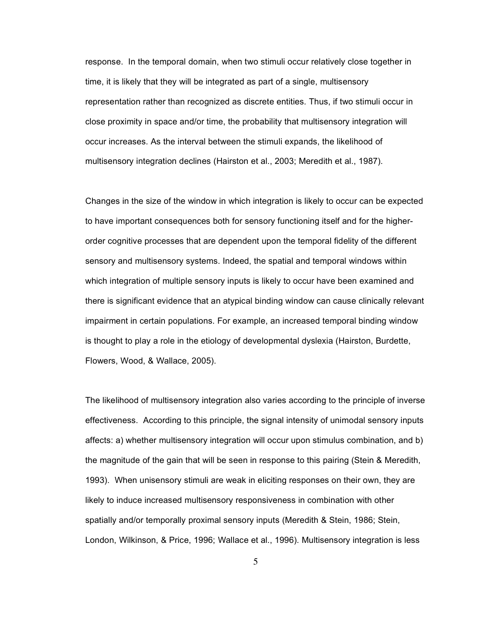response. In the temporal domain, when two stimuli occur relatively close together in time, it is likely that they will be integrated as part of a single, multisensory representation rather than recognized as discrete entities. Thus, if two stimuli occur in close proximity in space and/or time, the probability that multisensory integration will occur increases. As the interval between the stimuli expands, the likelihood of multisensory integration declines (Hairston et al., 2003; Meredith et al., 1987).

Changes in the size of the window in which integration is likely to occur can be expected to have important consequences both for sensory functioning itself and for the higherorder cognitive processes that are dependent upon the temporal fidelity of the different sensory and multisensory systems. Indeed, the spatial and temporal windows within which integration of multiple sensory inputs is likely to occur have been examined and there is significant evidence that an atypical binding window can cause clinically relevant impairment in certain populations. For example, an increased temporal binding window is thought to play a role in the etiology of developmental dyslexia (Hairston, Burdette, Flowers, Wood, & Wallace, 2005).

The likelihood of multisensory integration also varies according to the principle of inverse effectiveness. According to this principle, the signal intensity of unimodal sensory inputs affects: a) whether multisensory integration will occur upon stimulus combination, and b) the magnitude of the gain that will be seen in response to this pairing (Stein & Meredith, 1993). When unisensory stimuli are weak in eliciting responses on their own, they are likely to induce increased multisensory responsiveness in combination with other spatially and/or temporally proximal sensory inputs (Meredith & Stein, 1986; Stein, London, Wilkinson, & Price, 1996; Wallace et al., 1996). Multisensory integration is less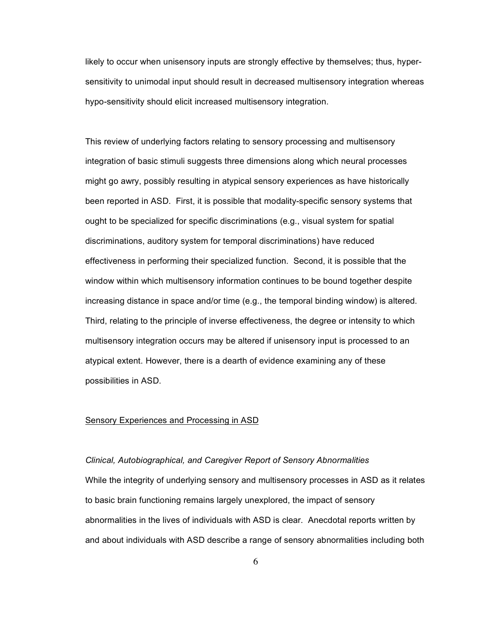likely to occur when unisensory inputs are strongly effective by themselves; thus, hypersensitivity to unimodal input should result in decreased multisensory integration whereas hypo-sensitivity should elicit increased multisensory integration.

This review of underlying factors relating to sensory processing and multisensory integration of basic stimuli suggests three dimensions along which neural processes might go awry, possibly resulting in atypical sensory experiences as have historically been reported in ASD. First, it is possible that modality-specific sensory systems that ought to be specialized for specific discriminations (e.g., visual system for spatial discriminations, auditory system for temporal discriminations) have reduced effectiveness in performing their specialized function. Second, it is possible that the window within which multisensory information continues to be bound together despite increasing distance in space and/or time (e.g., the temporal binding window) is altered. Third, relating to the principle of inverse effectiveness, the degree or intensity to which multisensory integration occurs may be altered if unisensory input is processed to an atypical extent. However, there is a dearth of evidence examining any of these possibilities in ASD.

## Sensory Experiences and Processing in ASD

#### *Clinical, Autobiographical, and Caregiver Report of Sensory Abnormalities*

While the integrity of underlying sensory and multisensory processes in ASD as it relates to basic brain functioning remains largely unexplored, the impact of sensory abnormalities in the lives of individuals with ASD is clear. Anecdotal reports written by and about individuals with ASD describe a range of sensory abnormalities including both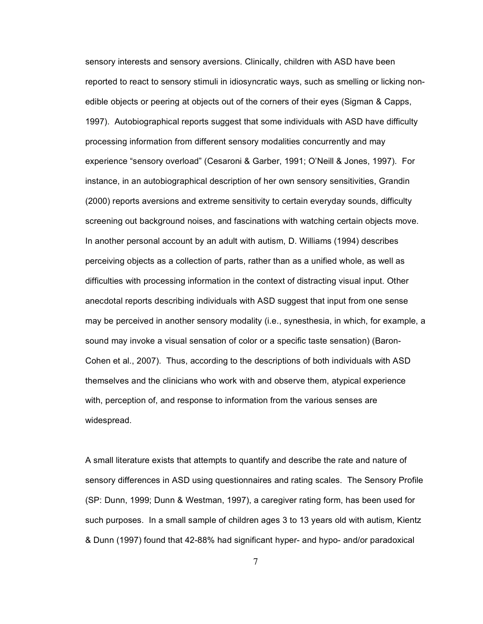sensory interests and sensory aversions. Clinically, children with ASD have been reported to react to sensory stimuli in idiosyncratic ways, such as smelling or licking nonedible objects or peering at objects out of the corners of their eyes (Sigman & Capps, 1997). Autobiographical reports suggest that some individuals with ASD have difficulty processing information from different sensory modalities concurrently and may experience "sensory overload" (Cesaroni & Garber, 1991; O'Neill & Jones, 1997). For instance, in an autobiographical description of her own sensory sensitivities, Grandin (2000) reports aversions and extreme sensitivity to certain everyday sounds, difficulty screening out background noises, and fascinations with watching certain objects move. In another personal account by an adult with autism, D. Williams (1994) describes perceiving objects as a collection of parts, rather than as a unified whole, as well as difficulties with processing information in the context of distracting visual input. Other anecdotal reports describing individuals with ASD suggest that input from one sense may be perceived in another sensory modality (i.e., synesthesia, in which, for example, a sound may invoke a visual sensation of color or a specific taste sensation) (Baron-Cohen et al., 2007). Thus, according to the descriptions of both individuals with ASD themselves and the clinicians who work with and observe them, atypical experience with, perception of, and response to information from the various senses are widespread.

A small literature exists that attempts to quantify and describe the rate and nature of sensory differences in ASD using questionnaires and rating scales. The Sensory Profile (SP: Dunn, 1999; Dunn & Westman, 1997), a caregiver rating form, has been used for such purposes. In a small sample of children ages 3 to 13 years old with autism, Kientz & Dunn (1997) found that 42-88% had significant hyper- and hypo- and/or paradoxical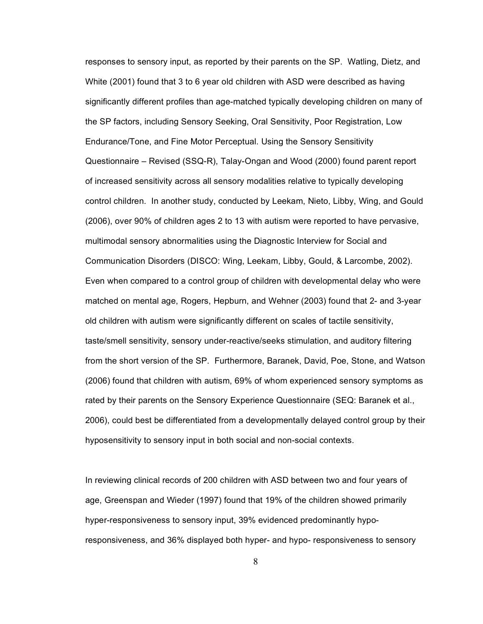responses to sensory input, as reported by their parents on the SP. Watling, Dietz, and White (2001) found that 3 to 6 year old children with ASD were described as having significantly different profiles than age-matched typically developing children on many of the SP factors, including Sensory Seeking, Oral Sensitivity, Poor Registration, Low Endurance/Tone, and Fine Motor Perceptual. Using the Sensory Sensitivity Questionnaire – Revised (SSQ-R), Talay-Ongan and Wood (2000) found parent report of increased sensitivity across all sensory modalities relative to typically developing control children. In another study, conducted by Leekam, Nieto, Libby, Wing, and Gould (2006), over 90% of children ages 2 to 13 with autism were reported to have pervasive, multimodal sensory abnormalities using the Diagnostic Interview for Social and Communication Disorders (DISCO: Wing, Leekam, Libby, Gould, & Larcombe, 2002). Even when compared to a control group of children with developmental delay who were matched on mental age, Rogers, Hepburn, and Wehner (2003) found that 2- and 3-year old children with autism were significantly different on scales of tactile sensitivity, taste/smell sensitivity, sensory under-reactive/seeks stimulation, and auditory filtering from the short version of the SP. Furthermore, Baranek, David, Poe, Stone, and Watson (2006) found that children with autism, 69% of whom experienced sensory symptoms as rated by their parents on the Sensory Experience Questionnaire (SEQ: Baranek et al., 2006), could best be differentiated from a developmentally delayed control group by their hyposensitivity to sensory input in both social and non-social contexts.

In reviewing clinical records of 200 children with ASD between two and four years of age, Greenspan and Wieder (1997) found that 19% of the children showed primarily hyper-responsiveness to sensory input, 39% evidenced predominantly hyporesponsiveness, and 36% displayed both hyper- and hypo- responsiveness to sensory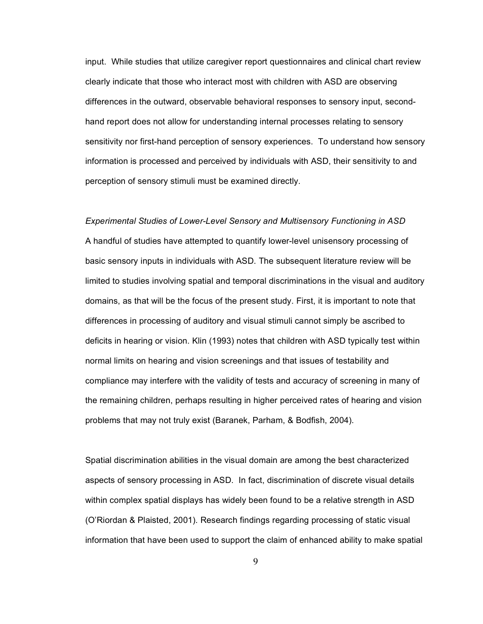input. While studies that utilize caregiver report questionnaires and clinical chart review clearly indicate that those who interact most with children with ASD are observing differences in the outward, observable behavioral responses to sensory input, secondhand report does not allow for understanding internal processes relating to sensory sensitivity nor first-hand perception of sensory experiences. To understand how sensory information is processed and perceived by individuals with ASD, their sensitivity to and perception of sensory stimuli must be examined directly.

*Experimental Studies of Lower-Level Sensory and Multisensory Functioning in ASD* A handful of studies have attempted to quantify lower-level unisensory processing of basic sensory inputs in individuals with ASD. The subsequent literature review will be limited to studies involving spatial and temporal discriminations in the visual and auditory domains, as that will be the focus of the present study. First, it is important to note that differences in processing of auditory and visual stimuli cannot simply be ascribed to deficits in hearing or vision. Klin (1993) notes that children with ASD typically test within normal limits on hearing and vision screenings and that issues of testability and compliance may interfere with the validity of tests and accuracy of screening in many of the remaining children, perhaps resulting in higher perceived rates of hearing and vision problems that may not truly exist (Baranek, Parham, & Bodfish, 2004).

Spatial discrimination abilities in the visual domain are among the best characterized aspects of sensory processing in ASD. In fact, discrimination of discrete visual details within complex spatial displays has widely been found to be a relative strength in ASD (O'Riordan & Plaisted, 2001). Research findings regarding processing of static visual information that have been used to support the claim of enhanced ability to make spatial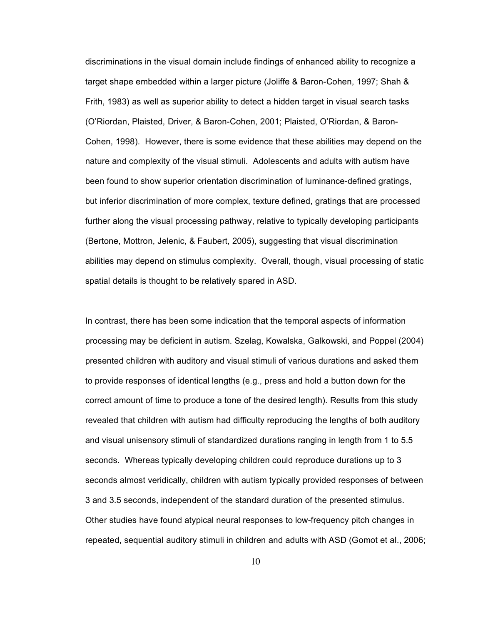discriminations in the visual domain include findings of enhanced ability to recognize a target shape embedded within a larger picture (Joliffe & Baron-Cohen, 1997; Shah & Frith, 1983) as well as superior ability to detect a hidden target in visual search tasks (O'Riordan, Plaisted, Driver, & Baron-Cohen, 2001; Plaisted, O'Riordan, & Baron-Cohen, 1998). However, there is some evidence that these abilities may depend on the nature and complexity of the visual stimuli. Adolescents and adults with autism have been found to show superior orientation discrimination of luminance-defined gratings, but inferior discrimination of more complex, texture defined, gratings that are processed further along the visual processing pathway, relative to typically developing participants (Bertone, Mottron, Jelenic, & Faubert, 2005), suggesting that visual discrimination abilities may depend on stimulus complexity. Overall, though, visual processing of static spatial details is thought to be relatively spared in ASD.

In contrast, there has been some indication that the temporal aspects of information processing may be deficient in autism. Szelag, Kowalska, Galkowski, and Poppel (2004) presented children with auditory and visual stimuli of various durations and asked them to provide responses of identical lengths (e.g., press and hold a button down for the correct amount of time to produce a tone of the desired length). Results from this study revealed that children with autism had difficulty reproducing the lengths of both auditory and visual unisensory stimuli of standardized durations ranging in length from 1 to 5.5 seconds. Whereas typically developing children could reproduce durations up to 3 seconds almost veridically, children with autism typically provided responses of between 3 and 3.5 seconds, independent of the standard duration of the presented stimulus. Other studies have found atypical neural responses to low-frequency pitch changes in repeated, sequential auditory stimuli in children and adults with ASD (Gomot et al., 2006;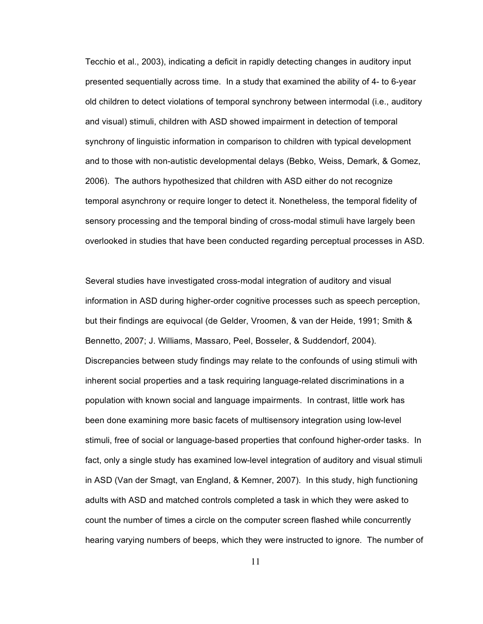Tecchio et al., 2003), indicating a deficit in rapidly detecting changes in auditory input presented sequentially across time. In a study that examined the ability of 4- to 6-year old children to detect violations of temporal synchrony between intermodal (i.e., auditory and visual) stimuli, children with ASD showed impairment in detection of temporal synchrony of linguistic information in comparison to children with typical development and to those with non-autistic developmental delays (Bebko, Weiss, Demark, & Gomez, 2006). The authors hypothesized that children with ASD either do not recognize temporal asynchrony or require longer to detect it. Nonetheless, the temporal fidelity of sensory processing and the temporal binding of cross-modal stimuli have largely been overlooked in studies that have been conducted regarding perceptual processes in ASD.

Several studies have investigated cross-modal integration of auditory and visual information in ASD during higher-order cognitive processes such as speech perception, but their findings are equivocal (de Gelder, Vroomen, & van der Heide, 1991; Smith & Bennetto, 2007; J. Williams, Massaro, Peel, Bosseler, & Suddendorf, 2004). Discrepancies between study findings may relate to the confounds of using stimuli with inherent social properties and a task requiring language-related discriminations in a population with known social and language impairments. In contrast, little work has been done examining more basic facets of multisensory integration using low-level stimuli, free of social or language-based properties that confound higher-order tasks. In fact, only a single study has examined low-level integration of auditory and visual stimuli in ASD (Van der Smagt, van England, & Kemner, 2007). In this study, high functioning adults with ASD and matched controls completed a task in which they were asked to count the number of times a circle on the computer screen flashed while concurrently hearing varying numbers of beeps, which they were instructed to ignore. The number of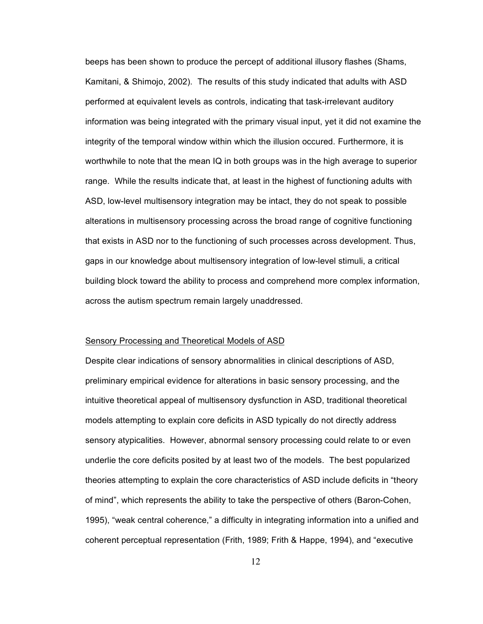beeps has been shown to produce the percept of additional illusory flashes (Shams, Kamitani, & Shimojo, 2002). The results of this study indicated that adults with ASD performed at equivalent levels as controls, indicating that task-irrelevant auditory information was being integrated with the primary visual input, yet it did not examine the integrity of the temporal window within which the illusion occured. Furthermore, it is worthwhile to note that the mean IQ in both groups was in the high average to superior range. While the results indicate that, at least in the highest of functioning adults with ASD, low-level multisensory integration may be intact, they do not speak to possible alterations in multisensory processing across the broad range of cognitive functioning that exists in ASD nor to the functioning of such processes across development. Thus, gaps in our knowledge about multisensory integration of low-level stimuli, a critical building block toward the ability to process and comprehend more complex information, across the autism spectrum remain largely unaddressed.

#### Sensory Processing and Theoretical Models of ASD

Despite clear indications of sensory abnormalities in clinical descriptions of ASD, preliminary empirical evidence for alterations in basic sensory processing, and the intuitive theoretical appeal of multisensory dysfunction in ASD, traditional theoretical models attempting to explain core deficits in ASD typically do not directly address sensory atypicalities. However, abnormal sensory processing could relate to or even underlie the core deficits posited by at least two of the models. The best popularized theories attempting to explain the core characteristics of ASD include deficits in "theory of mind", which represents the ability to take the perspective of others (Baron-Cohen, 1995), "weak central coherence," a difficulty in integrating information into a unified and coherent perceptual representation (Frith, 1989; Frith & Happe, 1994), and "executive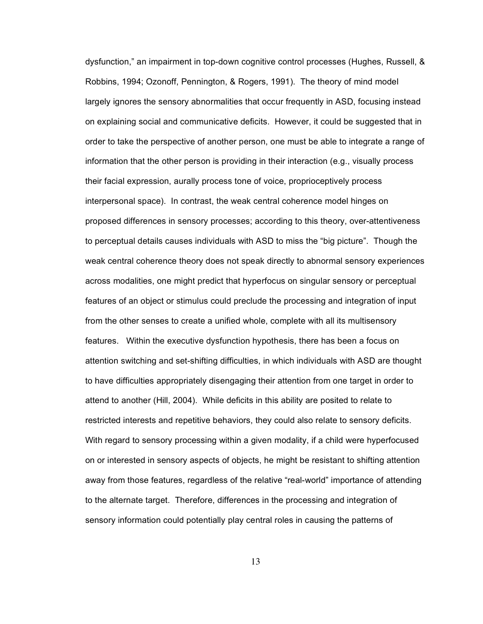dysfunction," an impairment in top-down cognitive control processes (Hughes, Russell, & Robbins, 1994; Ozonoff, Pennington, & Rogers, 1991). The theory of mind model largely ignores the sensory abnormalities that occur frequently in ASD, focusing instead on explaining social and communicative deficits. However, it could be suggested that in order to take the perspective of another person, one must be able to integrate a range of information that the other person is providing in their interaction (e.g., visually process their facial expression, aurally process tone of voice, proprioceptively process interpersonal space). In contrast, the weak central coherence model hinges on proposed differences in sensory processes; according to this theory, over-attentiveness to perceptual details causes individuals with ASD to miss the "big picture". Though the weak central coherence theory does not speak directly to abnormal sensory experiences across modalities, one might predict that hyperfocus on singular sensory or perceptual features of an object or stimulus could preclude the processing and integration of input from the other senses to create a unified whole, complete with all its multisensory features. Within the executive dysfunction hypothesis, there has been a focus on attention switching and set-shifting difficulties, in which individuals with ASD are thought to have difficulties appropriately disengaging their attention from one target in order to attend to another (Hill, 2004). While deficits in this ability are posited to relate to restricted interests and repetitive behaviors, they could also relate to sensory deficits. With regard to sensory processing within a given modality, if a child were hyperfocused on or interested in sensory aspects of objects, he might be resistant to shifting attention away from those features, regardless of the relative "real-world" importance of attending to the alternate target. Therefore, differences in the processing and integration of sensory information could potentially play central roles in causing the patterns of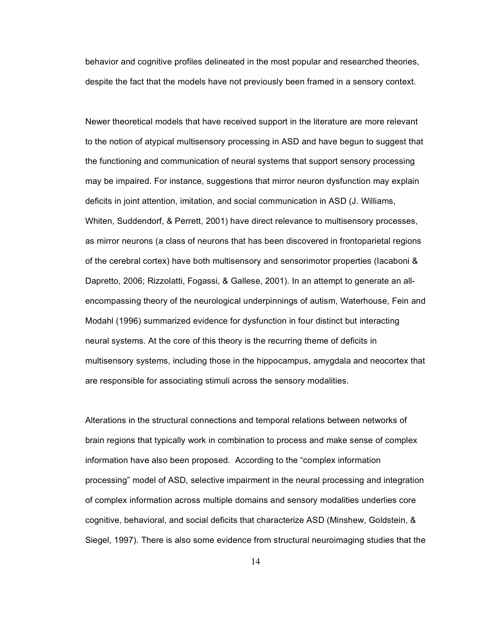behavior and cognitive profiles delineated in the most popular and researched theories, despite the fact that the models have not previously been framed in a sensory context.

Newer theoretical models that have received support in the literature are more relevant to the notion of atypical multisensory processing in ASD and have begun to suggest that the functioning and communication of neural systems that support sensory processing may be impaired. For instance, suggestions that mirror neuron dysfunction may explain deficits in joint attention, imitation, and social communication in ASD (J. Williams, Whiten, Suddendorf, & Perrett, 2001) have direct relevance to multisensory processes, as mirror neurons (a class of neurons that has been discovered in frontoparietal regions of the cerebral cortex) have both multisensory and sensorimotor properties (Iacaboni & Dapretto, 2006; Rizzolatti, Fogassi, & Gallese, 2001). In an attempt to generate an allencompassing theory of the neurological underpinnings of autism, Waterhouse, Fein and Modahl (1996) summarized evidence for dysfunction in four distinct but interacting neural systems. At the core of this theory is the recurring theme of deficits in multisensory systems, including those in the hippocampus, amygdala and neocortex that are responsible for associating stimuli across the sensory modalities.

Alterations in the structural connections and temporal relations between networks of brain regions that typically work in combination to process and make sense of complex information have also been proposed. According to the "complex information processing" model of ASD, selective impairment in the neural processing and integration of complex information across multiple domains and sensory modalities underlies core cognitive, behavioral, and social deficits that characterize ASD (Minshew, Goldstein, & Siegel, 1997). There is also some evidence from structural neuroimaging studies that the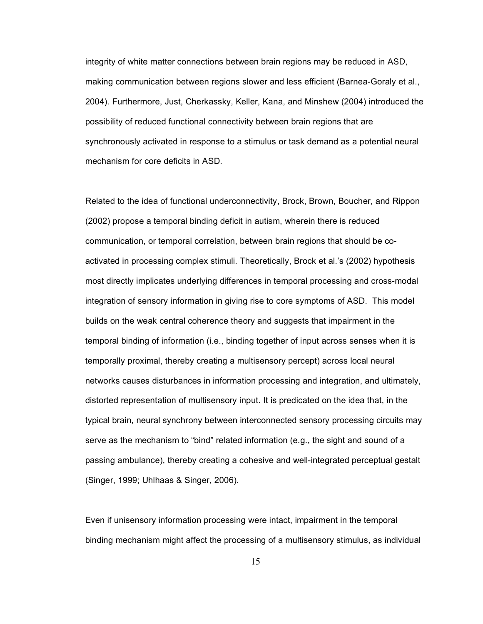integrity of white matter connections between brain regions may be reduced in ASD, making communication between regions slower and less efficient (Barnea-Goraly et al., 2004). Furthermore, Just, Cherkassky, Keller, Kana, and Minshew (2004) introduced the possibility of reduced functional connectivity between brain regions that are synchronously activated in response to a stimulus or task demand as a potential neural mechanism for core deficits in ASD.

Related to the idea of functional underconnectivity, Brock, Brown, Boucher, and Rippon (2002) propose a temporal binding deficit in autism, wherein there is reduced communication, or temporal correlation, between brain regions that should be coactivated in processing complex stimuli. Theoretically, Brock et al.'s (2002) hypothesis most directly implicates underlying differences in temporal processing and cross-modal integration of sensory information in giving rise to core symptoms of ASD. This model builds on the weak central coherence theory and suggests that impairment in the temporal binding of information (i.e., binding together of input across senses when it is temporally proximal, thereby creating a multisensory percept) across local neural networks causes disturbances in information processing and integration, and ultimately, distorted representation of multisensory input. It is predicated on the idea that, in the typical brain, neural synchrony between interconnected sensory processing circuits may serve as the mechanism to "bind" related information (e.g., the sight and sound of a passing ambulance), thereby creating a cohesive and well-integrated perceptual gestalt (Singer, 1999; Uhlhaas & Singer, 2006).

Even if unisensory information processing were intact, impairment in the temporal binding mechanism might affect the processing of a multisensory stimulus, as individual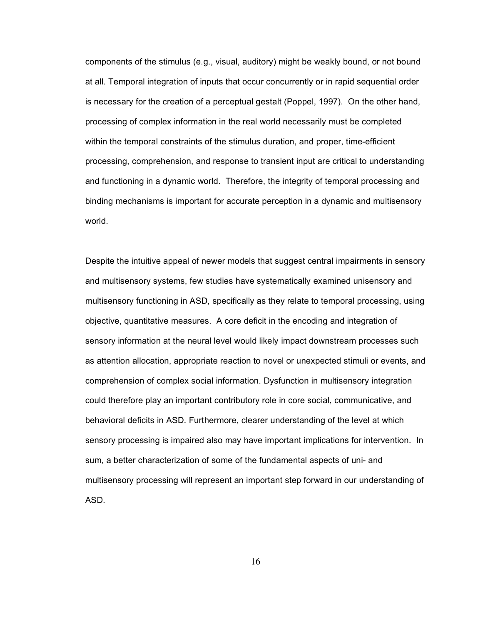components of the stimulus (e.g., visual, auditory) might be weakly bound, or not bound at all. Temporal integration of inputs that occur concurrently or in rapid sequential order is necessary for the creation of a perceptual gestalt (Poppel, 1997). On the other hand, processing of complex information in the real world necessarily must be completed within the temporal constraints of the stimulus duration, and proper, time-efficient processing, comprehension, and response to transient input are critical to understanding and functioning in a dynamic world. Therefore, the integrity of temporal processing and binding mechanisms is important for accurate perception in a dynamic and multisensory world.

Despite the intuitive appeal of newer models that suggest central impairments in sensory and multisensory systems, few studies have systematically examined unisensory and multisensory functioning in ASD, specifically as they relate to temporal processing, using objective, quantitative measures. A core deficit in the encoding and integration of sensory information at the neural level would likely impact downstream processes such as attention allocation, appropriate reaction to novel or unexpected stimuli or events, and comprehension of complex social information. Dysfunction in multisensory integration could therefore play an important contributory role in core social, communicative, and behavioral deficits in ASD. Furthermore, clearer understanding of the level at which sensory processing is impaired also may have important implications for intervention. In sum, a better characterization of some of the fundamental aspects of uni- and multisensory processing will represent an important step forward in our understanding of ASD.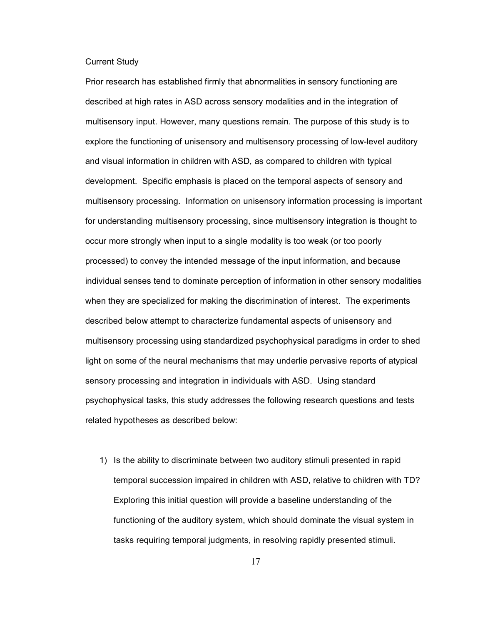### Current Study

Prior research has established firmly that abnormalities in sensory functioning are described at high rates in ASD across sensory modalities and in the integration of multisensory input. However, many questions remain. The purpose of this study is to explore the functioning of unisensory and multisensory processing of low-level auditory and visual information in children with ASD, as compared to children with typical development. Specific emphasis is placed on the temporal aspects of sensory and multisensory processing. Information on unisensory information processing is important for understanding multisensory processing, since multisensory integration is thought to occur more strongly when input to a single modality is too weak (or too poorly processed) to convey the intended message of the input information, and because individual senses tend to dominate perception of information in other sensory modalities when they are specialized for making the discrimination of interest. The experiments described below attempt to characterize fundamental aspects of unisensory and multisensory processing using standardized psychophysical paradigms in order to shed light on some of the neural mechanisms that may underlie pervasive reports of atypical sensory processing and integration in individuals with ASD. Using standard psychophysical tasks, this study addresses the following research questions and tests related hypotheses as described below:

1) Is the ability to discriminate between two auditory stimuli presented in rapid temporal succession impaired in children with ASD, relative to children with TD? Exploring this initial question will provide a baseline understanding of the functioning of the auditory system, which should dominate the visual system in tasks requiring temporal judgments, in resolving rapidly presented stimuli.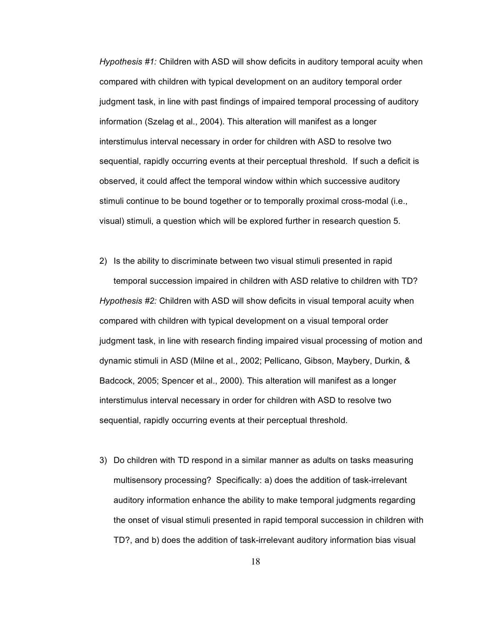*Hypothesis #1:* Children with ASD will show deficits in auditory temporal acuity when compared with children with typical development on an auditory temporal order judgment task, in line with past findings of impaired temporal processing of auditory information (Szelag et al., 2004). This alteration will manifest as a longer interstimulus interval necessary in order for children with ASD to resolve two sequential, rapidly occurring events at their perceptual threshold. If such a deficit is observed, it could affect the temporal window within which successive auditory stimuli continue to be bound together or to temporally proximal cross-modal (i.e., visual) stimuli, a question which will be explored further in research question 5.

- 2) Is the ability to discriminate between two visual stimuli presented in rapid temporal succession impaired in children with ASD relative to children with TD? *Hypothesis #2:* Children with ASD will show deficits in visual temporal acuity when compared with children with typical development on a visual temporal order judgment task, in line with research finding impaired visual processing of motion and dynamic stimuli in ASD (Milne et al., 2002; Pellicano, Gibson, Maybery, Durkin, & Badcock, 2005; Spencer et al., 2000). This alteration will manifest as a longer interstimulus interval necessary in order for children with ASD to resolve two sequential, rapidly occurring events at their perceptual threshold.
- 3) Do children with TD respond in a similar manner as adults on tasks measuring multisensory processing? Specifically: a) does the addition of task-irrelevant auditory information enhance the ability to make temporal judgments regarding the onset of visual stimuli presented in rapid temporal succession in children with TD?, and b) does the addition of task-irrelevant auditory information bias visual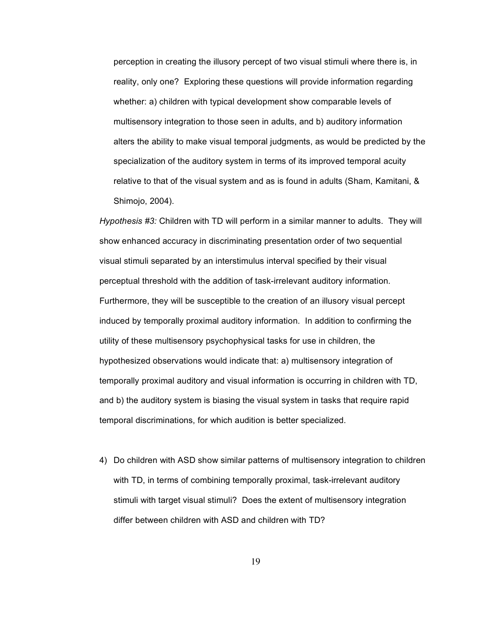perception in creating the illusory percept of two visual stimuli where there is, in reality, only one? Exploring these questions will provide information regarding whether: a) children with typical development show comparable levels of multisensory integration to those seen in adults, and b) auditory information alters the ability to make visual temporal judgments, as would be predicted by the specialization of the auditory system in terms of its improved temporal acuity relative to that of the visual system and as is found in adults (Sham, Kamitani, & Shimojo, 2004).

*Hypothesis #3:* Children with TD will perform in a similar manner to adults. They will show enhanced accuracy in discriminating presentation order of two sequential visual stimuli separated by an interstimulus interval specified by their visual perceptual threshold with the addition of task-irrelevant auditory information. Furthermore, they will be susceptible to the creation of an illusory visual percept induced by temporally proximal auditory information. In addition to confirming the utility of these multisensory psychophysical tasks for use in children, the hypothesized observations would indicate that: a) multisensory integration of temporally proximal auditory and visual information is occurring in children with TD, and b) the auditory system is biasing the visual system in tasks that require rapid temporal discriminations, for which audition is better specialized.

4) Do children with ASD show similar patterns of multisensory integration to children with TD, in terms of combining temporally proximal, task-irrelevant auditory stimuli with target visual stimuli? Does the extent of multisensory integration differ between children with ASD and children with TD?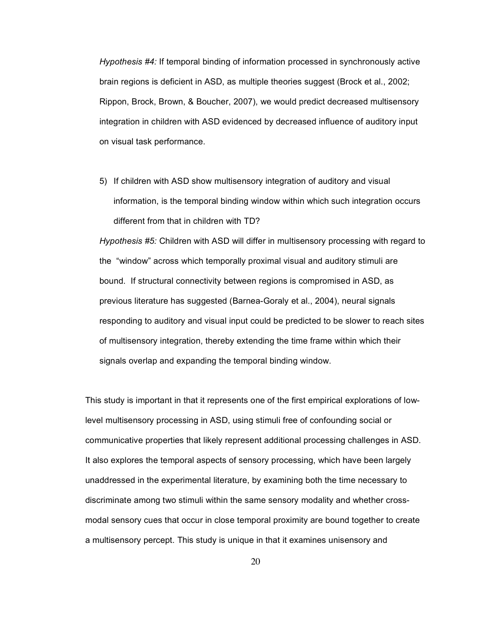*Hypothesis #4:* If temporal binding of information processed in synchronously active brain regions is deficient in ASD, as multiple theories suggest (Brock et al., 2002; Rippon, Brock, Brown, & Boucher, 2007), we would predict decreased multisensory integration in children with ASD evidenced by decreased influence of auditory input on visual task performance.

5) If children with ASD show multisensory integration of auditory and visual information, is the temporal binding window within which such integration occurs different from that in children with TD?

*Hypothesis #5:* Children with ASD will differ in multisensory processing with regard to the "window" across which temporally proximal visual and auditory stimuli are bound. If structural connectivity between regions is compromised in ASD, as previous literature has suggested (Barnea-Goraly et al., 2004), neural signals responding to auditory and visual input could be predicted to be slower to reach sites of multisensory integration, thereby extending the time frame within which their signals overlap and expanding the temporal binding window.

This study is important in that it represents one of the first empirical explorations of lowlevel multisensory processing in ASD, using stimuli free of confounding social or communicative properties that likely represent additional processing challenges in ASD. It also explores the temporal aspects of sensory processing, which have been largely unaddressed in the experimental literature, by examining both the time necessary to discriminate among two stimuli within the same sensory modality and whether crossmodal sensory cues that occur in close temporal proximity are bound together to create a multisensory percept. This study is unique in that it examines unisensory and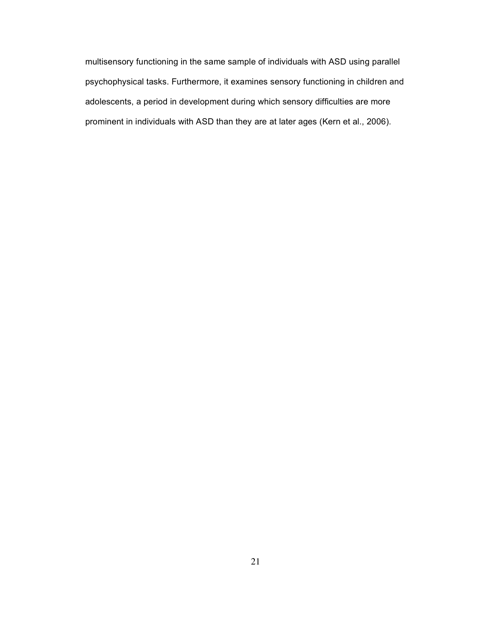multisensory functioning in the same sample of individuals with ASD using parallel psychophysical tasks. Furthermore, it examines sensory functioning in children and adolescents, a period in development during which sensory difficulties are more prominent in individuals with ASD than they are at later ages (Kern et al., 2006).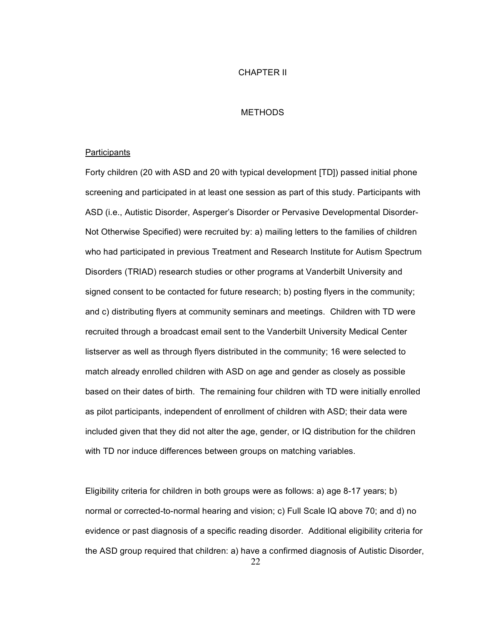## CHAPTER II

# **METHODS**

## **Participants**

Forty children (20 with ASD and 20 with typical development [TD]) passed initial phone screening and participated in at least one session as part of this study. Participants with ASD (i.e., Autistic Disorder, Asperger's Disorder or Pervasive Developmental Disorder-Not Otherwise Specified) were recruited by: a) mailing letters to the families of children who had participated in previous Treatment and Research Institute for Autism Spectrum Disorders (TRIAD) research studies or other programs at Vanderbilt University and signed consent to be contacted for future research; b) posting flyers in the community; and c) distributing flyers at community seminars and meetings. Children with TD were recruited through a broadcast email sent to the Vanderbilt University Medical Center listserver as well as through flyers distributed in the community; 16 were selected to match already enrolled children with ASD on age and gender as closely as possible based on their dates of birth. The remaining four children with TD were initially enrolled as pilot participants, independent of enrollment of children with ASD; their data were included given that they did not alter the age, gender, or IQ distribution for the children with TD nor induce differences between groups on matching variables.

Eligibility criteria for children in both groups were as follows: a) age 8-17 years; b) normal or corrected-to-normal hearing and vision; c) Full Scale IQ above 70; and d) no evidence or past diagnosis of a specific reading disorder. Additional eligibility criteria for the ASD group required that children: a) have a confirmed diagnosis of Autistic Disorder,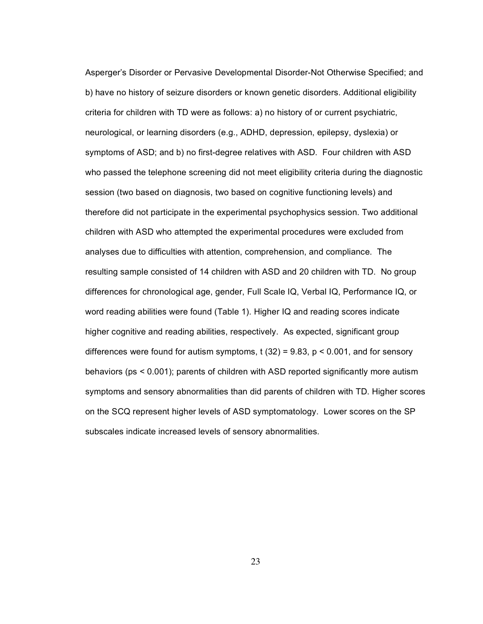Asperger's Disorder or Pervasive Developmental Disorder-Not Otherwise Specified; and b) have no history of seizure disorders or known genetic disorders. Additional eligibility criteria for children with TD were as follows: a) no history of or current psychiatric, neurological, or learning disorders (e.g., ADHD, depression, epilepsy, dyslexia) or symptoms of ASD; and b) no first-degree relatives with ASD. Four children with ASD who passed the telephone screening did not meet eligibility criteria during the diagnostic session (two based on diagnosis, two based on cognitive functioning levels) and therefore did not participate in the experimental psychophysics session. Two additional children with ASD who attempted the experimental procedures were excluded from analyses due to difficulties with attention, comprehension, and compliance. The resulting sample consisted of 14 children with ASD and 20 children with TD. No group differences for chronological age, gender, Full Scale IQ, Verbal IQ, Performance IQ, or word reading abilities were found (Table 1). Higher IQ and reading scores indicate higher cognitive and reading abilities, respectively. As expected, significant group differences were found for autism symptoms,  $t$  (32) = 9.83,  $p < 0.001$ , and for sensory behaviors (ps < 0.001); parents of children with ASD reported significantly more autism symptoms and sensory abnormalities than did parents of children with TD. Higher scores on the SCQ represent higher levels of ASD symptomatology. Lower scores on the SP subscales indicate increased levels of sensory abnormalities.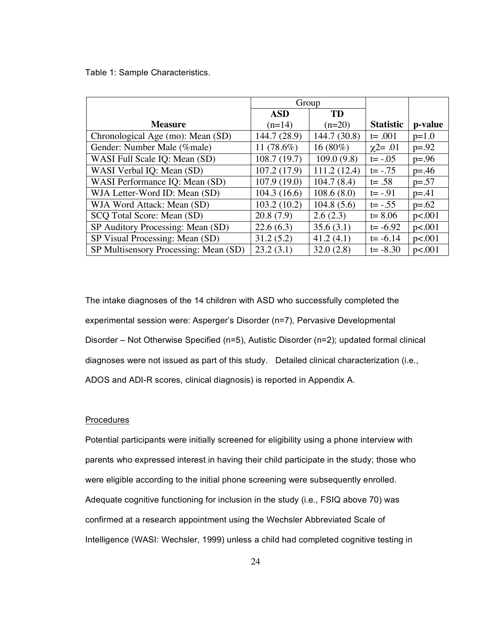Table 1: Sample Characteristics.

|                                       | Group        |              |                  |            |
|---------------------------------------|--------------|--------------|------------------|------------|
|                                       | <b>ASD</b>   | TD           |                  |            |
| <b>Measure</b>                        | $(n=14)$     | $(n=20)$     | <b>Statistic</b> | p-value    |
| Chronological Age (mo): Mean (SD)     | 144.7 (28.9) | 144.7 (30.8) | $t = .001$       | $p=1.0$    |
| Gender: Number Male (%male)           | 11 $(78.6%)$ | $16(80\%)$   | $\chi$ 2= .01    | $p=.92$    |
| WASI Full Scale IQ: Mean (SD)         | 108.7(19.7)  | 109.0(9.8)   | $t = -.05$       | $p = .96$  |
| WASI Verbal IQ: Mean (SD)             | 107.2 (17.9) | 111.2(12.4)  | $t = -.75$       | $p = 0.46$ |
| WASI Performance IQ: Mean (SD)        | 107.9(19.0)  | 104.7(8.4)   | $t = .58$        | $p=.57$    |
| WJA Letter-Word ID: Mean (SD)         | 104.3(16.6)  | 108.6(8.0)   | $t = -.91$       | $p = 0.41$ |
| WJA Word Attack: Mean (SD)            | 103.2(10.2)  | 104.8(5.6)   | $t = -.55$       | $p=.62$    |
| SCQ Total Score: Mean (SD)            | 20.8(7.9)    | 2.6(2.3)     | $t = 8.06$       | p<.001     |
| SP Auditory Processing: Mean (SD)     | 22.6(6.3)    | 35.6(3.1)    | $t = -6.92$      | p<.001     |
| SP Visual Processing: Mean (SD)       | 31.2(5.2)    | 41.2(4.1)    | $t = -6.14$      | p<.001     |
| SP Multisensory Processing: Mean (SD) | 23.2(3.1)    | 32.0(2.8)    | $t = -8.30$      | p<.001     |

The intake diagnoses of the 14 children with ASD who successfully completed the experimental session were: Asperger's Disorder (n=7), Pervasive Developmental Disorder – Not Otherwise Specified (n=5), Autistic Disorder (n=2); updated formal clinical diagnoses were not issued as part of this study. Detailed clinical characterization (i.e., ADOS and ADI-R scores, clinical diagnosis) is reported in Appendix A.

# **Procedures**

Potential participants were initially screened for eligibility using a phone interview with parents who expressed interest in having their child participate in the study; those who were eligible according to the initial phone screening were subsequently enrolled. Adequate cognitive functioning for inclusion in the study (i.e., FSIQ above 70) was confirmed at a research appointment using the Wechsler Abbreviated Scale of Intelligence (WASI: Wechsler, 1999) unless a child had completed cognitive testing in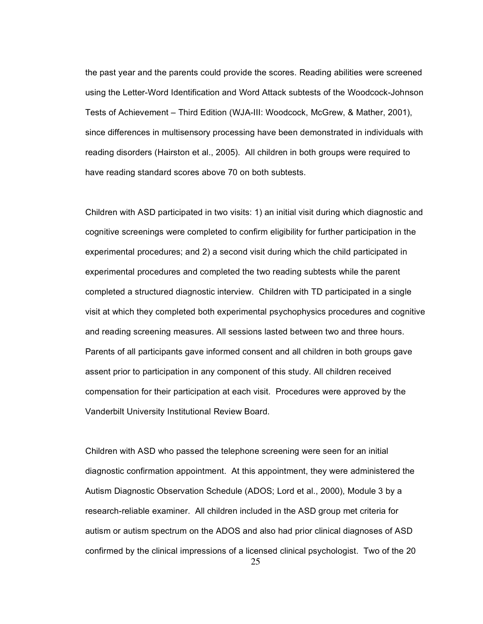the past year and the parents could provide the scores. Reading abilities were screened using the Letter-Word Identification and Word Attack subtests of the Woodcock-Johnson Tests of Achievement – Third Edition (WJA-III: Woodcock, McGrew, & Mather, 2001), since differences in multisensory processing have been demonstrated in individuals with reading disorders (Hairston et al., 2005). All children in both groups were required to have reading standard scores above 70 on both subtests.

Children with ASD participated in two visits: 1) an initial visit during which diagnostic and cognitive screenings were completed to confirm eligibility for further participation in the experimental procedures; and 2) a second visit during which the child participated in experimental procedures and completed the two reading subtests while the parent completed a structured diagnostic interview. Children with TD participated in a single visit at which they completed both experimental psychophysics procedures and cognitive and reading screening measures. All sessions lasted between two and three hours. Parents of all participants gave informed consent and all children in both groups gave assent prior to participation in any component of this study. All children received compensation for their participation at each visit. Procedures were approved by the Vanderbilt University Institutional Review Board.

Children with ASD who passed the telephone screening were seen for an initial diagnostic confirmation appointment. At this appointment, they were administered the Autism Diagnostic Observation Schedule (ADOS; Lord et al., 2000), Module 3 by a research-reliable examiner. All children included in the ASD group met criteria for autism or autism spectrum on the ADOS and also had prior clinical diagnoses of ASD confirmed by the clinical impressions of a licensed clinical psychologist. Two of the 20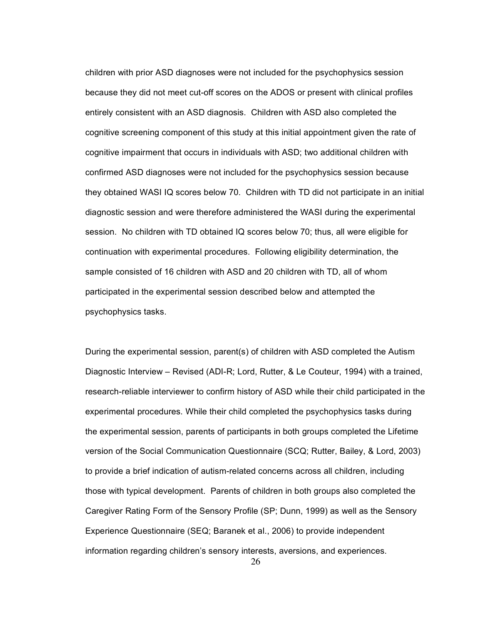children with prior ASD diagnoses were not included for the psychophysics session because they did not meet cut-off scores on the ADOS or present with clinical profiles entirely consistent with an ASD diagnosis. Children with ASD also completed the cognitive screening component of this study at this initial appointment given the rate of cognitive impairment that occurs in individuals with ASD; two additional children with confirmed ASD diagnoses were not included for the psychophysics session because they obtained WASI IQ scores below 70. Children with TD did not participate in an initial diagnostic session and were therefore administered the WASI during the experimental session. No children with TD obtained IQ scores below 70; thus, all were eligible for continuation with experimental procedures. Following eligibility determination, the sample consisted of 16 children with ASD and 20 children with TD, all of whom participated in the experimental session described below and attempted the psychophysics tasks.

During the experimental session, parent(s) of children with ASD completed the Autism Diagnostic Interview – Revised (ADI-R; Lord, Rutter, & Le Couteur, 1994) with a trained, research-reliable interviewer to confirm history of ASD while their child participated in the experimental procedures. While their child completed the psychophysics tasks during the experimental session, parents of participants in both groups completed the Lifetime version of the Social Communication Questionnaire (SCQ; Rutter, Bailey, & Lord, 2003) to provide a brief indication of autism-related concerns across all children, including those with typical development. Parents of children in both groups also completed the Caregiver Rating Form of the Sensory Profile (SP; Dunn, 1999) as well as the Sensory Experience Questionnaire (SEQ; Baranek et al., 2006) to provide independent information regarding children's sensory interests, aversions, and experiences.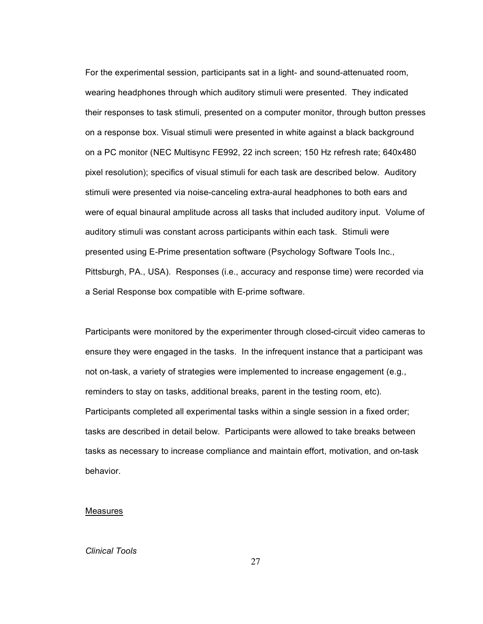For the experimental session, participants sat in a light- and sound-attenuated room, wearing headphones through which auditory stimuli were presented. They indicated their responses to task stimuli, presented on a computer monitor, through button presses on a response box. Visual stimuli were presented in white against a black background on a PC monitor (NEC Multisync FE992, 22 inch screen; 150 Hz refresh rate; 640x480 pixel resolution); specifics of visual stimuli for each task are described below. Auditory stimuli were presented via noise-canceling extra-aural headphones to both ears and were of equal binaural amplitude across all tasks that included auditory input. Volume of auditory stimuli was constant across participants within each task. Stimuli were presented using E-Prime presentation software (Psychology Software Tools Inc., Pittsburgh, PA., USA). Responses (i.e., accuracy and response time) were recorded via a Serial Response box compatible with E-prime software.

Participants were monitored by the experimenter through closed-circuit video cameras to ensure they were engaged in the tasks. In the infrequent instance that a participant was not on-task, a variety of strategies were implemented to increase engagement (e.g., reminders to stay on tasks, additional breaks, parent in the testing room, etc). Participants completed all experimental tasks within a single session in a fixed order; tasks are described in detail below. Participants were allowed to take breaks between tasks as necessary to increase compliance and maintain effort, motivation, and on-task behavior.

#### Measures

## *Clinical Tools*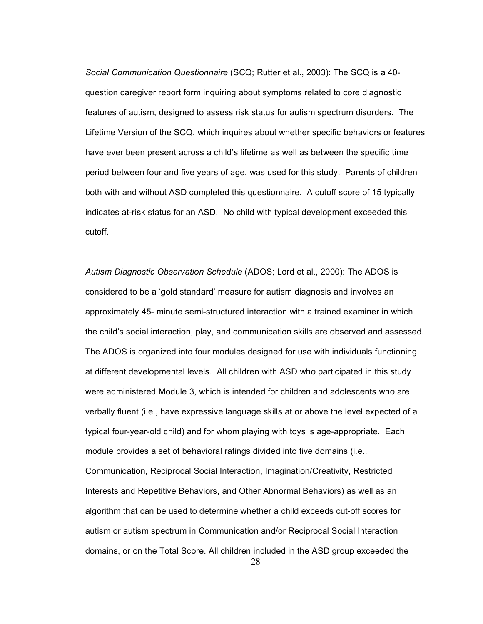*Social Communication Questionnaire* (SCQ; Rutter et al., 2003): The SCQ is a 40 question caregiver report form inquiring about symptoms related to core diagnostic features of autism, designed to assess risk status for autism spectrum disorders. The Lifetime Version of the SCQ, which inquires about whether specific behaviors or features have ever been present across a child's lifetime as well as between the specific time period between four and five years of age, was used for this study. Parents of children both with and without ASD completed this questionnaire. A cutoff score of 15 typically indicates at-risk status for an ASD. No child with typical development exceeded this cutoff.

*Autism Diagnostic Observation Schedule* (ADOS; Lord et al., 2000): The ADOS is considered to be a 'gold standard' measure for autism diagnosis and involves an approximately 45- minute semi-structured interaction with a trained examiner in which the child's social interaction, play, and communication skills are observed and assessed. The ADOS is organized into four modules designed for use with individuals functioning at different developmental levels. All children with ASD who participated in this study were administered Module 3, which is intended for children and adolescents who are verbally fluent (i.e., have expressive language skills at or above the level expected of a typical four-year-old child) and for whom playing with toys is age-appropriate. Each module provides a set of behavioral ratings divided into five domains (i.e., Communication, Reciprocal Social Interaction, Imagination/Creativity, Restricted Interests and Repetitive Behaviors, and Other Abnormal Behaviors) as well as an algorithm that can be used to determine whether a child exceeds cut-off scores for autism or autism spectrum in Communication and/or Reciprocal Social Interaction domains, or on the Total Score. All children included in the ASD group exceeded the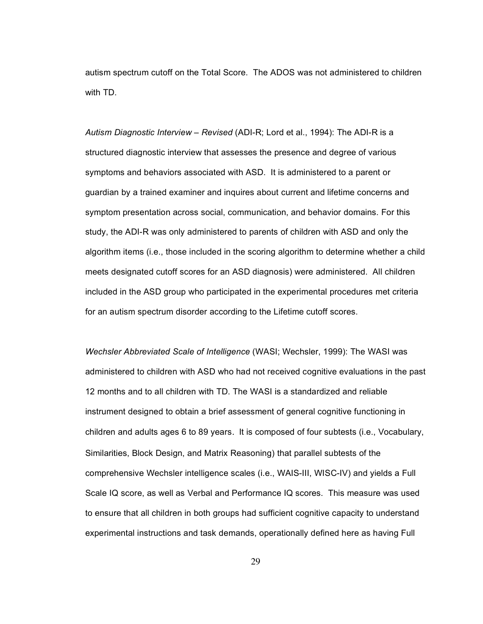autism spectrum cutoff on the Total Score. The ADOS was not administered to children with TD.

*Autism Diagnostic Interview – Revised* (ADI-R; Lord et al., 1994): The ADI-R is a structured diagnostic interview that assesses the presence and degree of various symptoms and behaviors associated with ASD. It is administered to a parent or guardian by a trained examiner and inquires about current and lifetime concerns and symptom presentation across social, communication, and behavior domains. For this study, the ADI-R was only administered to parents of children with ASD and only the algorithm items (i.e., those included in the scoring algorithm to determine whether a child meets designated cutoff scores for an ASD diagnosis) were administered. All children included in the ASD group who participated in the experimental procedures met criteria for an autism spectrum disorder according to the Lifetime cutoff scores.

*Wechsler Abbreviated Scale of Intelligence* (WASI; Wechsler, 1999): The WASI was administered to children with ASD who had not received cognitive evaluations in the past 12 months and to all children with TD. The WASI is a standardized and reliable instrument designed to obtain a brief assessment of general cognitive functioning in children and adults ages 6 to 89 years. It is composed of four subtests (i.e., Vocabulary, Similarities, Block Design, and Matrix Reasoning) that parallel subtests of the comprehensive Wechsler intelligence scales (i.e., WAIS-III, WISC-IV) and yields a Full Scale IQ score, as well as Verbal and Performance IQ scores. This measure was used to ensure that all children in both groups had sufficient cognitive capacity to understand experimental instructions and task demands, operationally defined here as having Full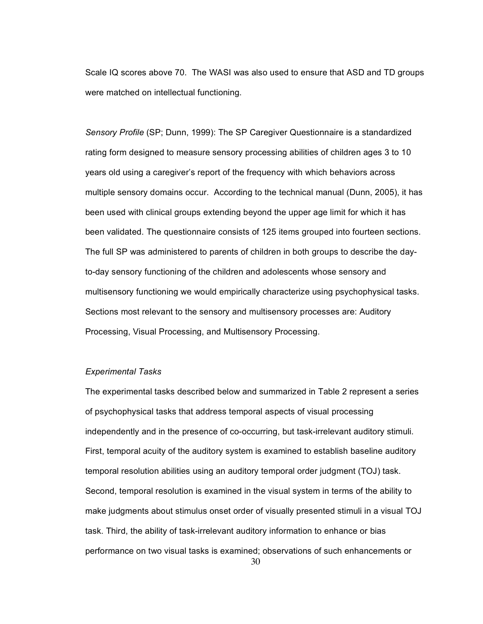Scale IQ scores above 70. The WASI was also used to ensure that ASD and TD groups were matched on intellectual functioning.

*Sensory Profile* (SP; Dunn, 1999): The SP Caregiver Questionnaire is a standardized rating form designed to measure sensory processing abilities of children ages 3 to 10 years old using a caregiver's report of the frequency with which behaviors across multiple sensory domains occur. According to the technical manual (Dunn, 2005), it has been used with clinical groups extending beyond the upper age limit for which it has been validated. The questionnaire consists of 125 items grouped into fourteen sections. The full SP was administered to parents of children in both groups to describe the dayto-day sensory functioning of the children and adolescents whose sensory and multisensory functioning we would empirically characterize using psychophysical tasks. Sections most relevant to the sensory and multisensory processes are: Auditory Processing, Visual Processing, and Multisensory Processing.

#### *Experimental Tasks*

The experimental tasks described below and summarized in Table 2 represent a series of psychophysical tasks that address temporal aspects of visual processing independently and in the presence of co-occurring, but task-irrelevant auditory stimuli. First, temporal acuity of the auditory system is examined to establish baseline auditory temporal resolution abilities using an auditory temporal order judgment (TOJ) task. Second, temporal resolution is examined in the visual system in terms of the ability to make judgments about stimulus onset order of visually presented stimuli in a visual TOJ task. Third, the ability of task-irrelevant auditory information to enhance or bias performance on two visual tasks is examined; observations of such enhancements or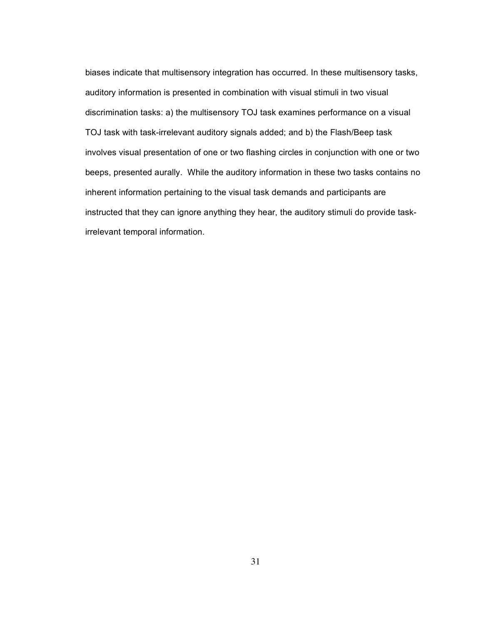biases indicate that multisensory integration has occurred. In these multisensory tasks, auditory information is presented in combination with visual stimuli in two visual discrimination tasks: a) the multisensory TOJ task examines performance on a visual TOJ task with task-irrelevant auditory signals added; and b) the Flash/Beep task involves visual presentation of one or two flashing circles in conjunction with one or two beeps, presented aurally. While the auditory information in these two tasks contains no inherent information pertaining to the visual task demands and participants are instructed that they can ignore anything they hear, the auditory stimuli do provide taskirrelevant temporal information.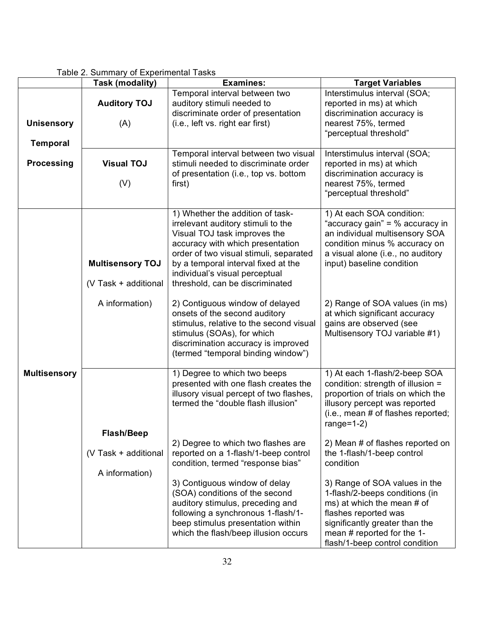|                                      | rabic 2. Odminiary or Exportmental Tabilo<br>Task (modality) | <b>Examines:</b>                                                                                                                                                                                                                                                                                 | <b>Target Variables</b>                                                                                                                                                                                                 |
|--------------------------------------|--------------------------------------------------------------|--------------------------------------------------------------------------------------------------------------------------------------------------------------------------------------------------------------------------------------------------------------------------------------------------|-------------------------------------------------------------------------------------------------------------------------------------------------------------------------------------------------------------------------|
| <b>Unisensory</b><br><b>Temporal</b> | <b>Auditory TOJ</b><br>(A)                                   | Temporal interval between two<br>auditory stimuli needed to<br>discriminate order of presentation<br>(i.e., left vs. right ear first)                                                                                                                                                            | Interstimulus interval (SOA;<br>reported in ms) at which<br>discrimination accuracy is<br>nearest 75%, termed<br>"perceptual threshold"                                                                                 |
| <b>Processing</b>                    | <b>Visual TOJ</b><br>(V)                                     | Temporal interval between two visual<br>stimuli needed to discriminate order<br>of presentation (i.e., top vs. bottom<br>first)                                                                                                                                                                  | Interstimulus interval (SOA;<br>reported in ms) at which<br>discrimination accuracy is<br>nearest 75%, termed<br>"perceptual threshold"                                                                                 |
|                                      | <b>Multisensory TOJ</b><br>(V Task + additional              | 1) Whether the addition of task-<br>irrelevant auditory stimuli to the<br>Visual TOJ task improves the<br>accuracy with which presentation<br>order of two visual stimuli, separated<br>by a temporal interval fixed at the<br>individual's visual perceptual<br>threshold, can be discriminated | 1) At each SOA condition:<br>"accuracy gain" = % accuracy in<br>an individual multisensory SOA<br>condition minus % accuracy on<br>a visual alone (i.e., no auditory<br>input) baseline condition                       |
|                                      | A information)                                               | 2) Contiguous window of delayed<br>onsets of the second auditory<br>stimulus, relative to the second visual<br>stimulus (SOAs), for which<br>discrimination accuracy is improved<br>(termed "temporal binding window")                                                                           | 2) Range of SOA values (in ms)<br>at which significant accuracy<br>gains are observed (see<br>Multisensory TOJ variable #1)                                                                                             |
| <b>Multisensory</b>                  | <b>Flash/Beep</b>                                            | 1) Degree to which two beeps<br>presented with one flash creates the<br>illusory visual percept of two flashes,<br>termed the "double flash illusion"                                                                                                                                            | 1) At each 1-flash/2-beep SOA<br>condition: strength of illusion =<br>proportion of trials on which the<br>illusory percept was reported<br>(i.e., mean # of flashes reported;<br>range= $1-2$ )                        |
|                                      | (V Task + additional<br>A information)                       | 2) Degree to which two flashes are<br>reported on a 1-flash/1-beep control<br>condition, termed "response bias"                                                                                                                                                                                  | 2) Mean # of flashes reported on<br>the 1-flash/1-beep control<br>condition                                                                                                                                             |
|                                      |                                                              | 3) Contiguous window of delay<br>(SOA) conditions of the second<br>auditory stimulus, preceding and<br>following a synchronous 1-flash/1-<br>beep stimulus presentation within<br>which the flash/beep illusion occurs                                                                           | 3) Range of SOA values in the<br>1-flash/2-beeps conditions (in<br>ms) at which the mean # of<br>flashes reported was<br>significantly greater than the<br>mean # reported for the 1-<br>flash/1-beep control condition |

# Table 2. Summary of Experimental Tasks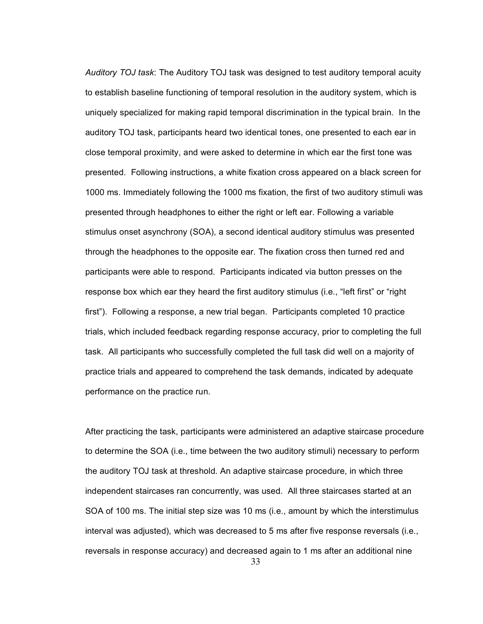*Auditory TOJ task*: The Auditory TOJ task was designed to test auditory temporal acuity to establish baseline functioning of temporal resolution in the auditory system, which is uniquely specialized for making rapid temporal discrimination in the typical brain. In the auditory TOJ task, participants heard two identical tones, one presented to each ear in close temporal proximity, and were asked to determine in which ear the first tone was presented. Following instructions, a white fixation cross appeared on a black screen for 1000 ms. Immediately following the 1000 ms fixation, the first of two auditory stimuli was presented through headphones to either the right or left ear. Following a variable stimulus onset asynchrony (SOA), a second identical auditory stimulus was presented through the headphones to the opposite ear. The fixation cross then turned red and participants were able to respond. Participants indicated via button presses on the response box which ear they heard the first auditory stimulus (i.e., "left first" or "right first"). Following a response, a new trial began. Participants completed 10 practice trials, which included feedback regarding response accuracy, prior to completing the full task. All participants who successfully completed the full task did well on a majority of practice trials and appeared to comprehend the task demands, indicated by adequate performance on the practice run.

After practicing the task, participants were administered an adaptive staircase procedure to determine the SOA (i.e., time between the two auditory stimuli) necessary to perform the auditory TOJ task at threshold. An adaptive staircase procedure, in which three independent staircases ran concurrently, was used. All three staircases started at an SOA of 100 ms. The initial step size was 10 ms (i.e., amount by which the interstimulus interval was adjusted), which was decreased to 5 ms after five response reversals (i.e., reversals in response accuracy) and decreased again to 1 ms after an additional nine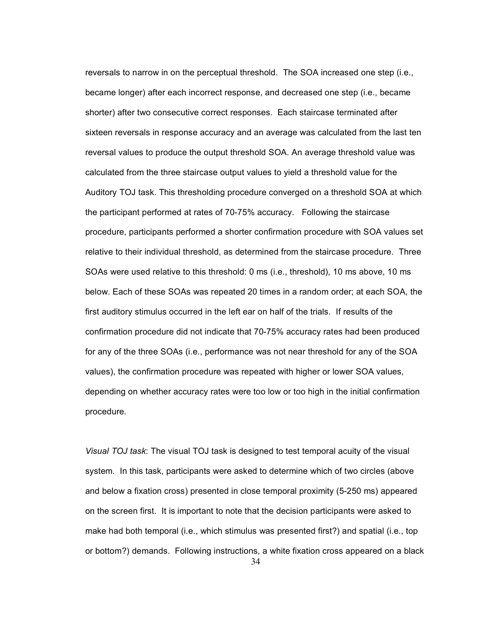reversals to narrow in on the perceptual threshold. The SOA increased one step (i.e., became longer) after each incorrect response, and decreased one step (i.e., became shorter) after two consecutive correct responses. Each staircase terminated after sixteen reversals in response accuracy and an average was calculated from the last ten reversal values to produce the output threshold SOA. An average threshold value was calculated from the three staircase output values to yield a threshold value for the Auditory TOJ task. This thresholding procedure converged on a threshold SOA at which the participant performed at rates of 70-75% accuracy. Following the staircase procedure, participants performed a shorter confirmation procedure with SOA values set relative to their individual threshold, as determined from the staircase procedure. Three SOAs were used relative to this threshold: 0 ms (i.e., threshold), 10 ms above, 10 ms below. Each of these SOAs was repeated 20 times in a random order; at each SOA, the first auditory stimulus occurred in the left ear on half of the trials. If results of the confirmation procedure did not indicate that 70-75% accuracy rates had been produced for any of the three SOAs (i.e., performance was not near threshold for any of the SOA values), the confirmation procedure was repeated with higher or lower SOA values, depending on whether accuracy rates were too low or too high in the initial confirmation procedure.

*Visual TOJ task*: The visual TOJ task is designed to test temporal acuity of the visual system. In this task, participants were asked to determine which of two circles (above and below a fixation cross) presented in close temporal proximity (5-250 ms) appeared on the screen first. It is important to note that the decision participants were asked to make had both temporal (i.e., which stimulus was presented first?) and spatial (i.e., top or bottom?) demands. Following instructions, a white fixation cross appeared on a black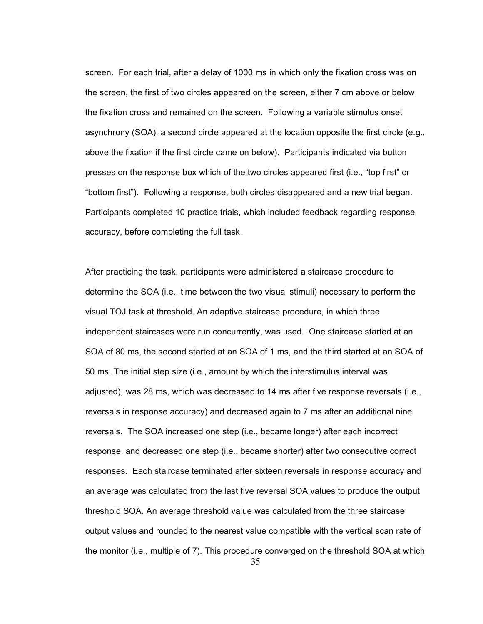screen. For each trial, after a delay of 1000 ms in which only the fixation cross was on the screen, the first of two circles appeared on the screen, either 7 cm above or below the fixation cross and remained on the screen. Following a variable stimulus onset asynchrony (SOA), a second circle appeared at the location opposite the first circle (e.g., above the fixation if the first circle came on below). Participants indicated via button presses on the response box which of the two circles appeared first (i.e., "top first" or "bottom first"). Following a response, both circles disappeared and a new trial began. Participants completed 10 practice trials, which included feedback regarding response accuracy, before completing the full task.

After practicing the task, participants were administered a staircase procedure to determine the SOA (i.e., time between the two visual stimuli) necessary to perform the visual TOJ task at threshold. An adaptive staircase procedure, in which three independent staircases were run concurrently, was used. One staircase started at an SOA of 80 ms, the second started at an SOA of 1 ms, and the third started at an SOA of 50 ms. The initial step size (i.e., amount by which the interstimulus interval was adjusted), was 28 ms, which was decreased to 14 ms after five response reversals (i.e., reversals in response accuracy) and decreased again to 7 ms after an additional nine reversals. The SOA increased one step (i.e., became longer) after each incorrect response, and decreased one step (i.e., became shorter) after two consecutive correct responses. Each staircase terminated after sixteen reversals in response accuracy and an average was calculated from the last five reversal SOA values to produce the output threshold SOA. An average threshold value was calculated from the three staircase output values and rounded to the nearest value compatible with the vertical scan rate of the monitor (i.e., multiple of 7). This procedure converged on the threshold SOA at which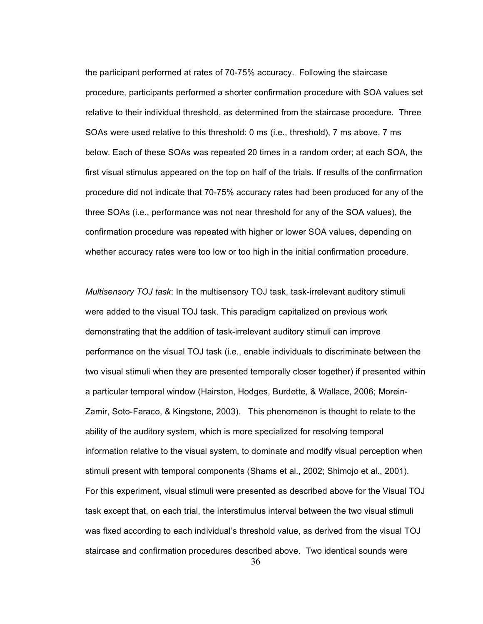the participant performed at rates of 70-75% accuracy. Following the staircase procedure, participants performed a shorter confirmation procedure with SOA values set relative to their individual threshold, as determined from the staircase procedure. Three SOAs were used relative to this threshold: 0 ms (i.e., threshold), 7 ms above, 7 ms below. Each of these SOAs was repeated 20 times in a random order; at each SOA, the first visual stimulus appeared on the top on half of the trials. If results of the confirmation procedure did not indicate that 70-75% accuracy rates had been produced for any of the three SOAs (i.e., performance was not near threshold for any of the SOA values), the confirmation procedure was repeated with higher or lower SOA values, depending on whether accuracy rates were too low or too high in the initial confirmation procedure.

*Multisensory TOJ task*: In the multisensory TOJ task, task-irrelevant auditory stimuli were added to the visual TOJ task. This paradigm capitalized on previous work demonstrating that the addition of task-irrelevant auditory stimuli can improve performance on the visual TOJ task (i.e., enable individuals to discriminate between the two visual stimuli when they are presented temporally closer together) if presented within a particular temporal window (Hairston, Hodges, Burdette, & Wallace, 2006; Morein-Zamir, Soto-Faraco, & Kingstone, 2003). This phenomenon is thought to relate to the ability of the auditory system, which is more specialized for resolving temporal information relative to the visual system, to dominate and modify visual perception when stimuli present with temporal components (Shams et al., 2002; Shimojo et al., 2001). For this experiment, visual stimuli were presented as described above for the Visual TOJ task except that, on each trial, the interstimulus interval between the two visual stimuli was fixed according to each individual's threshold value, as derived from the visual TOJ staircase and confirmation procedures described above. Two identical sounds were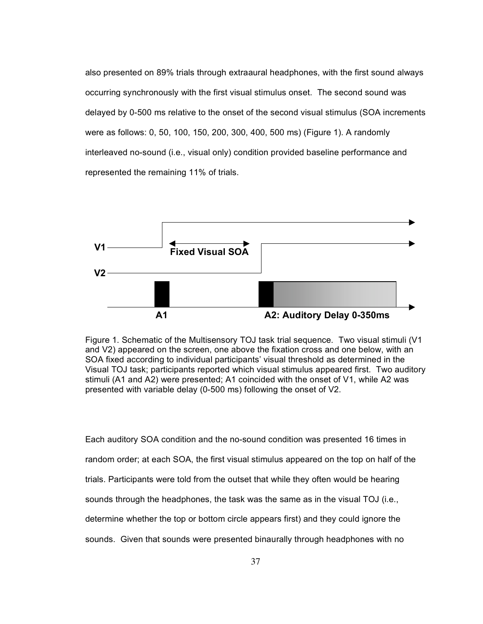also presented on 89% trials through extraaural headphones, with the first sound always occurring synchronously with the first visual stimulus onset. The second sound was delayed by 0-500 ms relative to the onset of the second visual stimulus (SOA increments were as follows: 0, 50, 100, 150, 200, 300, 400, 500 ms) (Figure 1). A randomly interleaved no-sound (i.e., visual only) condition provided baseline performance and represented the remaining 11% of trials.



Figure 1. Schematic of the Multisensory TOJ task trial sequence. Two visual stimuli (V1 and V2) appeared on the screen, one above the fixation cross and one below, with an SOA fixed according to individual participants' visual threshold as determined in the Visual TOJ task; participants reported which visual stimulus appeared first. Two auditory stimuli (A1 and A2) were presented; A1 coincided with the onset of V1, while A2 was presented with variable delay (0-500 ms) following the onset of V2.

Each auditory SOA condition and the no-sound condition was presented 16 times in random order; at each SOA, the first visual stimulus appeared on the top on half of the trials. Participants were told from the outset that while they often would be hearing sounds through the headphones, the task was the same as in the visual TOJ (i.e., determine whether the top or bottom circle appears first) and they could ignore the sounds. Given that sounds were presented binaurally through headphones with no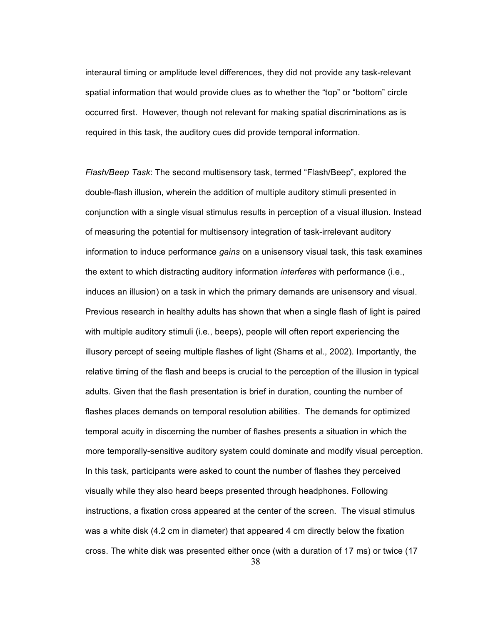interaural timing or amplitude level differences, they did not provide any task-relevant spatial information that would provide clues as to whether the "top" or "bottom" circle occurred first. However, though not relevant for making spatial discriminations as is required in this task, the auditory cues did provide temporal information.

*Flash/Beep Task*: The second multisensory task, termed "Flash/Beep", explored the double-flash illusion, wherein the addition of multiple auditory stimuli presented in conjunction with a single visual stimulus results in perception of a visual illusion. Instead of measuring the potential for multisensory integration of task-irrelevant auditory information to induce performance *gains* on a unisensory visual task, this task examines the extent to which distracting auditory information *interferes* with performance (i.e., induces an illusion) on a task in which the primary demands are unisensory and visual. Previous research in healthy adults has shown that when a single flash of light is paired with multiple auditory stimuli (i.e., beeps), people will often report experiencing the illusory percept of seeing multiple flashes of light (Shams et al., 2002). Importantly, the relative timing of the flash and beeps is crucial to the perception of the illusion in typical adults. Given that the flash presentation is brief in duration, counting the number of flashes places demands on temporal resolution abilities. The demands for optimized temporal acuity in discerning the number of flashes presents a situation in which the more temporally-sensitive auditory system could dominate and modify visual perception. In this task, participants were asked to count the number of flashes they perceived visually while they also heard beeps presented through headphones. Following instructions, a fixation cross appeared at the center of the screen. The visual stimulus was a white disk (4.2 cm in diameter) that appeared 4 cm directly below the fixation cross. The white disk was presented either once (with a duration of 17 ms) or twice (17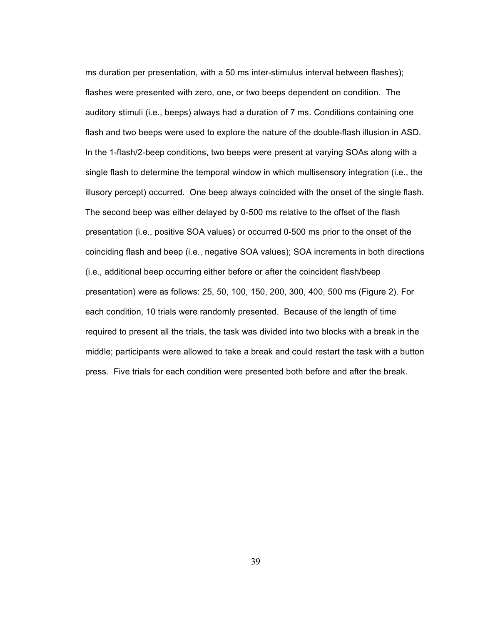ms duration per presentation, with a 50 ms inter-stimulus interval between flashes); flashes were presented with zero, one, or two beeps dependent on condition. The auditory stimuli (i.e., beeps) always had a duration of 7 ms. Conditions containing one flash and two beeps were used to explore the nature of the double-flash illusion in ASD. In the 1-flash/2-beep conditions, two beeps were present at varying SOAs along with a single flash to determine the temporal window in which multisensory integration (i.e., the illusory percept) occurred. One beep always coincided with the onset of the single flash. The second beep was either delayed by 0-500 ms relative to the offset of the flash presentation (i.e., positive SOA values) or occurred 0-500 ms prior to the onset of the coinciding flash and beep (i.e., negative SOA values); SOA increments in both directions (i.e., additional beep occurring either before or after the coincident flash/beep presentation) were as follows: 25, 50, 100, 150, 200, 300, 400, 500 ms (Figure 2). For each condition, 10 trials were randomly presented. Because of the length of time required to present all the trials, the task was divided into two blocks with a break in the middle; participants were allowed to take a break and could restart the task with a button press. Five trials for each condition were presented both before and after the break.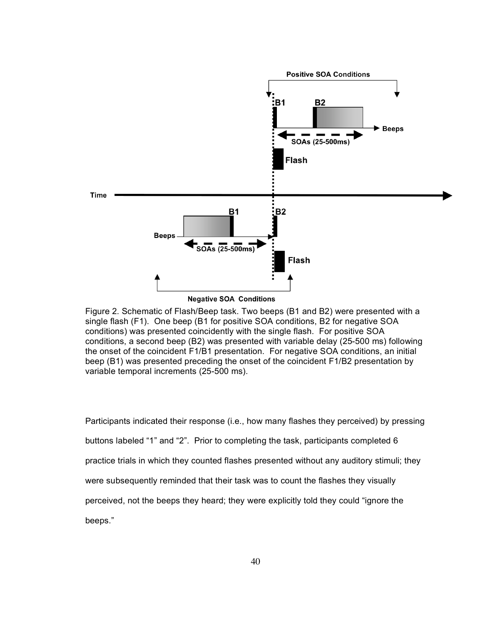



Figure 2. Schematic of Flash/Beep task. Two beeps (B1 and B2) were presented with a single flash (F1). One beep (B1 for positive SOA conditions, B2 for negative SOA conditions) was presented coincidently with the single flash. For positive SOA conditions, a second beep (B2) was presented with variable delay (25-500 ms) following the onset of the coincident F1/B1 presentation. For negative SOA conditions, an initial beep (B1) was presented preceding the onset of the coincident F1/B2 presentation by variable temporal increments (25-500 ms).

Participants indicated their response (i.e., how many flashes they perceived) by pressing buttons labeled "1" and "2". Prior to completing the task, participants completed 6 practice trials in which they counted flashes presented without any auditory stimuli; they were subsequently reminded that their task was to count the flashes they visually perceived, not the beeps they heard; they were explicitly told they could "ignore the beeps."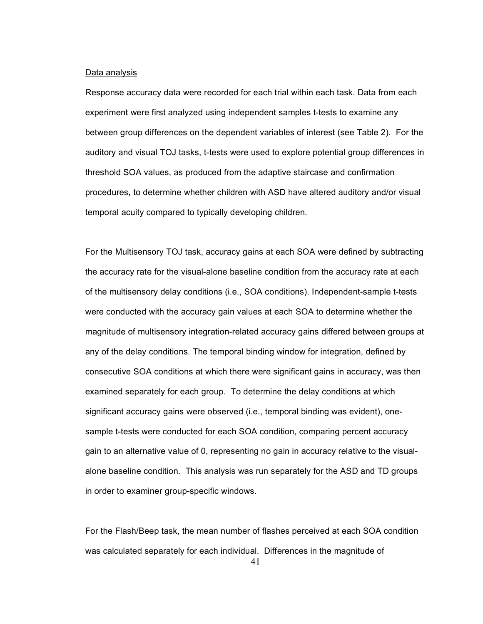#### Data analysis

Response accuracy data were recorded for each trial within each task. Data from each experiment were first analyzed using independent samples t-tests to examine any between group differences on the dependent variables of interest (see Table 2). For the auditory and visual TOJ tasks, t-tests were used to explore potential group differences in threshold SOA values, as produced from the adaptive staircase and confirmation procedures, to determine whether children with ASD have altered auditory and/or visual temporal acuity compared to typically developing children.

For the Multisensory TOJ task, accuracy gains at each SOA were defined by subtracting the accuracy rate for the visual-alone baseline condition from the accuracy rate at each of the multisensory delay conditions (i.e., SOA conditions). Independent-sample t-tests were conducted with the accuracy gain values at each SOA to determine whether the magnitude of multisensory integration-related accuracy gains differed between groups at any of the delay conditions. The temporal binding window for integration, defined by consecutive SOA conditions at which there were significant gains in accuracy, was then examined separately for each group. To determine the delay conditions at which significant accuracy gains were observed (i.e., temporal binding was evident), onesample t-tests were conducted for each SOA condition, comparing percent accuracy gain to an alternative value of 0, representing no gain in accuracy relative to the visualalone baseline condition. This analysis was run separately for the ASD and TD groups in order to examiner group-specific windows.

For the Flash/Beep task, the mean number of flashes perceived at each SOA condition was calculated separately for each individual. Differences in the magnitude of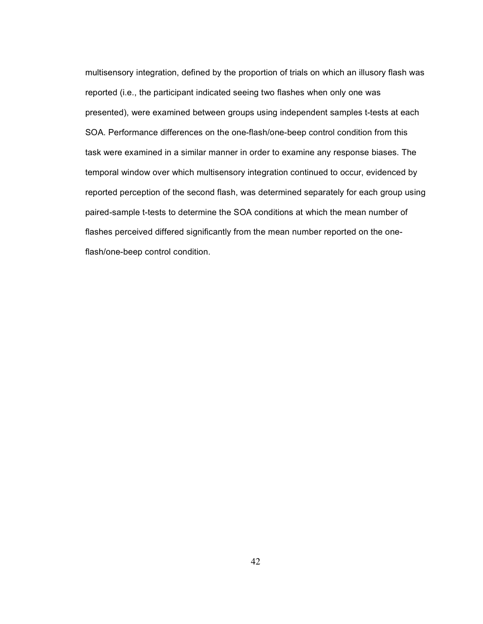multisensory integration, defined by the proportion of trials on which an illusory flash was reported (i.e., the participant indicated seeing two flashes when only one was presented), were examined between groups using independent samples t-tests at each SOA. Performance differences on the one-flash/one-beep control condition from this task were examined in a similar manner in order to examine any response biases. The temporal window over which multisensory integration continued to occur, evidenced by reported perception of the second flash, was determined separately for each group using paired-sample t-tests to determine the SOA conditions at which the mean number of flashes perceived differed significantly from the mean number reported on the oneflash/one-beep control condition.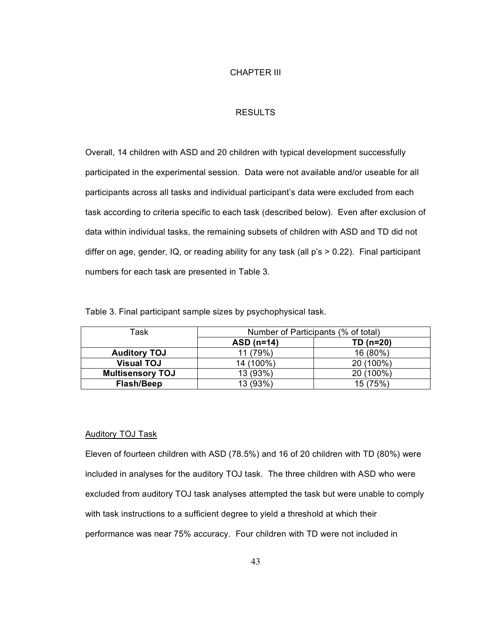### CHAPTER III

## RESULTS

Overall, 14 children with ASD and 20 children with typical development successfully participated in the experimental session. Data were not available and/or useable for all participants across all tasks and individual participant's data were excluded from each task according to criteria specific to each task (described below). Even after exclusion of data within individual tasks, the remaining subsets of children with ASD and TD did not differ on age, gender, IQ, or reading ability for any task (all  $p's > 0.22$ ). Final participant numbers for each task are presented in Table 3.

| Task                    | Number of Participants (% of total) |             |  |  |
|-------------------------|-------------------------------------|-------------|--|--|
|                         | ASD (n=14)                          | $TD (n=20)$ |  |  |
| <b>Auditory TOJ</b>     | 11 (79%)                            | 16 (80%)    |  |  |
| <b>Visual TOJ</b>       | 14 (100%)                           | 20 (100%)   |  |  |
| <b>Multisensory TOJ</b> | 13 (93%)                            | 20 (100%)   |  |  |
| <b>Flash/Beep</b>       | 13 (93%)                            | 15 (75%)    |  |  |

#### Auditory TOJ Task

Eleven of fourteen children with ASD (78.5%) and 16 of 20 children with TD (80%) were included in analyses for the auditory TOJ task. The three children with ASD who were excluded from auditory TOJ task analyses attempted the task but were unable to comply with task instructions to a sufficient degree to yield a threshold at which their performance was near 75% accuracy. Four children with TD were not included in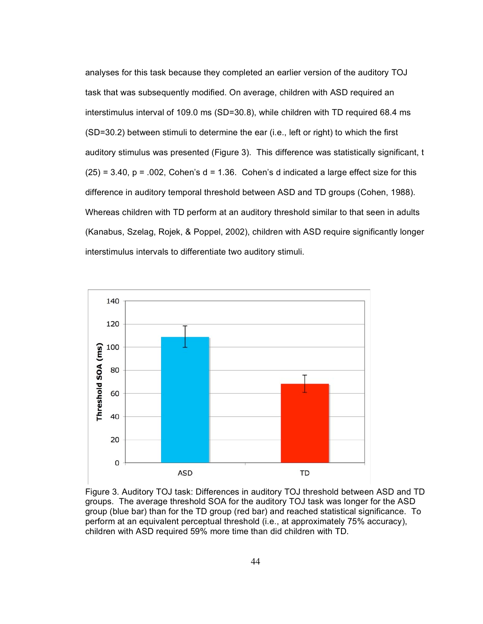analyses for this task because they completed an earlier version of the auditory TOJ task that was subsequently modified. On average, children with ASD required an interstimulus interval of 109.0 ms (SD=30.8), while children with TD required 68.4 ms (SD=30.2) between stimuli to determine the ear (i.e., left or right) to which the first auditory stimulus was presented (Figure 3). This difference was statistically significant, t  $(25)$  = 3.40,  $p$  = .002, Cohen's d = 1.36. Cohen's d indicated a large effect size for this difference in auditory temporal threshold between ASD and TD groups (Cohen, 1988). Whereas children with TD perform at an auditory threshold similar to that seen in adults (Kanabus, Szelag, Rojek, & Poppel, 2002), children with ASD require significantly longer interstimulus intervals to differentiate two auditory stimuli.



Figure 3. Auditory TOJ task: Differences in auditory TOJ threshold between ASD and TD groups. The average threshold SOA for the auditory TOJ task was longer for the ASD group (blue bar) than for the TD group (red bar) and reached statistical significance. To perform at an equivalent perceptual threshold (i.e., at approximately 75% accuracy), children with ASD required 59% more time than did children with TD.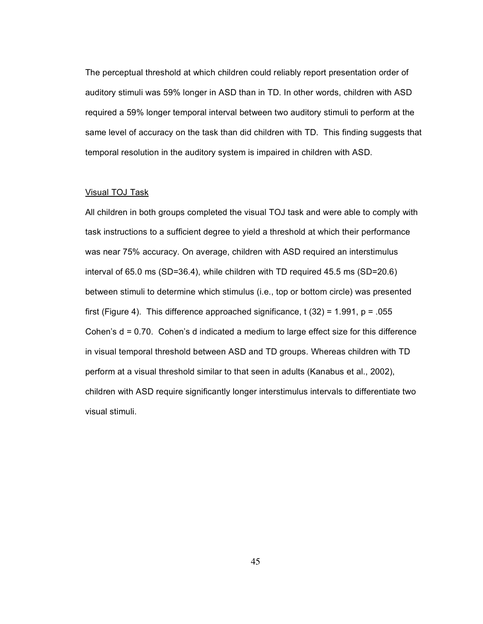The perceptual threshold at which children could reliably report presentation order of auditory stimuli was 59% longer in ASD than in TD. In other words, children with ASD required a 59% longer temporal interval between two auditory stimuli to perform at the same level of accuracy on the task than did children with TD. This finding suggests that temporal resolution in the auditory system is impaired in children with ASD.

### Visual TOJ Task

All children in both groups completed the visual TOJ task and were able to comply with task instructions to a sufficient degree to yield a threshold at which their performance was near 75% accuracy. On average, children with ASD required an interstimulus interval of 65.0 ms (SD=36.4), while children with TD required 45.5 ms (SD=20.6) between stimuli to determine which stimulus (i.e., top or bottom circle) was presented first (Figure 4). This difference approached significance,  $t$  (32) = 1.991,  $p = 0.055$ Cohen's d = 0.70. Cohen's d indicated a medium to large effect size for this difference in visual temporal threshold between ASD and TD groups. Whereas children with TD perform at a visual threshold similar to that seen in adults (Kanabus et al., 2002), children with ASD require significantly longer interstimulus intervals to differentiate two visual stimuli.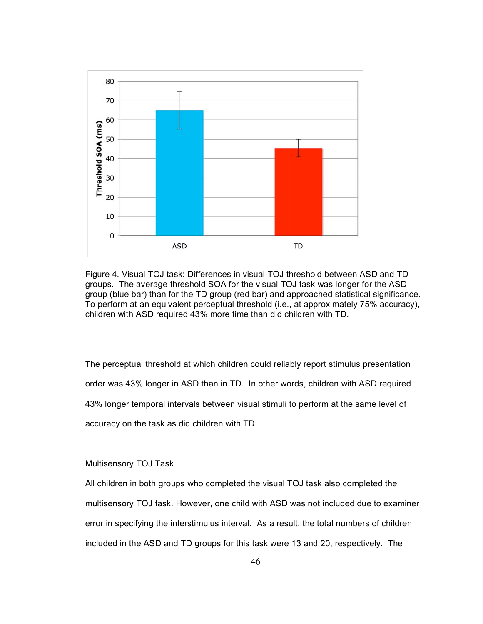

Figure 4. Visual TOJ task: Differences in visual TOJ threshold between ASD and TD groups. The average threshold SOA for the visual TOJ task was longer for the ASD group (blue bar) than for the TD group (red bar) and approached statistical significance. To perform at an equivalent perceptual threshold (i.e., at approximately 75% accuracy), children with ASD required 43% more time than did children with TD.

The perceptual threshold at which children could reliably report stimulus presentation order was 43% longer in ASD than in TD. In other words, children with ASD required 43% longer temporal intervals between visual stimuli to perform at the same level of accuracy on the task as did children with TD.

## Multisensory TOJ Task

All children in both groups who completed the visual TOJ task also completed the multisensory TOJ task. However, one child with ASD was not included due to examiner error in specifying the interstimulus interval. As a result, the total numbers of children included in the ASD and TD groups for this task were 13 and 20, respectively. The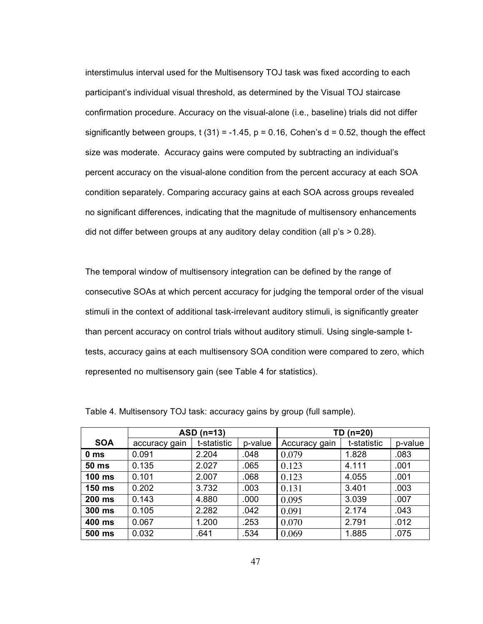interstimulus interval used for the Multisensory TOJ task was fixed according to each participant's individual visual threshold, as determined by the Visual TOJ staircase confirmation procedure. Accuracy on the visual-alone (i.e., baseline) trials did not differ significantly between groups,  $t$  (31) = -1.45,  $p = 0.16$ , Cohen's  $d = 0.52$ , though the effect size was moderate. Accuracy gains were computed by subtracting an individual's percent accuracy on the visual-alone condition from the percent accuracy at each SOA condition separately. Comparing accuracy gains at each SOA across groups revealed no significant differences, indicating that the magnitude of multisensory enhancements did not differ between groups at any auditory delay condition (all  $p's > 0.28$ ).

The temporal window of multisensory integration can be defined by the range of consecutive SOAs at which percent accuracy for judging the temporal order of the visual stimuli in the context of additional task-irrelevant auditory stimuli, is significantly greater than percent accuracy on control trials without auditory stimuli. Using single-sample ttests, accuracy gains at each multisensory SOA condition were compared to zero, which represented no multisensory gain (see Table 4 for statistics).

|                 | ASD (n=13)    |             |         | TD (n=20)     |             |         |  |
|-----------------|---------------|-------------|---------|---------------|-------------|---------|--|
| <b>SOA</b>      | accuracy gain | t-statistic | p-value | Accuracy gain | t-statistic | p-value |  |
| 0 <sub>ms</sub> | 0.091         | 2.204       | .048    | 0.079         | 1.828       | .083    |  |
| 50 ms           | 0.135         | 2.027       | .065    | 0.123         | 4.111       | .001    |  |
| <b>100 ms</b>   | 0.101         | 2.007       | .068    | 0.123         | 4.055       | .001    |  |
| 150 ms          | 0.202         | 3.732       | .003    | 0.131         | 3.401       | .003    |  |
| 200 ms          | 0.143         | 4.880       | .000    | 0.095         | 3.039       | .007    |  |
| 300 ms          | 0.105         | 2.282       | .042    | 0.091         | 2.174       | .043    |  |
| 400 ms          | 0.067         | 1.200       | .253    | 0.070         | 2.791       | .012    |  |
| 500 ms          | 0.032         | .641        | .534    | 0.069         | 1.885       | .075    |  |

Table 4. Multisensory TOJ task: accuracy gains by group (full sample).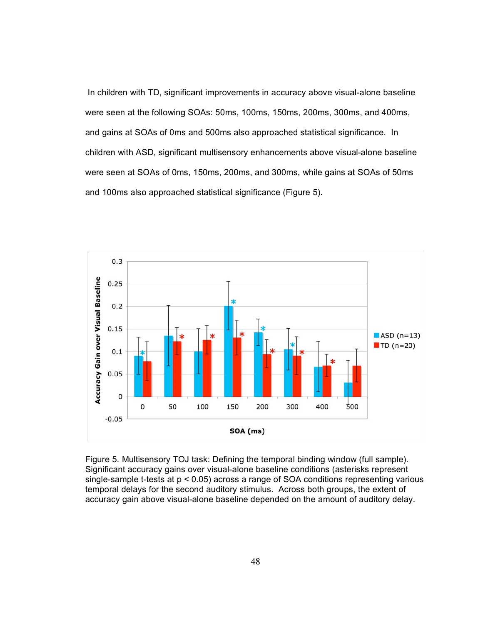In children with TD, significant improvements in accuracy above visual-alone baseline were seen at the following SOAs: 50ms, 100ms, 150ms, 200ms, 300ms, and 400ms, and gains at SOAs of 0ms and 500ms also approached statistical significance. In children with ASD, significant multisensory enhancements above visual-alone baseline were seen at SOAs of 0ms, 150ms, 200ms, and 300ms, while gains at SOAs of 50ms and 100ms also approached statistical significance (Figure 5).



Figure 5. Multisensory TOJ task: Defining the temporal binding window (full sample). Significant accuracy gains over visual-alone baseline conditions (asterisks represent single-sample t-tests at p < 0.05) across a range of SOA conditions representing various temporal delays for the second auditory stimulus. Across both groups, the extent of accuracy gain above visual-alone baseline depended on the amount of auditory delay.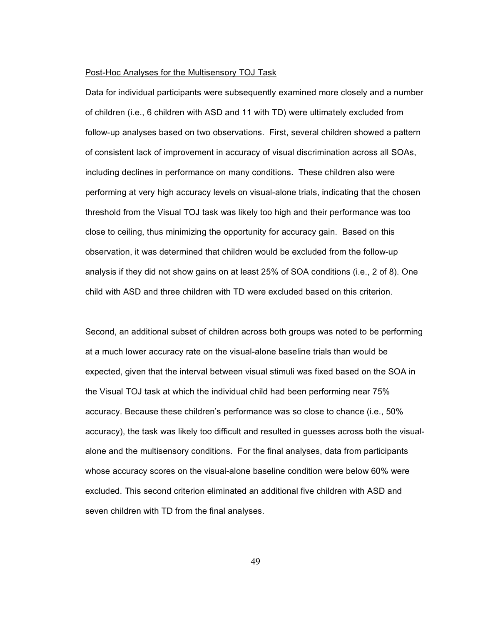#### Post-Hoc Analyses for the Multisensory TOJ Task

Data for individual participants were subsequently examined more closely and a number of children (i.e., 6 children with ASD and 11 with TD) were ultimately excluded from follow-up analyses based on two observations. First, several children showed a pattern of consistent lack of improvement in accuracy of visual discrimination across all SOAs, including declines in performance on many conditions. These children also were performing at very high accuracy levels on visual-alone trials, indicating that the chosen threshold from the Visual TOJ task was likely too high and their performance was too close to ceiling, thus minimizing the opportunity for accuracy gain. Based on this observation, it was determined that children would be excluded from the follow-up analysis if they did not show gains on at least 25% of SOA conditions (i.e., 2 of 8). One child with ASD and three children with TD were excluded based on this criterion.

Second, an additional subset of children across both groups was noted to be performing at a much lower accuracy rate on the visual-alone baseline trials than would be expected, given that the interval between visual stimuli was fixed based on the SOA in the Visual TOJ task at which the individual child had been performing near 75% accuracy. Because these children's performance was so close to chance (i.e., 50% accuracy), the task was likely too difficult and resulted in guesses across both the visualalone and the multisensory conditions. For the final analyses, data from participants whose accuracy scores on the visual-alone baseline condition were below 60% were excluded. This second criterion eliminated an additional five children with ASD and seven children with TD from the final analyses.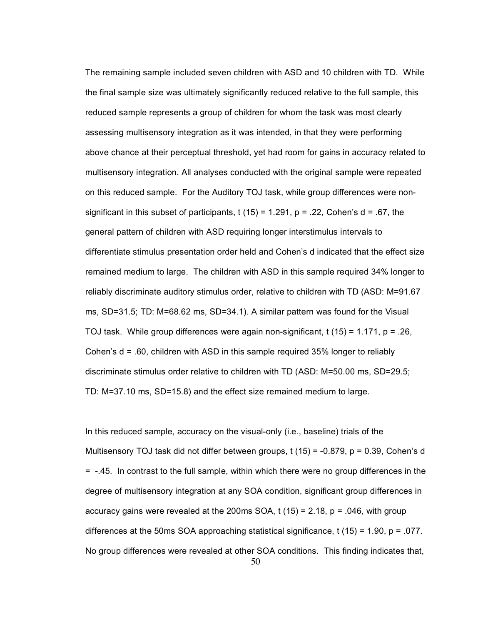The remaining sample included seven children with ASD and 10 children with TD. While the final sample size was ultimately significantly reduced relative to the full sample, this reduced sample represents a group of children for whom the task was most clearly assessing multisensory integration as it was intended, in that they were performing above chance at their perceptual threshold, yet had room for gains in accuracy related to multisensory integration. All analyses conducted with the original sample were repeated on this reduced sample. For the Auditory TOJ task, while group differences were nonsignificant in this subset of participants, t (15) = 1.291,  $p = 0.22$ , Cohen's d = .67, the general pattern of children with ASD requiring longer interstimulus intervals to differentiate stimulus presentation order held and Cohen's d indicated that the effect size remained medium to large. The children with ASD in this sample required 34% longer to reliably discriminate auditory stimulus order, relative to children with TD (ASD: M=91.67 ms, SD=31.5; TD: M=68.62 ms, SD=34.1). A similar pattern was found for the Visual TOJ task. While group differences were again non-significant,  $t$  (15) = 1.171,  $p = .26$ , Cohen's  $d = .60$ , children with ASD in this sample required 35% longer to reliably discriminate stimulus order relative to children with TD (ASD: M=50.00 ms, SD=29.5; TD: M=37.10 ms, SD=15.8) and the effect size remained medium to large.

In this reduced sample, accuracy on the visual-only (i.e., baseline) trials of the Multisensory TOJ task did not differ between groups,  $t$  (15) = -0.879, p = 0.39, Cohen's d = -.45. In contrast to the full sample, within which there were no group differences in the degree of multisensory integration at any SOA condition, significant group differences in accuracy gains were revealed at the 200ms SOA, t (15) = 2.18, p = .046, with group differences at the 50ms SOA approaching statistical significance,  $t$  (15) = 1.90,  $p = 0.077$ . No group differences were revealed at other SOA conditions. This finding indicates that,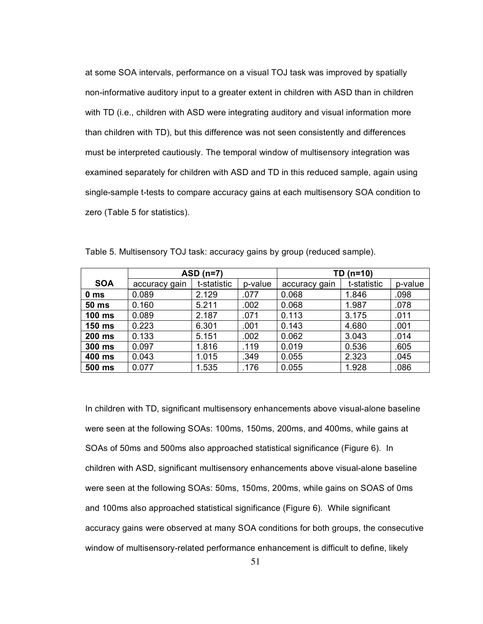at some SOA intervals, performance on a visual TOJ task was improved by spatially non-informative auditory input to a greater extent in children with ASD than in children with TD (i.e., children with ASD were integrating auditory and visual information more than children with TD), but this difference was not seen consistently and differences must be interpreted cautiously. The temporal window of multisensory integration was examined separately for children with ASD and TD in this reduced sample, again using single-sample t-tests to compare accuracy gains at each multisensory SOA condition to zero (Table 5 for statistics).

|            | $ASD(n=7)$    |             |         | TD (n=10)     |             |         |
|------------|---------------|-------------|---------|---------------|-------------|---------|
| <b>SOA</b> | accuracy gain | t-statistic | p-value | accuracy gain | t-statistic | p-value |
| 0 ms       | 0.089         | 2.129       | .077    | 0.068         | 1.846       | .098    |
| 50 ms      | 0.160         | 5.211       | .002    | 0.068         | 1.987       | .078    |
| 100 ms     | 0.089         | 2.187       | .071    | 0.113         | 3.175       | .011    |
| 150 ms     | 0.223         | 6.301       | .001    | 0.143         | 4.680       | .001    |
| 200 ms     | 0.133         | 5.151       | .002    | 0.062         | 3.043       | .014    |
| 300 ms     | 0.097         | 1.816       | .119    | 0.019         | 0.536       | .605    |
| 400 ms     | 0.043         | 1.015       | .349    | 0.055         | 2.323       | .045    |
| 500 ms     | 0.077         | 1.535       | .176    | 0.055         | 1.928       | .086    |

Table 5. Multisensory TOJ task: accuracy gains by group (reduced sample).

In children with TD, significant multisensory enhancements above visual-alone baseline were seen at the following SOAs: 100ms, 150ms, 200ms, and 400ms, while gains at SOAs of 50ms and 500ms also approached statistical significance (Figure 6). In children with ASD, significant multisensory enhancements above visual-alone baseline were seen at the following SOAs: 50ms, 150ms, 200ms, while gains on SOAS of 0ms and 100ms also approached statistical significance (Figure 6). While significant accuracy gains were observed at many SOA conditions for both groups, the consecutive window of multisensory-related performance enhancement is difficult to define, likely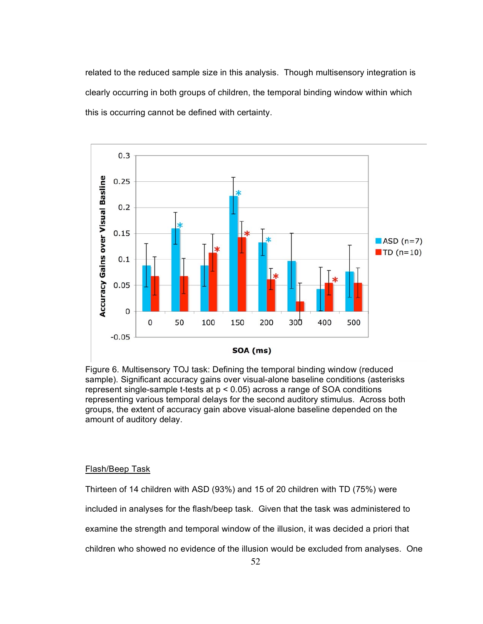related to the reduced sample size in this analysis. Though multisensory integration is clearly occurring in both groups of children, the temporal binding window within which this is occurring cannot be defined with certainty.



Figure 6. Multisensory TOJ task: Defining the temporal binding window (reduced sample). Significant accuracy gains over visual-alone baseline conditions (asterisks represent single-sample t-tests at p < 0.05) across a range of SOA conditions representing various temporal delays for the second auditory stimulus. Across both groups, the extent of accuracy gain above visual-alone baseline depended on the amount of auditory delay.

## Flash/Beep Task

Thirteen of 14 children with ASD (93%) and 15 of 20 children with TD (75%) were included in analyses for the flash/beep task. Given that the task was administered to examine the strength and temporal window of the illusion, it was decided a priori that children who showed no evidence of the illusion would be excluded from analyses. One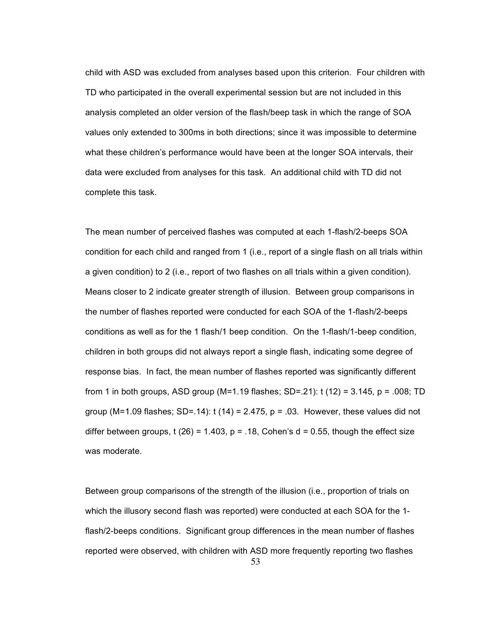child with ASD was excluded from analyses based upon this criterion. Four children with TD who participated in the overall experimental session but are not included in this analysis completed an older version of the flash/beep task in which the range of SOA values only extended to 300ms in both directions; since it was impossible to determine what these children's performance would have been at the longer SOA intervals, their data were excluded from analyses for this task. An additional child with TD did not complete this task.

The mean number of perceived flashes was computed at each 1-flash/2-beeps SOA condition for each child and ranged from 1 (i.e., report of a single flash on all trials within a given condition) to 2 (i.e., report of two flashes on all trials within a given condition). Means closer to 2 indicate greater strength of illusion. Between group comparisons in the number of flashes reported were conducted for each SOA of the 1-flash/2-beeps conditions as well as for the 1 flash/1 beep condition. On the 1-flash/1-beep condition, children in both groups did not always report a single flash, indicating some degree of response bias. In fact, the mean number of flashes reported was significantly different from 1 in both groups, ASD group (M=1.19 flashes; SD=.21): t (12) = 3.145, p = .008; TD group (M=1.09 flashes; SD=.14):  $t$  (14) = 2.475, p = .03. However, these values did not differ between groups,  $t$  (26) = 1.403,  $p = 0.18$ , Cohen's d = 0.55, though the effect size was moderate.

Between group comparisons of the strength of the illusion (i.e., proportion of trials on which the illusory second flash was reported) were conducted at each SOA for the 1 flash/2-beeps conditions. Significant group differences in the mean number of flashes reported were observed, with children with ASD more frequently reporting two flashes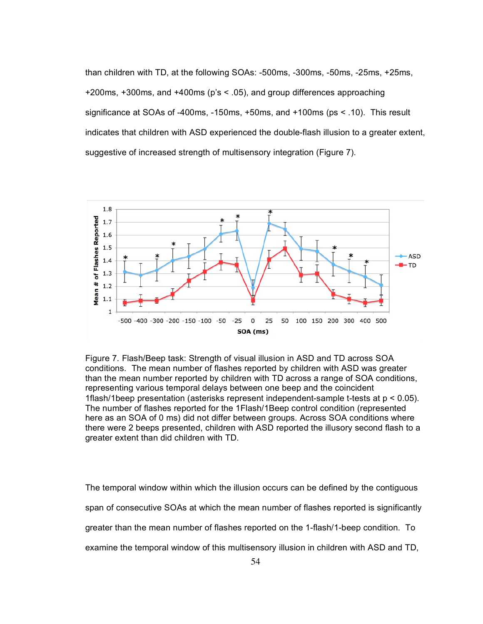than children with TD, at the following SOAs: -500ms, -300ms, -50ms, -25ms, +25ms, +200ms, +300ms, and +400ms (p's < .05), and group differences approaching significance at SOAs of -400ms, -150ms, +50ms, and +100ms (ps < .10). This result indicates that children with ASD experienced the double-flash illusion to a greater extent, suggestive of increased strength of multisensory integration (Figure 7).



Figure 7. Flash/Beep task: Strength of visual illusion in ASD and TD across SOA conditions. The mean number of flashes reported by children with ASD was greater than the mean number reported by children with TD across a range of SOA conditions, representing various temporal delays between one beep and the coincident 1flash/1beep presentation (asterisks represent independent-sample t-tests at p < 0.05). The number of flashes reported for the 1Flash/1Beep control condition (represented here as an SOA of 0 ms) did not differ between groups. Across SOA conditions where there were 2 beeps presented, children with ASD reported the illusory second flash to a greater extent than did children with TD.

The temporal window within which the illusion occurs can be defined by the contiguous span of consecutive SOAs at which the mean number of flashes reported is significantly greater than the mean number of flashes reported on the 1-flash/1-beep condition. To

examine the temporal window of this multisensory illusion in children with ASD and TD,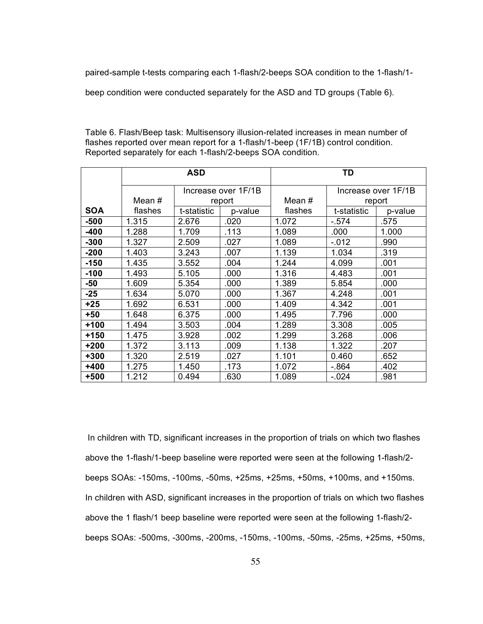paired-sample t-tests comparing each 1-flash/2-beeps SOA condition to the 1-flash/1-

beep condition were conducted separately for the ASD and TD groups (Table 6).

|            | <b>ASD</b> |             |                     | TD     |                     |         |  |
|------------|------------|-------------|---------------------|--------|---------------------|---------|--|
|            |            |             | Increase over 1F/1B |        | Increase over 1F/1B |         |  |
|            | Mean #     | report      |                     | Mean # | report              |         |  |
| <b>SOA</b> | flashes    | t-statistic | p-value             |        | t-statistic         | p-value |  |
| $-500$     | 1.315      | 2.676       | .020                | 1.072  | $-574$              | .575    |  |
| $-400$     | 1.288      | 1.709       | .113                | 1.089  | .000                | 1.000   |  |
| $-300$     | 1.327      | 2.509       | .027                | 1.089  | $-0.012$            | .990    |  |
| $-200$     | 1.403      | 3.243       | .007                | 1.139  | 1.034               | .319    |  |
| $-150$     | 1.435      | 3.552       | .004                | 1.244  | 4.099               | .001    |  |
| $-100$     | 1.493      | 5.105       | .000                | 1.316  | 4.483               | .001    |  |
| $-50$      | 1.609      | 5.354       | .000                | 1.389  | 5.854               | .000    |  |
| $-25$      | 1.634      | 5.070       | .000                | 1.367  | 4.248               | .001    |  |
| $+25$      | 1.692      | 6.531       | .000                | 1.409  | 4.342               | .001    |  |
| $+50$      | 1.648      | 6.375       | .000                | 1.495  | 7.796               | .000    |  |
| $+100$     | 1.494      | 3.503       | .004                | 1.289  | 3.308               | .005    |  |
| $+150$     | 1.475      | 3.928       | .002                | 1.299  | 3.268               | .006    |  |
| $+200$     | 1.372      | 3.113       | .009                | 1.138  | 1.322               | .207    |  |
| $+300$     | 1.320      | 2.519       | .027                | 1.101  | 0.460               | .652    |  |
| $+400$     | 1.275      | 1.450       | .173                | 1.072  | $-0.864$            | .402    |  |
| $+500$     | 1.212      | 0.494       | .630                | 1.089  | $-.024$             | .981    |  |

Table 6. Flash/Beep task: Multisensory illusion-related increases in mean number of flashes reported over mean report for a 1-flash/1-beep (1F/1B) control condition. Reported separately for each 1-flash/2-beeps SOA condition.

 In children with TD, significant increases in the proportion of trials on which two flashes above the 1-flash/1-beep baseline were reported were seen at the following 1-flash/2 beeps SOAs: -150ms, -100ms, -50ms, +25ms, +25ms, +50ms, +100ms, and +150ms. In children with ASD, significant increases in the proportion of trials on which two flashes above the 1 flash/1 beep baseline were reported were seen at the following 1-flash/2 beeps SOAs: -500ms, -300ms, -200ms, -150ms, -100ms, -50ms, -25ms, +25ms, +50ms,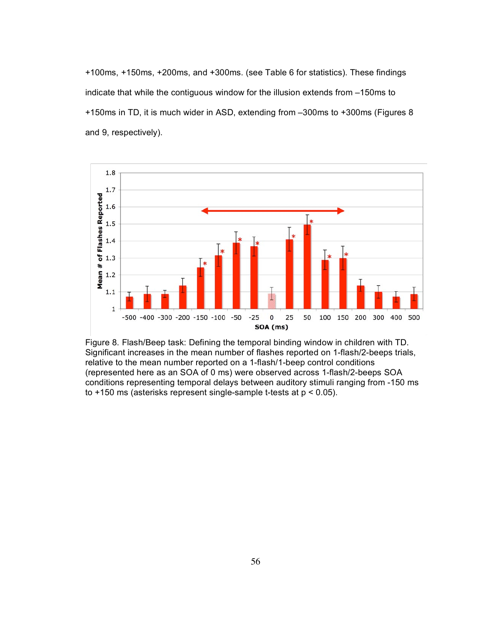+100ms, +150ms, +200ms, and +300ms. (see Table 6 for statistics). These findings indicate that while the contiguous window for the illusion extends from –150ms to +150ms in TD, it is much wider in ASD, extending from –300ms to +300ms (Figures 8 and 9, respectively).



Figure 8. Flash/Beep task: Defining the temporal binding window in children with TD. Significant increases in the mean number of flashes reported on 1-flash/2-beeps trials, relative to the mean number reported on a 1-flash/1-beep control conditions (represented here as an SOA of 0 ms) were observed across 1-flash/2-beeps SOA conditions representing temporal delays between auditory stimuli ranging from -150 ms to +150 ms (asterisks represent single-sample t-tests at p < 0.05).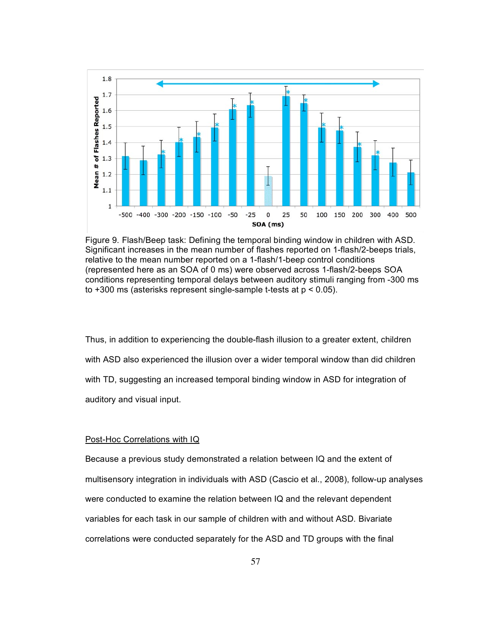

Figure 9. Flash/Beep task: Defining the temporal binding window in children with ASD. Significant increases in the mean number of flashes reported on 1-flash/2-beeps trials, relative to the mean number reported on a 1-flash/1-beep control conditions (represented here as an SOA of 0 ms) were observed across 1-flash/2-beeps SOA conditions representing temporal delays between auditory stimuli ranging from -300 ms to +300 ms (asterisks represent single-sample t-tests at p < 0.05).

Thus, in addition to experiencing the double-flash illusion to a greater extent, children with ASD also experienced the illusion over a wider temporal window than did children with TD, suggesting an increased temporal binding window in ASD for integration of auditory and visual input.

#### Post-Hoc Correlations with IQ

Because a previous study demonstrated a relation between IQ and the extent of multisensory integration in individuals with ASD (Cascio et al., 2008), follow-up analyses were conducted to examine the relation between IQ and the relevant dependent variables for each task in our sample of children with and without ASD. Bivariate correlations were conducted separately for the ASD and TD groups with the final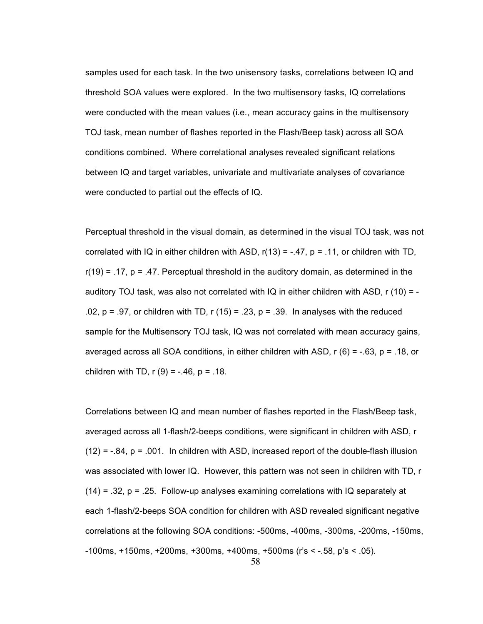samples used for each task. In the two unisensory tasks, correlations between IQ and threshold SOA values were explored. In the two multisensory tasks, IQ correlations were conducted with the mean values (i.e., mean accuracy gains in the multisensory TOJ task, mean number of flashes reported in the Flash/Beep task) across all SOA conditions combined. Where correlational analyses revealed significant relations between IQ and target variables, univariate and multivariate analyses of covariance were conducted to partial out the effects of IQ.

Perceptual threshold in the visual domain, as determined in the visual TOJ task, was not correlated with IQ in either children with ASD,  $r(13) = -.47$ ,  $p = .11$ , or children with TD,  $r(19) = .17$ ,  $p = .47$ . Perceptual threshold in the auditory domain, as determined in the auditory TOJ task, was also not correlated with  $IQ$  in either children with ASD,  $r(10) = .02$ ,  $p = .97$ , or children with TD, r (15) =  $.23$ ,  $p = .39$ . In analyses with the reduced sample for the Multisensory TOJ task, IQ was not correlated with mean accuracy gains, averaged across all SOA conditions, in either children with ASD,  $r(6) = -0.63$ ,  $p = 0.18$ , or children with TD,  $r(9) = -0.46$ ,  $p = 0.18$ .

Correlations between IQ and mean number of flashes reported in the Flash/Beep task, averaged across all 1-flash/2-beeps conditions, were significant in children with ASD, r  $(12) = -0.84$ ,  $p = 0.001$ . In children with ASD, increased report of the double-flash illusion was associated with lower IQ. However, this pattern was not seen in children with TD, r (14) = .32, p = .25. Follow-up analyses examining correlations with IQ separately at each 1-flash/2-beeps SOA condition for children with ASD revealed significant negative correlations at the following SOA conditions: -500ms, -400ms, -300ms, -200ms, -150ms, -100ms, +150ms, +200ms, +300ms, +400ms, +500ms (r's < -.58, p's < .05).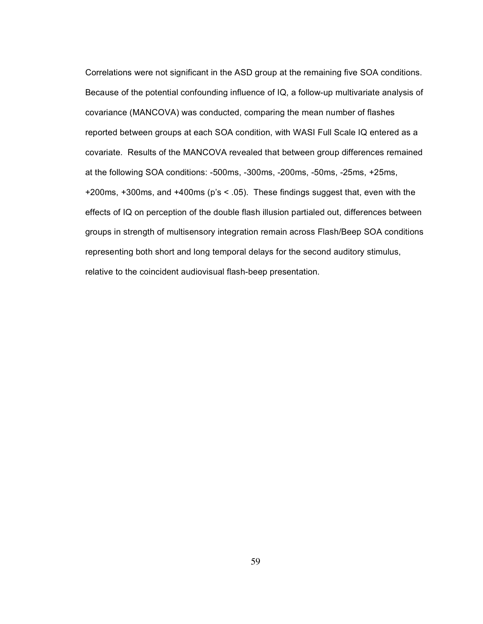Correlations were not significant in the ASD group at the remaining five SOA conditions. Because of the potential confounding influence of IQ, a follow-up multivariate analysis of covariance (MANCOVA) was conducted, comparing the mean number of flashes reported between groups at each SOA condition, with WASI Full Scale IQ entered as a covariate. Results of the MANCOVA revealed that between group differences remained at the following SOA conditions: -500ms, -300ms, -200ms, -50ms, -25ms, +25ms, +200ms, +300ms, and +400ms (p's < .05). These findings suggest that, even with the effects of IQ on perception of the double flash illusion partialed out, differences between groups in strength of multisensory integration remain across Flash/Beep SOA conditions representing both short and long temporal delays for the second auditory stimulus, relative to the coincident audiovisual flash-beep presentation.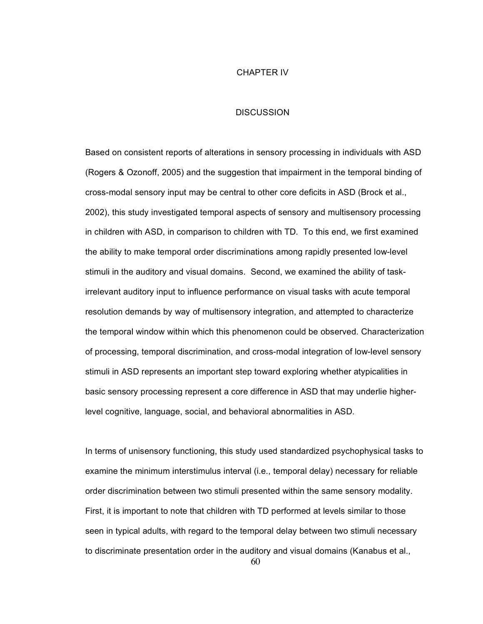#### CHAPTER IV

## **DISCUSSION**

Based on consistent reports of alterations in sensory processing in individuals with ASD (Rogers & Ozonoff, 2005) and the suggestion that impairment in the temporal binding of cross-modal sensory input may be central to other core deficits in ASD (Brock et al., 2002), this study investigated temporal aspects of sensory and multisensory processing in children with ASD, in comparison to children with TD. To this end, we first examined the ability to make temporal order discriminations among rapidly presented low-level stimuli in the auditory and visual domains. Second, we examined the ability of taskirrelevant auditory input to influence performance on visual tasks with acute temporal resolution demands by way of multisensory integration, and attempted to characterize the temporal window within which this phenomenon could be observed. Characterization of processing, temporal discrimination, and cross-modal integration of low-level sensory stimuli in ASD represents an important step toward exploring whether atypicalities in basic sensory processing represent a core difference in ASD that may underlie higherlevel cognitive, language, social, and behavioral abnormalities in ASD.

In terms of unisensory functioning, this study used standardized psychophysical tasks to examine the minimum interstimulus interval (i.e., temporal delay) necessary for reliable order discrimination between two stimuli presented within the same sensory modality. First, it is important to note that children with TD performed at levels similar to those seen in typical adults, with regard to the temporal delay between two stimuli necessary to discriminate presentation order in the auditory and visual domains (Kanabus et al.,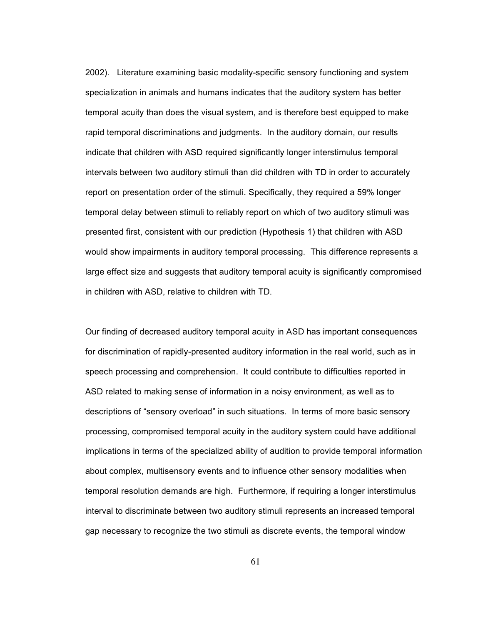2002). Literature examining basic modality-specific sensory functioning and system specialization in animals and humans indicates that the auditory system has better temporal acuity than does the visual system, and is therefore best equipped to make rapid temporal discriminations and judgments. In the auditory domain, our results indicate that children with ASD required significantly longer interstimulus temporal intervals between two auditory stimuli than did children with TD in order to accurately report on presentation order of the stimuli. Specifically, they required a 59% longer temporal delay between stimuli to reliably report on which of two auditory stimuli was presented first, consistent with our prediction (Hypothesis 1) that children with ASD would show impairments in auditory temporal processing. This difference represents a large effect size and suggests that auditory temporal acuity is significantly compromised in children with ASD, relative to children with TD.

Our finding of decreased auditory temporal acuity in ASD has important consequences for discrimination of rapidly-presented auditory information in the real world, such as in speech processing and comprehension. It could contribute to difficulties reported in ASD related to making sense of information in a noisy environment, as well as to descriptions of "sensory overload" in such situations. In terms of more basic sensory processing, compromised temporal acuity in the auditory system could have additional implications in terms of the specialized ability of audition to provide temporal information about complex, multisensory events and to influence other sensory modalities when temporal resolution demands are high. Furthermore, if requiring a longer interstimulus interval to discriminate between two auditory stimuli represents an increased temporal gap necessary to recognize the two stimuli as discrete events, the temporal window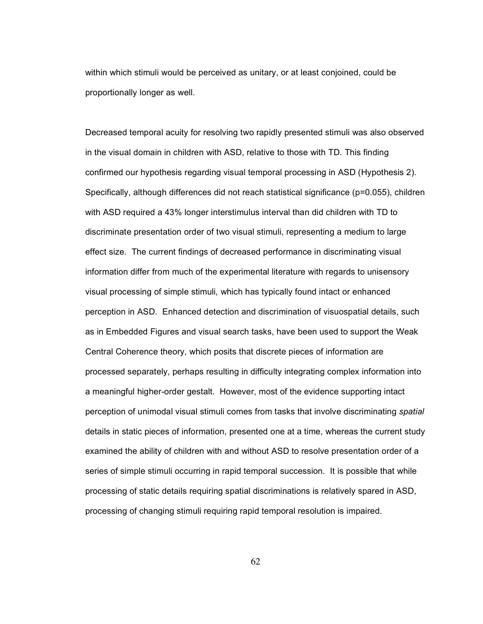within which stimuli would be perceived as unitary, or at least conjoined, could be proportionally longer as well.

Decreased temporal acuity for resolving two rapidly presented stimuli was also observed in the visual domain in children with ASD, relative to those with TD. This finding confirmed our hypothesis regarding visual temporal processing in ASD (Hypothesis 2). Specifically, although differences did not reach statistical significance (p=0.055), children with ASD required a 43% longer interstimulus interval than did children with TD to discriminate presentation order of two visual stimuli, representing a medium to large effect size. The current findings of decreased performance in discriminating visual information differ from much of the experimental literature with regards to unisensory visual processing of simple stimuli, which has typically found intact or enhanced perception in ASD. Enhanced detection and discrimination of visuospatial details, such as in Embedded Figures and visual search tasks, have been used to support the Weak Central Coherence theory, which posits that discrete pieces of information are processed separately, perhaps resulting in difficulty integrating complex information into a meaningful higher-order gestalt. However, most of the evidence supporting intact perception of unimodal visual stimuli comes from tasks that involve discriminating *spatial*  details in static pieces of information, presented one at a time, whereas the current study examined the ability of children with and without ASD to resolve presentation order of a series of simple stimuli occurring in rapid temporal succession. It is possible that while processing of static details requiring spatial discriminations is relatively spared in ASD, processing of changing stimuli requiring rapid temporal resolution is impaired.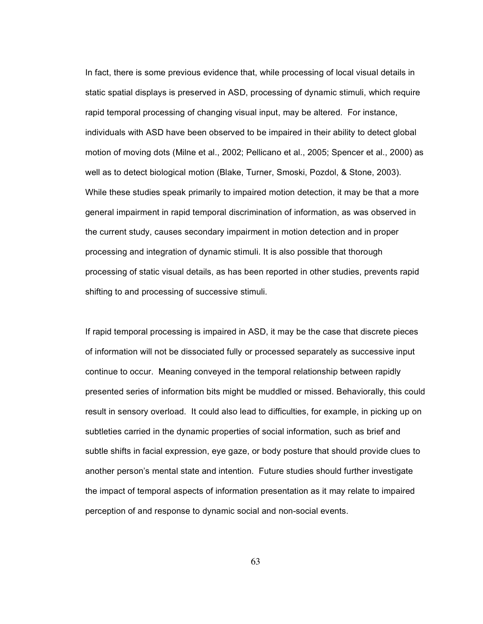In fact, there is some previous evidence that, while processing of local visual details in static spatial displays is preserved in ASD, processing of dynamic stimuli, which require rapid temporal processing of changing visual input, may be altered. For instance, individuals with ASD have been observed to be impaired in their ability to detect global motion of moving dots (Milne et al., 2002; Pellicano et al., 2005; Spencer et al., 2000) as well as to detect biological motion (Blake, Turner, Smoski, Pozdol, & Stone, 2003). While these studies speak primarily to impaired motion detection, it may be that a more general impairment in rapid temporal discrimination of information, as was observed in the current study, causes secondary impairment in motion detection and in proper processing and integration of dynamic stimuli. It is also possible that thorough processing of static visual details, as has been reported in other studies, prevents rapid shifting to and processing of successive stimuli.

If rapid temporal processing is impaired in ASD, it may be the case that discrete pieces of information will not be dissociated fully or processed separately as successive input continue to occur. Meaning conveyed in the temporal relationship between rapidly presented series of information bits might be muddled or missed. Behaviorally, this could result in sensory overload. It could also lead to difficulties, for example, in picking up on subtleties carried in the dynamic properties of social information, such as brief and subtle shifts in facial expression, eye gaze, or body posture that should provide clues to another person's mental state and intention. Future studies should further investigate the impact of temporal aspects of information presentation as it may relate to impaired perception of and response to dynamic social and non-social events.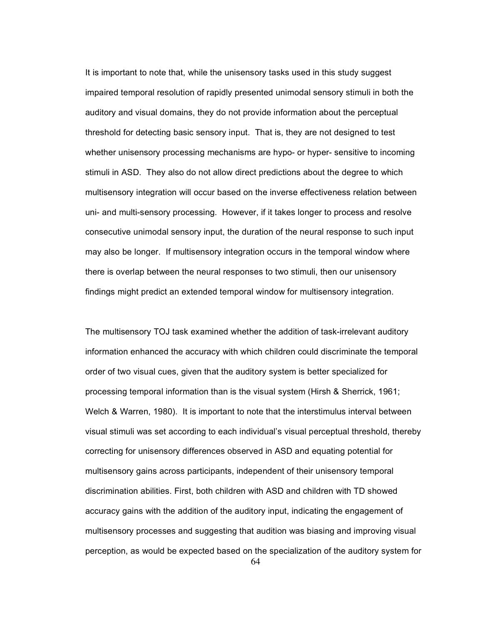It is important to note that, while the unisensory tasks used in this study suggest impaired temporal resolution of rapidly presented unimodal sensory stimuli in both the auditory and visual domains, they do not provide information about the perceptual threshold for detecting basic sensory input. That is, they are not designed to test whether unisensory processing mechanisms are hypo- or hyper- sensitive to incoming stimuli in ASD. They also do not allow direct predictions about the degree to which multisensory integration will occur based on the inverse effectiveness relation between uni- and multi-sensory processing. However, if it takes longer to process and resolve consecutive unimodal sensory input, the duration of the neural response to such input may also be longer. If multisensory integration occurs in the temporal window where there is overlap between the neural responses to two stimuli, then our unisensory findings might predict an extended temporal window for multisensory integration.

The multisensory TOJ task examined whether the addition of task-irrelevant auditory information enhanced the accuracy with which children could discriminate the temporal order of two visual cues, given that the auditory system is better specialized for processing temporal information than is the visual system (Hirsh & Sherrick, 1961; Welch & Warren, 1980). It is important to note that the interstimulus interval between visual stimuli was set according to each individual's visual perceptual threshold, thereby correcting for unisensory differences observed in ASD and equating potential for multisensory gains across participants, independent of their unisensory temporal discrimination abilities. First, both children with ASD and children with TD showed accuracy gains with the addition of the auditory input, indicating the engagement of multisensory processes and suggesting that audition was biasing and improving visual perception, as would be expected based on the specialization of the auditory system for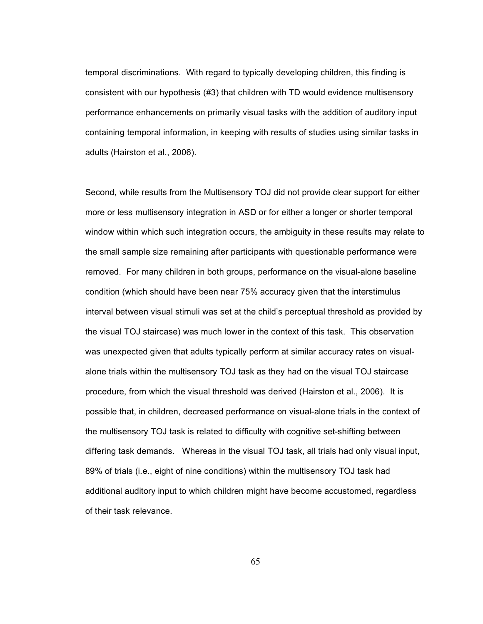temporal discriminations. With regard to typically developing children, this finding is consistent with our hypothesis (#3) that children with TD would evidence multisensory performance enhancements on primarily visual tasks with the addition of auditory input containing temporal information, in keeping with results of studies using similar tasks in adults (Hairston et al., 2006).

Second, while results from the Multisensory TOJ did not provide clear support for either more or less multisensory integration in ASD or for either a longer or shorter temporal window within which such integration occurs, the ambiguity in these results may relate to the small sample size remaining after participants with questionable performance were removed. For many children in both groups, performance on the visual-alone baseline condition (which should have been near 75% accuracy given that the interstimulus interval between visual stimuli was set at the child's perceptual threshold as provided by the visual TOJ staircase) was much lower in the context of this task. This observation was unexpected given that adults typically perform at similar accuracy rates on visualalone trials within the multisensory TOJ task as they had on the visual TOJ staircase procedure, from which the visual threshold was derived (Hairston et al., 2006). It is possible that, in children, decreased performance on visual-alone trials in the context of the multisensory TOJ task is related to difficulty with cognitive set-shifting between differing task demands. Whereas in the visual TOJ task, all trials had only visual input, 89% of trials (i.e., eight of nine conditions) within the multisensory TOJ task had additional auditory input to which children might have become accustomed, regardless of their task relevance.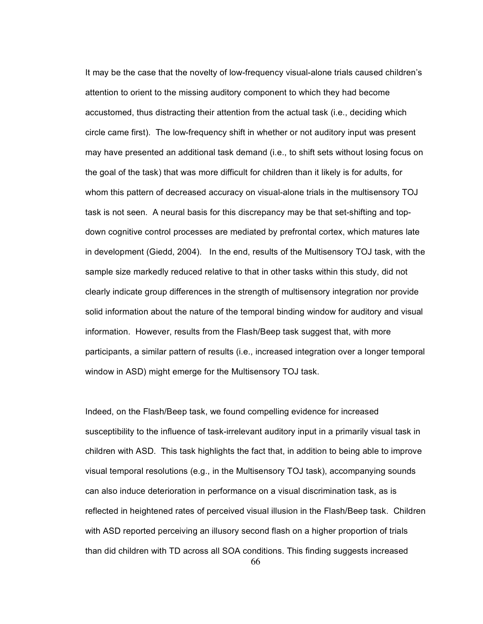It may be the case that the novelty of low-frequency visual-alone trials caused children's attention to orient to the missing auditory component to which they had become accustomed, thus distracting their attention from the actual task (i.e., deciding which circle came first). The low-frequency shift in whether or not auditory input was present may have presented an additional task demand (i.e., to shift sets without losing focus on the goal of the task) that was more difficult for children than it likely is for adults, for whom this pattern of decreased accuracy on visual-alone trials in the multisensory TOJ task is not seen. A neural basis for this discrepancy may be that set-shifting and topdown cognitive control processes are mediated by prefrontal cortex, which matures late in development (Giedd, 2004). In the end, results of the Multisensory TOJ task, with the sample size markedly reduced relative to that in other tasks within this study, did not clearly indicate group differences in the strength of multisensory integration nor provide solid information about the nature of the temporal binding window for auditory and visual information. However, results from the Flash/Beep task suggest that, with more participants, a similar pattern of results (i.e., increased integration over a longer temporal window in ASD) might emerge for the Multisensory TOJ task.

Indeed, on the Flash/Beep task, we found compelling evidence for increased susceptibility to the influence of task-irrelevant auditory input in a primarily visual task in children with ASD. This task highlights the fact that, in addition to being able to improve visual temporal resolutions (e.g., in the Multisensory TOJ task), accompanying sounds can also induce deterioration in performance on a visual discrimination task, as is reflected in heightened rates of perceived visual illusion in the Flash/Beep task. Children with ASD reported perceiving an illusory second flash on a higher proportion of trials than did children with TD across all SOA conditions. This finding suggests increased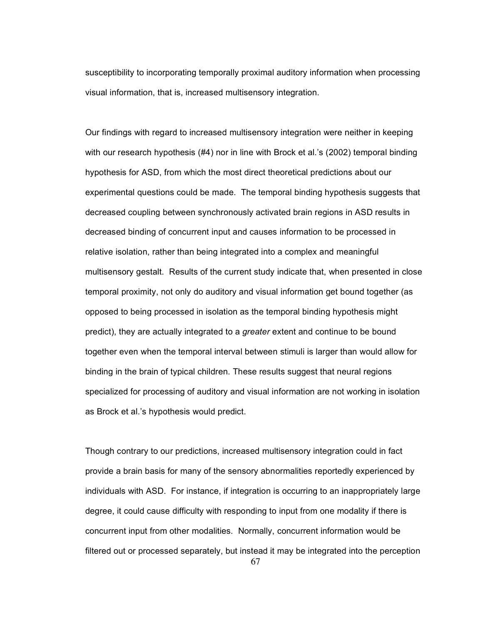susceptibility to incorporating temporally proximal auditory information when processing visual information, that is, increased multisensory integration.

Our findings with regard to increased multisensory integration were neither in keeping with our research hypothesis (#4) nor in line with Brock et al.'s (2002) temporal binding hypothesis for ASD, from which the most direct theoretical predictions about our experimental questions could be made. The temporal binding hypothesis suggests that decreased coupling between synchronously activated brain regions in ASD results in decreased binding of concurrent input and causes information to be processed in relative isolation, rather than being integrated into a complex and meaningful multisensory gestalt. Results of the current study indicate that, when presented in close temporal proximity, not only do auditory and visual information get bound together (as opposed to being processed in isolation as the temporal binding hypothesis might predict), they are actually integrated to a *greater* extent and continue to be bound together even when the temporal interval between stimuli is larger than would allow for binding in the brain of typical children. These results suggest that neural regions specialized for processing of auditory and visual information are not working in isolation as Brock et al.'s hypothesis would predict.

Though contrary to our predictions, increased multisensory integration could in fact provide a brain basis for many of the sensory abnormalities reportedly experienced by individuals with ASD. For instance, if integration is occurring to an inappropriately large degree, it could cause difficulty with responding to input from one modality if there is concurrent input from other modalities. Normally, concurrent information would be filtered out or processed separately, but instead it may be integrated into the perception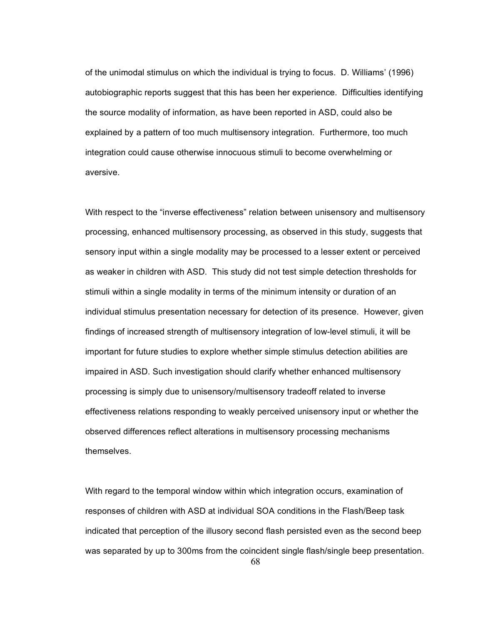of the unimodal stimulus on which the individual is trying to focus. D. Williams' (1996) autobiographic reports suggest that this has been her experience. Difficulties identifying the source modality of information, as have been reported in ASD, could also be explained by a pattern of too much multisensory integration. Furthermore, too much integration could cause otherwise innocuous stimuli to become overwhelming or aversive.

With respect to the "inverse effectiveness" relation between unisensory and multisensory processing, enhanced multisensory processing, as observed in this study, suggests that sensory input within a single modality may be processed to a lesser extent or perceived as weaker in children with ASD. This study did not test simple detection thresholds for stimuli within a single modality in terms of the minimum intensity or duration of an individual stimulus presentation necessary for detection of its presence. However, given findings of increased strength of multisensory integration of low-level stimuli, it will be important for future studies to explore whether simple stimulus detection abilities are impaired in ASD. Such investigation should clarify whether enhanced multisensory processing is simply due to unisensory/multisensory tradeoff related to inverse effectiveness relations responding to weakly perceived unisensory input or whether the observed differences reflect alterations in multisensory processing mechanisms themselves.

With regard to the temporal window within which integration occurs, examination of responses of children with ASD at individual SOA conditions in the Flash/Beep task indicated that perception of the illusory second flash persisted even as the second beep was separated by up to 300ms from the coincident single flash/single beep presentation.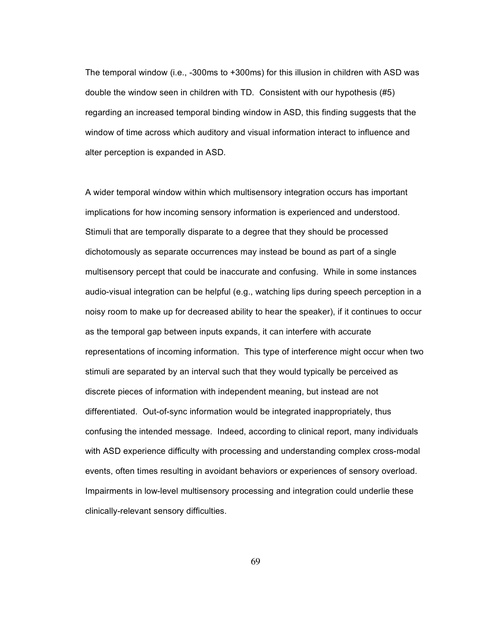The temporal window (i.e., -300ms to +300ms) for this illusion in children with ASD was double the window seen in children with TD. Consistent with our hypothesis (#5) regarding an increased temporal binding window in ASD, this finding suggests that the window of time across which auditory and visual information interact to influence and alter perception is expanded in ASD.

A wider temporal window within which multisensory integration occurs has important implications for how incoming sensory information is experienced and understood. Stimuli that are temporally disparate to a degree that they should be processed dichotomously as separate occurrences may instead be bound as part of a single multisensory percept that could be inaccurate and confusing. While in some instances audio-visual integration can be helpful (e.g., watching lips during speech perception in a noisy room to make up for decreased ability to hear the speaker), if it continues to occur as the temporal gap between inputs expands, it can interfere with accurate representations of incoming information. This type of interference might occur when two stimuli are separated by an interval such that they would typically be perceived as discrete pieces of information with independent meaning, but instead are not differentiated. Out-of-sync information would be integrated inappropriately, thus confusing the intended message. Indeed, according to clinical report, many individuals with ASD experience difficulty with processing and understanding complex cross-modal events, often times resulting in avoidant behaviors or experiences of sensory overload. Impairments in low-level multisensory processing and integration could underlie these clinically-relevant sensory difficulties.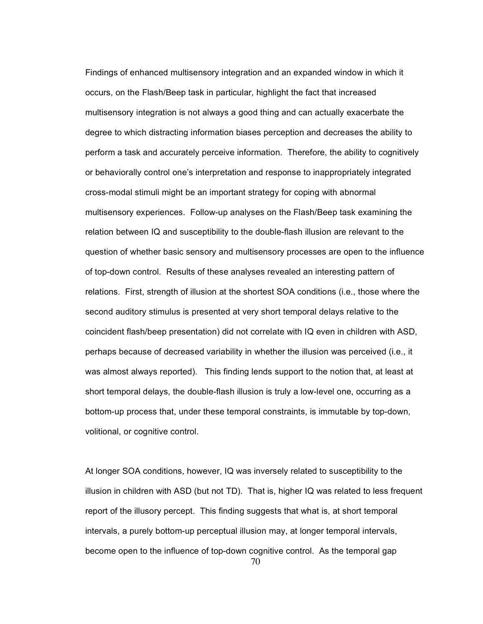Findings of enhanced multisensory integration and an expanded window in which it occurs, on the Flash/Beep task in particular, highlight the fact that increased multisensory integration is not always a good thing and can actually exacerbate the degree to which distracting information biases perception and decreases the ability to perform a task and accurately perceive information. Therefore, the ability to cognitively or behaviorally control one's interpretation and response to inappropriately integrated cross-modal stimuli might be an important strategy for coping with abnormal multisensory experiences. Follow-up analyses on the Flash/Beep task examining the relation between IQ and susceptibility to the double-flash illusion are relevant to the question of whether basic sensory and multisensory processes are open to the influence of top-down control. Results of these analyses revealed an interesting pattern of relations. First, strength of illusion at the shortest SOA conditions (i.e., those where the second auditory stimulus is presented at very short temporal delays relative to the coincident flash/beep presentation) did not correlate with IQ even in children with ASD, perhaps because of decreased variability in whether the illusion was perceived (i.e., it was almost always reported). This finding lends support to the notion that, at least at short temporal delays, the double-flash illusion is truly a low-level one, occurring as a bottom-up process that, under these temporal constraints, is immutable by top-down, volitional, or cognitive control.

At longer SOA conditions, however, IQ was inversely related to susceptibility to the illusion in children with ASD (but not TD). That is, higher IQ was related to less frequent report of the illusory percept. This finding suggests that what is, at short temporal intervals, a purely bottom-up perceptual illusion may, at longer temporal intervals, become open to the influence of top-down cognitive control. As the temporal gap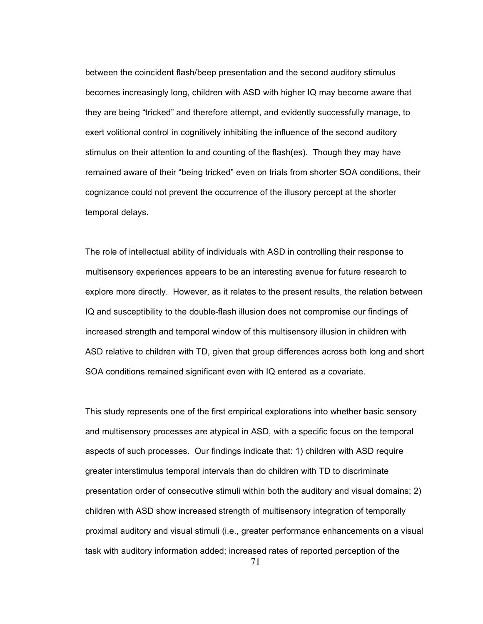between the coincident flash/beep presentation and the second auditory stimulus becomes increasingly long, children with ASD with higher IQ may become aware that they are being "tricked" and therefore attempt, and evidently successfully manage, to exert volitional control in cognitively inhibiting the influence of the second auditory stimulus on their attention to and counting of the flash(es). Though they may have remained aware of their "being tricked" even on trials from shorter SOA conditions, their cognizance could not prevent the occurrence of the illusory percept at the shorter temporal delays.

The role of intellectual ability of individuals with ASD in controlling their response to multisensory experiences appears to be an interesting avenue for future research to explore more directly. However, as it relates to the present results, the relation between IQ and susceptibility to the double-flash illusion does not compromise our findings of increased strength and temporal window of this multisensory illusion in children with ASD relative to children with TD, given that group differences across both long and short SOA conditions remained significant even with IQ entered as a covariate.

This study represents one of the first empirical explorations into whether basic sensory and multisensory processes are atypical in ASD, with a specific focus on the temporal aspects of such processes. Our findings indicate that: 1) children with ASD require greater interstimulus temporal intervals than do children with TD to discriminate presentation order of consecutive stimuli within both the auditory and visual domains; 2) children with ASD show increased strength of multisensory integration of temporally proximal auditory and visual stimuli (i.e., greater performance enhancements on a visual task with auditory information added; increased rates of reported perception of the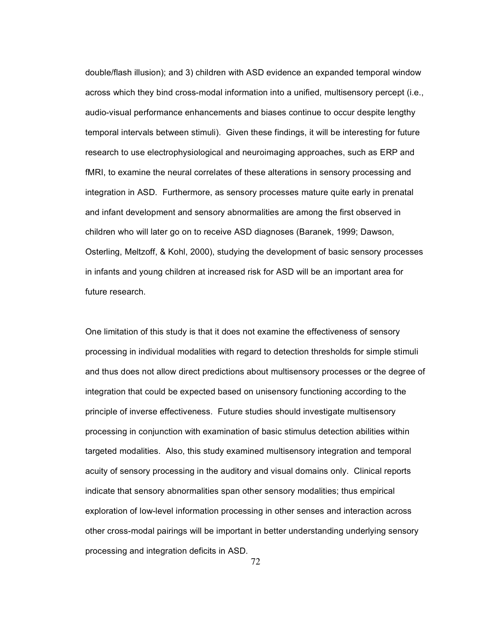double/flash illusion); and 3) children with ASD evidence an expanded temporal window across which they bind cross-modal information into a unified, multisensory percept (i.e., audio-visual performance enhancements and biases continue to occur despite lengthy temporal intervals between stimuli). Given these findings, it will be interesting for future research to use electrophysiological and neuroimaging approaches, such as ERP and fMRI, to examine the neural correlates of these alterations in sensory processing and integration in ASD. Furthermore, as sensory processes mature quite early in prenatal and infant development and sensory abnormalities are among the first observed in children who will later go on to receive ASD diagnoses (Baranek, 1999; Dawson, Osterling, Meltzoff, & Kohl, 2000), studying the development of basic sensory processes in infants and young children at increased risk for ASD will be an important area for future research.

One limitation of this study is that it does not examine the effectiveness of sensory processing in individual modalities with regard to detection thresholds for simple stimuli and thus does not allow direct predictions about multisensory processes or the degree of integration that could be expected based on unisensory functioning according to the principle of inverse effectiveness. Future studies should investigate multisensory processing in conjunction with examination of basic stimulus detection abilities within targeted modalities. Also, this study examined multisensory integration and temporal acuity of sensory processing in the auditory and visual domains only. Clinical reports indicate that sensory abnormalities span other sensory modalities; thus empirical exploration of low-level information processing in other senses and interaction across other cross-modal pairings will be important in better understanding underlying sensory processing and integration deficits in ASD.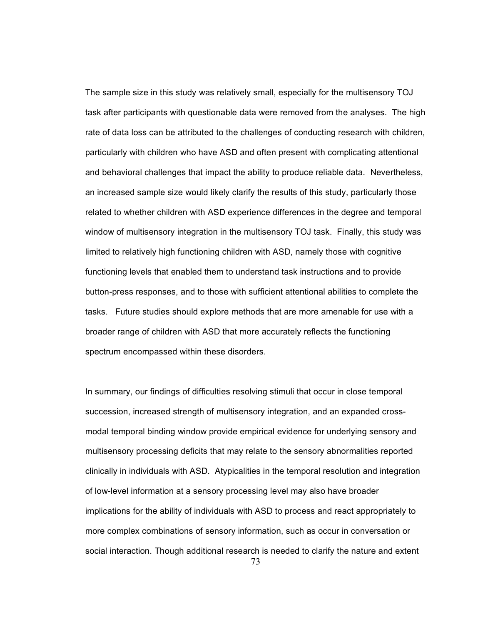The sample size in this study was relatively small, especially for the multisensory TOJ task after participants with questionable data were removed from the analyses. The high rate of data loss can be attributed to the challenges of conducting research with children, particularly with children who have ASD and often present with complicating attentional and behavioral challenges that impact the ability to produce reliable data. Nevertheless, an increased sample size would likely clarify the results of this study, particularly those related to whether children with ASD experience differences in the degree and temporal window of multisensory integration in the multisensory TOJ task. Finally, this study was limited to relatively high functioning children with ASD, namely those with cognitive functioning levels that enabled them to understand task instructions and to provide button-press responses, and to those with sufficient attentional abilities to complete the tasks. Future studies should explore methods that are more amenable for use with a broader range of children with ASD that more accurately reflects the functioning spectrum encompassed within these disorders.

In summary, our findings of difficulties resolving stimuli that occur in close temporal succession, increased strength of multisensory integration, and an expanded crossmodal temporal binding window provide empirical evidence for underlying sensory and multisensory processing deficits that may relate to the sensory abnormalities reported clinically in individuals with ASD. Atypicalities in the temporal resolution and integration of low-level information at a sensory processing level may also have broader implications for the ability of individuals with ASD to process and react appropriately to more complex combinations of sensory information, such as occur in conversation or social interaction. Though additional research is needed to clarify the nature and extent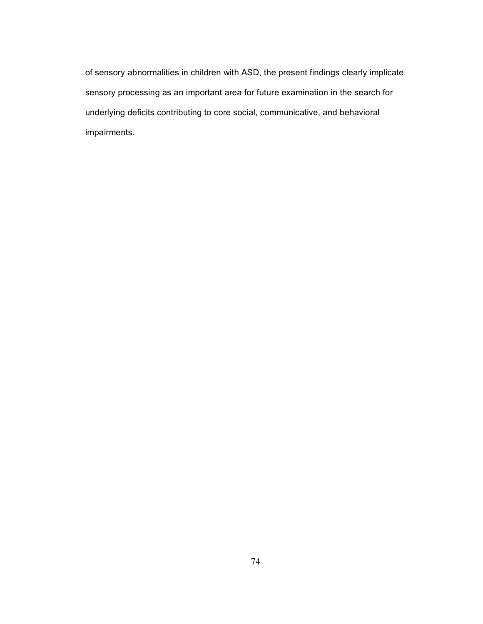of sensory abnormalities in children with ASD, the present findings clearly implicate sensory processing as an important area for future examination in the search for underlying deficits contributing to core social, communicative, and behavioral impairments.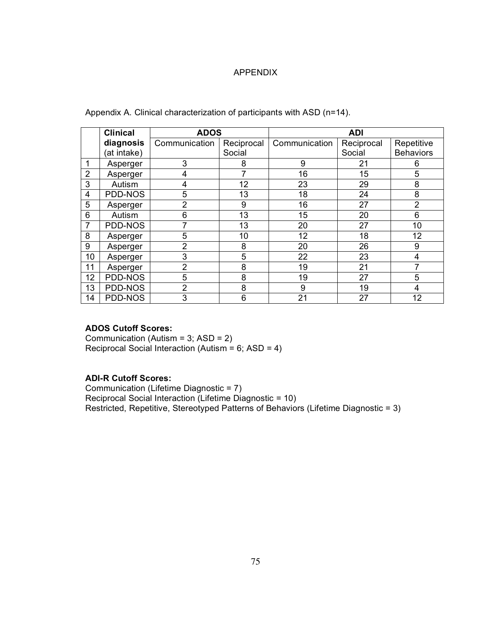## APPENDIX

|                | <b>Clinical</b> | <b>ADOS</b>   |            | <b>ADI</b>    |            |                  |
|----------------|-----------------|---------------|------------|---------------|------------|------------------|
|                | diagnosis       | Communication | Reciprocal | Communication | Reciprocal | Repetitive       |
|                | (at intake)     |               | Social     |               | Social     | <b>Behaviors</b> |
| 1              | Asperger        | 3             | 8          | 9             | 21         | 6                |
| $\overline{2}$ | Asperger        | 4             |            | 16            | 15         | 5                |
| 3              | Autism          | 4             | 12         | 23            | 29         | 8                |
| 4              | PDD-NOS         | 5             | 13         | 18            | 24         | 8                |
| 5              | Asperger        | 2             | 9          | 16            | 27         | $\overline{2}$   |
| 6              | Autism          | 6             | 13         | 15            | 20         | 6                |
| 7              | PDD-NOS         |               | 13         | 20            | 27         | 10               |
| 8              | Asperger        | 5             | 10         | 12            | 18         | 12               |
| 9              | Asperger        | 2             | 8          | 20            | 26         | 9                |
| 10             | Asperger        | 3             | 5          | 22            | 23         | 4                |
| 11             | Asperger        | 2             | 8          | 19            | 21         |                  |
| 12             | PDD-NOS         | 5             | 8          | 19            | 27         | 5                |
| 13             | PDD-NOS         | 2             | 8          | 9             | 19         | 4                |
| 14             | PDD-NOS         | 3             | 6          | 21            | 27         | 12               |

Appendix A. Clinical characterization of participants with ASD (n=14).

## **ADOS Cutoff Scores:**

Communication (Autism = 3; ASD = 2) Reciprocal Social Interaction (Autism = 6; ASD = 4)

## **ADI-R Cutoff Scores:**

Communication (Lifetime Diagnostic = 7) Reciprocal Social Interaction (Lifetime Diagnostic = 10) Restricted, Repetitive, Stereotyped Patterns of Behaviors (Lifetime Diagnostic = 3)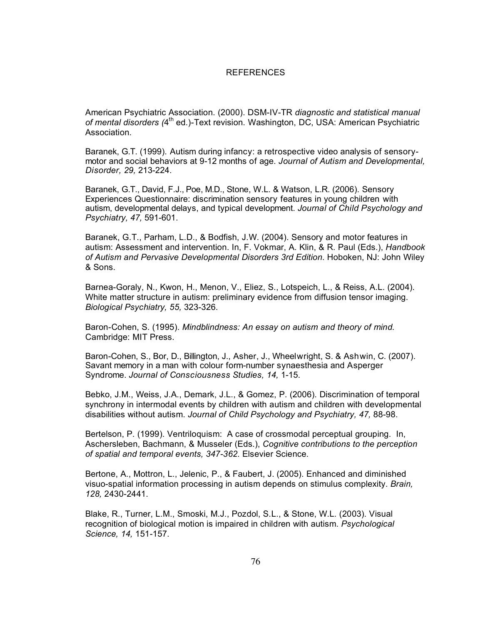## REFERENCES

American Psychiatric Association. (2000). DSM-IV-TR *diagnostic and statistical manual of mental disorders (*4th ed.)-Text revision. Washington, DC, USA: American Psychiatric Association.

Baranek, G.T. (1999). Autism during infancy: a retrospective video analysis of sensorymotor and social behaviors at 9-12 months of age. *Journal of Autism and Developmental, Disorder, 29,* 213-224.

Baranek, G.T., David, F.J., Poe, M.D., Stone, W.L. & Watson, L.R. (2006). Sensory Experiences Questionnaire: discrimination sensory features in young children with autism, developmental delays, and typical development. *Journal of Child Psychology and Psychiatry, 47,* 591-601.

Baranek, G.T., Parham, L.D., & Bodfish, J.W. (2004). Sensory and motor features in autism: Assessment and intervention. In, F. Vokmar, A. Klin, & R. Paul (Eds.), *Handbook of Autism and Pervasive Developmental Disorders 3rd Edition*. Hoboken, NJ: John Wiley & Sons.

Barnea-Goraly, N., Kwon, H., Menon, V., Eliez, S., Lotspeich, L., & Reiss, A.L. (2004). White matter structure in autism: preliminary evidence from diffusion tensor imaging. *Biological Psychiatry, 55,* 323-326.

Baron-Cohen, S. (1995). *Mindblindness: An essay on autism and theory of mind.*  Cambridge: MIT Press.

Baron-Cohen, S., Bor, D., Billington, J., Asher, J., Wheelwright, S. & Ashwin, C. (2007). Savant memory in a man with colour form-number synaesthesia and Asperger Syndrome. *Journal of Consciousness Studies, 14,* 1-15.

Bebko, J.M., Weiss, J.A., Demark, J.L., & Gomez, P. (2006). Discrimination of temporal synchrony in intermodal events by children with autism and children with developmental disabilities without autism. *Journal of Child Psychology and Psychiatry, 47,* 88-98.

Bertelson, P. (1999). Ventriloquism: A case of crossmodal perceptual grouping. In, Aschersleben, Bachmann, & Musseler (Eds.), *Cognitive contributions to the perception of spatial and temporal events, 347-362*. Elsevier Science.

Bertone, A., Mottron, L., Jelenic, P., & Faubert, J. (2005). Enhanced and diminished visuo-spatial information processing in autism depends on stimulus complexity. *Brain, 128,* 2430-2441.

Blake, R., Turner, L.M., Smoski, M.J., Pozdol, S.L., & Stone, W.L. (2003). Visual recognition of biological motion is impaired in children with autism. *Psychological Science, 14,* 151-157.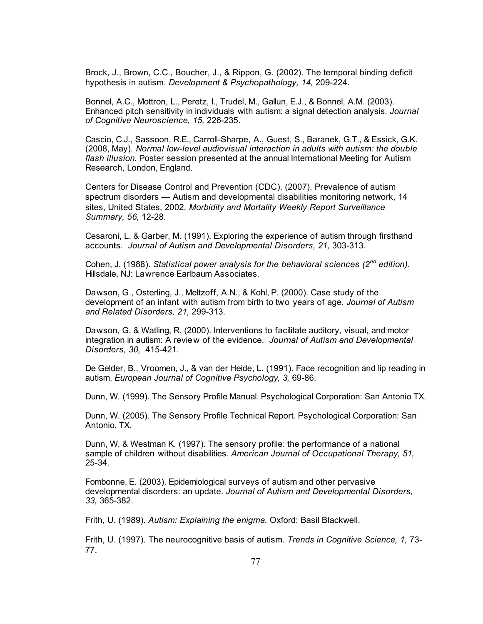Brock, J., Brown, C.C., Boucher, J., & Rippon, G. (2002). The temporal binding deficit hypothesis in autism. *Development & Psychopathology, 14,* 209-224.

Bonnel, A.C., Mottron, L., Peretz, I., Trudel, M., Gallun, E.J., & Bonnel, A.M. (2003). Enhanced pitch sensitivity in individuals with autism: a signal detection analysis. *Journal of Cognitive Neuroscience, 15,* 226-235.

Cascio, C.J., Sassoon, R.E., Carroll-Sharpe, A., Guest, S., Baranek, G.T., & Essick, G.K. (2008, May). *Normal low-level audiovisual interaction in adults with autism: the double flash illusion.* Poster session presented at the annual International Meeting for Autism Research, London, England.

Centers for Disease Control and Prevention (CDC). (2007). Prevalence of autism spectrum disorders — Autism and developmental disabilities monitoring network, 14 sites, United States, 2002. *Morbidity and Mortality Weekly Report Surveillance Summary, 56,* 12-28.

Cesaroni, L. & Garber, M. (1991). Exploring the experience of autism through firsthand accounts. *Journal of Autism and Developmental Disorders, 21,* 303-313.

Cohen, J. (1988). *Statistical power analysis for the behavioral sciences (2nd edition)*. Hillsdale, NJ: Lawrence Earlbaum Associates.

Dawson, G., Osterling, J., Meltzoff, A.N., & Kohl, P. (2000). Case study of the development of an infant with autism from birth to two years of age. *Journal of Autism and Related Disorders, 21,* 299-313.

Dawson, G. & Watling, R. (2000). Interventions to facilitate auditory, visual, and motor integration in autism: A review of the evidence. *Journal of Autism and Developmental Disorders, 30,* 415-421.

De Gelder, B., Vroomen, J., & van der Heide, L. (1991). Face recognition and lip reading in autism. *European Journal of Cognitive Psychology, 3,* 69-86.

Dunn, W. (1999). The Sensory Profile Manual. Psychological Corporation: San Antonio TX.

Dunn, W. (2005). The Sensory Profile Technical Report. Psychological Corporation: San Antonio, TX.

Dunn, W. & Westman K. (1997). The sensory profile: the performance of a national sample of children without disabilities. *American Journal of Occupational Therapy, 51,* 25-34.

Fombonne, E. (2003). Epidemiological surveys of autism and other pervasive developmental disorders: an update. *Journal of Autism and Developmental Disorders, 33,* 365-382.

Frith, U. (1989). *Autism: Explaining the enigma.* Oxford: Basil Blackwell.

Frith, U. (1997). The neurocognitive basis of autism. *Trends in Cognitive Science, 1,* 73- 77.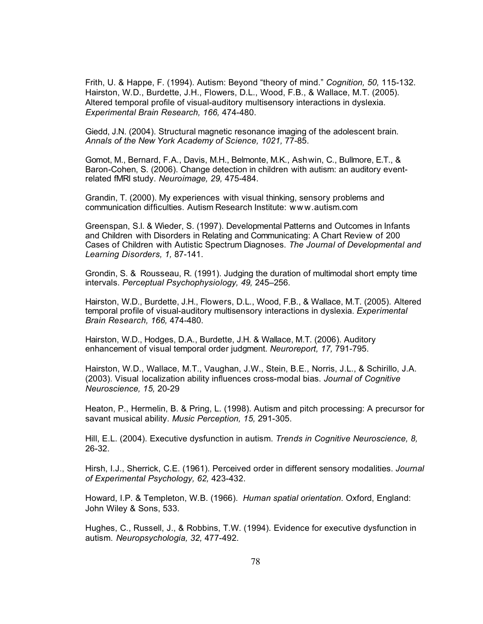Frith, U. & Happe, F. (1994). Autism: Beyond "theory of mind." *Cognition, 50,* 115-132. Hairston, W.D., Burdette, J.H., Flowers, D.L., Wood, F.B., & Wallace, M.T. (2005). Altered temporal profile of visual-auditory multisensory interactions in dyslexia. *Experimental Brain Research, 166,* 474-480.

Giedd, J.N. (2004). Structural magnetic resonance imaging of the adolescent brain. *Annals of the New York Academy of Science, 1021,* 77-85.

Gomot, M., Bernard, F.A., Davis, M.H., Belmonte, M.K., Ashwin, C., Bullmore, E.T., & Baron-Cohen, S. (2006). Change detection in children with autism: an auditory eventrelated fMRI study. *Neuroimage, 29,* 475-484.

Grandin, T. (2000). My experiences with visual thinking, sensory problems and communication difficulties. Autism Research Institute: w w w.autism.com

Greenspan, S.I. & Wieder, S. (1997). Developmental Patterns and Outcomes in Infants and Children with Disorders in Relating and Communicating: A Chart Review of 200 Cases of Children with Autistic Spectrum Diagnoses. *The Journal of Developmental and Learning Disorders, 1,* 87-141.

Grondin, S. & Rousseau, R. (1991). Judging the duration of multimodal short empty time intervals. *Perceptual Psychophysiology, 49,* 245–256.

Hairston, W.D., Burdette, J.H., Flowers, D.L., Wood, F.B., & Wallace, M.T. (2005). Altered temporal profile of visual-auditory multisensory interactions in dyslexia. *Experimental Brain Research, 166,* 474-480.

Hairston, W.D., Hodges, D.A., Burdette, J.H. & Wallace, M.T. (2006). Auditory enhancement of visual temporal order judgment. *Neuroreport, 17,* 791-795.

Hairston, W.D., Wallace, M.T., Vaughan, J.W., Stein, B.E., Norris, J.L., & Schirillo, J.A. (2003). Visual localization ability influences cross-modal bias. *Journal of Cognitive Neuroscience, 15,* 20-29

Heaton, P., Hermelin, B. & Pring, L. (1998). Autism and pitch processing: A precursor for savant musical ability. *Music Perception, 15,* 291-305.

Hill, E.L. (2004). Executive dysfunction in autism. *Trends in Cognitive Neuroscience, 8,*  26-32.

Hirsh, I.J., Sherrick, C.E. (1961). Perceived order in different sensory modalities. *Journal of Experimental Psychology, 62,* 423-432.

Howard, I.P. & Templeton, W.B. (1966). *Human spatial orientation*. Oxford, England: John Wiley & Sons, 533.

Hughes, C., Russell, J., & Robbins, T.W. (1994). Evidence for executive dysfunction in autism. *Neuropsychologia, 32,* 477-492.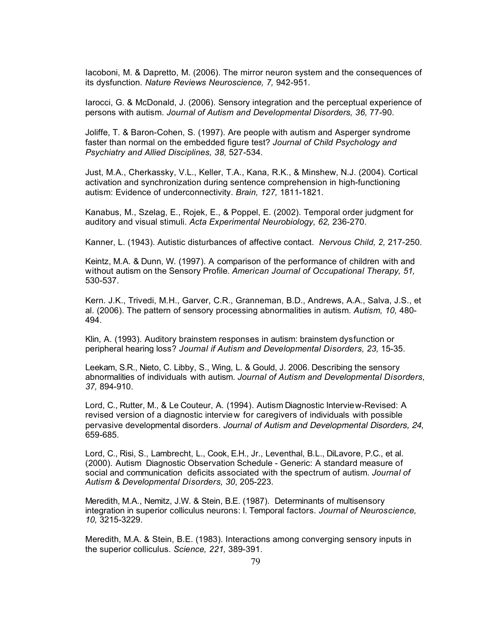Iacoboni, M. & Dapretto, M. (2006). The mirror neuron system and the consequences of its dysfunction. *Nature Reviews Neuroscience, 7,* 942-951.

Iarocci, G. & McDonald, J. (2006). Sensory integration and the perceptual experience of persons with autism. *Journal of Autism and Developmental Disorders, 36,* 77-90.

Joliffe, T. & Baron-Cohen, S. (1997). Are people with autism and Asperger syndrome faster than normal on the embedded figure test? *Journal of Child Psychology and Psychiatry and Allied Disciplines, 38,* 527-534.

Just, M.A., Cherkassky, V.L., Keller, T.A., Kana, R.K., & Minshew, N.J. (2004). Cortical activation and synchronization during sentence comprehension in high-functioning autism: Evidence of underconnectivity. *Brain, 127,* 1811-1821.

Kanabus, M., Szelag, E., Rojek, E., & Poppel, E. (2002). Temporal order judgment for auditory and visual stimuli. *Acta Experimental Neurobiology, 62,* 236-270.

Kanner, L. (1943). Autistic disturbances of affective contact. *Nervous Child, 2,* 217-250.

Keintz, M.A. & Dunn, W. (1997). A comparison of the performance of children with and without autism on the Sensory Profile. *American Journal of Occupational Therapy, 51,* 530-537.

Kern. J.K., Trivedi, M.H., Garver, C.R., Granneman, B.D., Andrews, A.A., Salva, J.S., et al. (2006). The pattern of sensory processing abnormalities in autism. *Autism, 10,* 480- 494.

Klin, A. (1993). Auditory brainstem responses in autism: brainstem dysfunction or peripheral hearing loss? *Journal if Autism and Developmental Disorders, 23,* 15-35.

Leekam, S.R., Nieto, C. Libby, S., Wing, L. & Gould, J. 2006. Describing the sensory abnormalities of individuals with autism. *Journal of Autism and Developmental Disorders, 37,* 894-910.

Lord, C., Rutter, M., & Le Couteur, A. (1994). Autism Diagnostic Interview-Revised: A revised version of a diagnostic interview for caregivers of individuals with possible pervasive developmental disorders. *Journal of Autism and Developmental Disorders, 24*, 659-685.

Lord, C., Risi, S., Lambrecht, L., Cook, E.H., Jr., Leventhal, B.L., DiLavore, P.C., et al. (2000). Autism Diagnostic Observation Schedule - Generic: A standard measure of social and communication deficits associated with the spectrum of autism. *Journal of Autism & Developmental Disorders, 30*, 205-223.

Meredith, M.A., Nemitz, J.W. & Stein, B.E. (1987). Determinants of multisensory integration in superior colliculus neurons: I. Temporal factors. *Journal of Neuroscience, 10,* 3215-3229.

Meredith, M.A. & Stein, B.E. (1983). Interactions among converging sensory inputs in the superior colliculus. *Science, 221,* 389-391.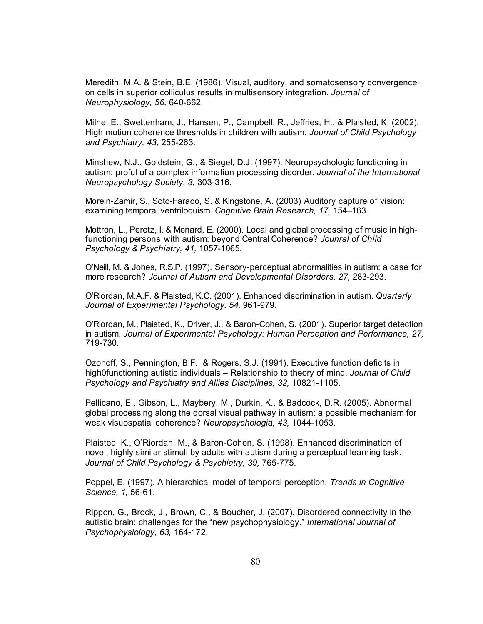Meredith, M.A. & Stein, B.E. (1986). Visual, auditory, and somatosensory convergence on cells in superior colliculus results in multisensory integration. *Journal of Neurophysiology, 56,* 640-662.

Milne, E., Swettenham, J., Hansen, P., Campbell, R., Jeffries, H., & Plaisted, K. (2002). High motion coherence thresholds in children with autism. *Journal of Child Psychology and Psychiatry, 43,* 255-263.

Minshew, N.J., Goldstein, G., & Siegel, D.J. (1997). Neuropsychologic functioning in autism: proful of a complex information processing disorder. *Journal of the International Neuropsychology Society, 3,* 303-316.

Morein-Zamir, S., Soto-Faraco, S. & Kingstone, A. (2003) Auditory capture of vision: examining temporal ventriloquism. *Cognitive Brain Research, 17,* 154–163.

Mottron, L., Peretz, I. & Menard, E. (2000). Local and global processing of music in highfunctioning persons with autism: beyond Central Coherence? *Jounral of Child Psychology & Psychiatry, 41,* 1057-1065.

O'Neill, M. & Jones, R.S.P. (1997). Sensory-perceptual abnormalities in autism: a case for more research? *Journal of Autism and Developmental Disorders, 27,* 283-293.

O'Riordan, M.A.F. & Plaisted, K.C. (2001). Enhanced discrimination in autism. *Quarterly Journal of Experimental Psychology, 54,* 961-979.

O'Riordan, M., Plaisted, K., Driver, J., & Baron-Cohen, S. (2001). Superior target detection in autism. *Journal of Experimental Psychology: Human Perception and Performance, 27,*  719-730.

Ozonoff, S., Pennington, B.F., & Rogers, S.J. (1991). Executive function deficits in high0functioning autistic individuals – Relationship to theory of mind. *Journal of Child Psychology and Psychiatry and Allies Disciplines, 32,* 10821-1105.

Pellicano, E., Gibson, L., Maybery, M., Durkin, K., & Badcock, D.R. (2005). Abnormal global processing along the dorsal visual pathway in autism: a possible mechanism for weak visuospatial coherence? *Neuropsychologia, 43,* 1044-1053.

Plaisted, K., O'Riordan, M., & Baron-Cohen, S. (1998). Enhanced discrimination of novel, highly similar stimuli by adults with autism during a perceptual learning task. *Journal of Child Psychology & Psychiatry, 39,* 765-775.

Poppel, E. (1997). A hierarchical model of temporal perception. *Trends in Cognitive Science, 1,* 56-61.

Rippon, G., Brock, J., Brown, C., & Boucher, J. (2007). Disordered connectivity in the autistic brain: challenges for the "new psychophysiology." *International Journal of Psychophysiology, 63,* 164-172.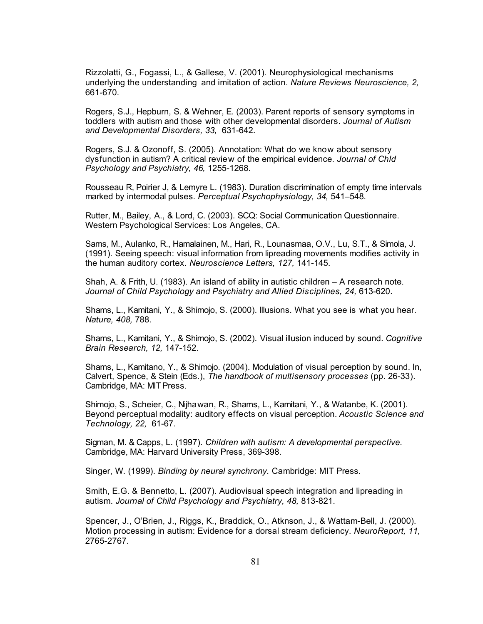Rizzolatti, G., Fogassi, L., & Gallese, V. (2001). Neurophysiological mechanisms underlying the understanding and imitation of action. *Nature Reviews Neuroscience, 2,*  661-670.

Rogers, S.J., Hepburn, S. & Wehner, E. (2003). Parent reports of sensory symptoms in toddlers with autism and those with other developmental disorders. *Journal of Autism and Developmental Disorders, 33,* 631-642.

Rogers, S.J. & Ozonoff, S. (2005). Annotation: What do we know about sensory dysfunction in autism? A critical review of the empirical evidence. *Journal of Chld Psychology and Psychiatry, 46,* 1255-1268.

Rousseau R, Poirier J, & Lemyre L. (1983). Duration discrimination of empty time intervals marked by intermodal pulses. *Perceptual Psychophysiology, 34,* 541–548.

Rutter, M., Bailey, A., & Lord, C. (2003). SCQ: Social Communication Questionnaire. Western Psychological Services: Los Angeles, CA.

Sams, M., Aulanko, R., Hamalainen, M., Hari, R., Lounasmaa, O.V., Lu, S.T., & Simola, J. (1991). Seeing speech: visual information from lipreading movements modifies activity in the human auditory cortex. *Neuroscience Letters, 127,* 141-145.

Shah, A. & Frith, U. (1983). An island of ability in autistic children – A research note. Journal of Child Psychology and Psychiatry and Allied Disciplines, 24, 613-620.

Shams, L., Kamitani, Y., & Shimojo, S. (2000). Illusions. What you see is what you hear. *Nature, 408,* 788.

Shams, L., Kamitani, Y., & Shimojo, S. (2002). Visual illusion induced by sound. *Cognitive Brain Research, 12,* 147-152.

Shams, L., Kamitano, Y., & Shimojo. (2004). Modulation of visual perception by sound. In, Calvert, Spence, & Stein (Eds.), *The handbook of multisensory processes* (pp. 26-33). Cambridge, MA: MIT Press.

Shimojo, S., Scheier, C., Nijhawan, R., Shams, L., Kamitani, Y., & Watanbe, K. (2001). Beyond perceptual modality: auditory effects on visual perception. *Acoustic Science and Technology, 22,* 61-67.

Sigman, M. & Capps, L. (1997). *Children with autism: A developmental perspective.*  Cambridge, MA: Harvard University Press, 369-398.

Singer, W. (1999). *Binding by neural synchrony.* Cambridge: MIT Press.

Smith, E.G. & Bennetto, L. (2007). Audiovisual speech integration and lipreading in autism. *Journal of Child Psychology and Psychiatry, 48,* 813-821.

Spencer, J., O'Brien, J., Riggs, K., Braddick, O., Atknson, J., & Wattam-Bell, J. (2000). Motion processing in autism: Evidence for a dorsal stream deficiency. *NeuroReport, 11,*  2765-2767.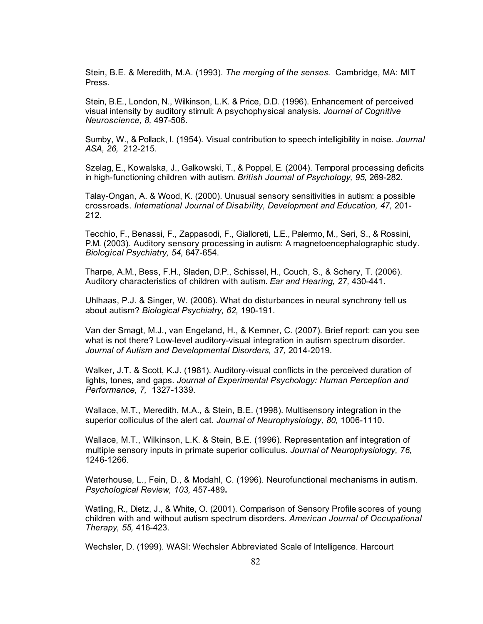Stein, B.E. & Meredith, M.A. (1993). *The merging of the senses.* Cambridge, MA: MIT Press.

Stein, B.E., London, N., Wilkinson, L.K. & Price, D.D. (1996). Enhancement of perceived visual intensity by auditory stimuli: A psychophysical analysis. *Journal of Cognitive Neuroscience, 8,* 497-506.

Sumby, W., & Pollack, I. (1954). Visual contribution to speech intelligibility in noise. *Journal ASA, 26,* 212-215.

Szelag, E., Kowalska, J., Galkowski, T., & Poppel, E. (2004). Temporal processing deficits in high-functioning children with autism. *British Journal of Psychology, 95,* 269-282.

Talay-Ongan, A. & Wood, K. (2000). Unusual sensory sensitivities in autism: a possible crossroads. *International Journal of Disability, Development and Education, 47,* 201- 212.

Tecchio, F., Benassi, F., Zappasodi, F., Gialloreti, L.E., Palermo, M., Seri, S., & Rossini, P.M. (2003). Auditory sensory processing in autism: A magnetoencephalographic study. *Biological Psychiatry, 54,* 647-654.

Tharpe, A.M., Bess, F.H., Sladen, D.P., Schissel, H., Couch, S., & Schery, T. (2006). Auditory characteristics of children with autism. *Ear and Hearing, 27,* 430-441.

Uhlhaas, P.J. & Singer, W. (2006). What do disturbances in neural synchrony tell us about autism? *Biological Psychiatry, 62,* 190-191.

Van der Smagt, M.J., van Engeland, H., & Kemner, C. (2007). Brief report: can you see what is not there? Low-level auditory-visual integration in autism spectrum disorder. *Journal of Autism and Developmental Disorders, 37,* 2014-2019.

Walker, J.T. & Scott, K.J. (1981). Auditory-visual conflicts in the perceived duration of lights, tones, and gaps. *Journal of Experimental Psychology: Human Perception and Performance, 7,* 1327-1339.

Wallace, M.T., Meredith, M.A., & Stein, B.E. (1998). Multisensory integration in the superior colliculus of the alert cat. *Journal of Neurophysiology, 80,* 1006-1110.

Wallace, M.T., Wilkinson, L.K. & Stein, B.E. (1996). Representation anf integration of multiple sensory inputs in primate superior colliculus. *Journal of Neurophysiology, 76,*  1246-1266.

Waterhouse, L., Fein, D., & Modahl, C. (1996). Neurofunctional mechanisms in autism. *Psychological Review, 103,* 457-489**.**

Watling, R., Dietz, J., & White, O. (2001). Comparison of Sensory Profile scores of young children with and without autism spectrum disorders. *American Journal of Occupational Therapy, 55,* 416-423.

Wechsler, D. (1999). WASI: Wechsler Abbreviated Scale of Intelligence. Harcourt